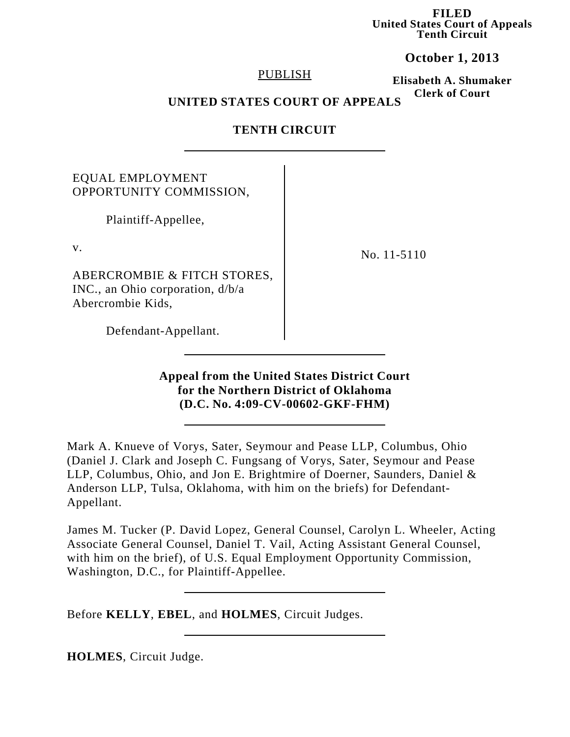**FILED United States Court of Appeals Tenth Circuit**

**October 1, 2013**

#### PUBLISH

**Elisabeth A. Shumaker Clerk of Court**

## **UNITED STATES COURT OF APPEALS**

## **TENTH CIRCUIT**

# EQUAL EMPLOYMENT OPPORTUNITY COMMISSION,

Plaintiff-Appellee,

v.

ABERCROMBIE & FITCH STORES, INC., an Ohio corporation, d/b/a Abercrombie Kids,

No. 11-5110

Defendant-Appellant.

## **Appeal from the United States District Court for the Northern District of Oklahoma (D.C. No. 4:09-CV-00602-GKF-FHM)**

Mark A. Knueve of Vorys, Sater, Seymour and Pease LLP, Columbus, Ohio (Daniel J. Clark and Joseph C. Fungsang of Vorys, Sater, Seymour and Pease LLP, Columbus, Ohio, and Jon E. Brightmire of Doerner, Saunders, Daniel & Anderson LLP, Tulsa, Oklahoma, with him on the briefs) for Defendant-Appellant.

James M. Tucker (P. David Lopez, General Counsel, Carolyn L. Wheeler, Acting Associate General Counsel, Daniel T. Vail, Acting Assistant General Counsel, with him on the brief), of U.S. Equal Employment Opportunity Commission, Washington, D.C., for Plaintiff-Appellee.

Before **KELLY**, **EBEL**, and **HOLMES**, Circuit Judges.

**HOLMES**, Circuit Judge.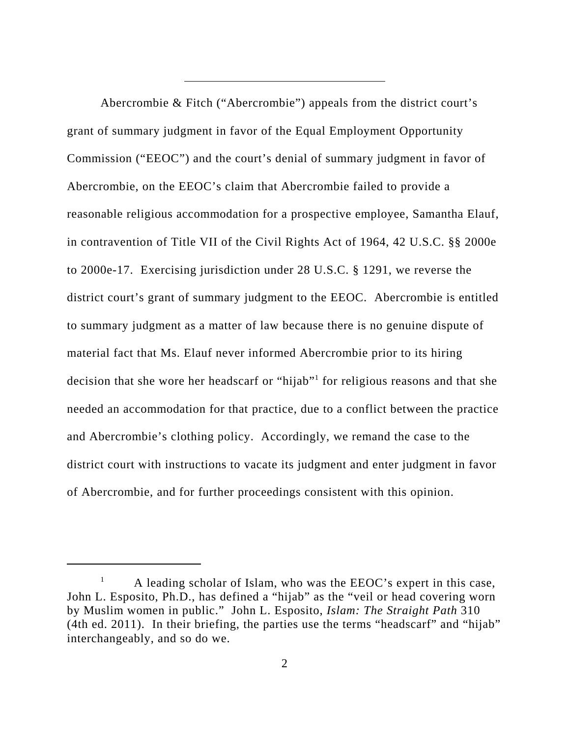Abercrombie & Fitch ("Abercrombie") appeals from the district court's grant of summary judgment in favor of the Equal Employment Opportunity Commission ("EEOC") and the court's denial of summary judgment in favor of Abercrombie, on the EEOC's claim that Abercrombie failed to provide a reasonable religious accommodation for a prospective employee, Samantha Elauf, in contravention of Title VII of the Civil Rights Act of 1964, 42 U.S.C. §§ 2000e to 2000e-17. Exercising jurisdiction under 28 U.S.C. § 1291, we reverse the district court's grant of summary judgment to the EEOC. Abercrombie is entitled to summary judgment as a matter of law because there is no genuine dispute of material fact that Ms. Elauf never informed Abercrombie prior to its hiring decision that she wore her headscarf or "hijab"<sup>1</sup> for religious reasons and that she needed an accommodation for that practice, due to a conflict between the practice and Abercrombie's clothing policy. Accordingly, we remand the case to the district court with instructions to vacate its judgment and enter judgment in favor of Abercrombie, and for further proceedings consistent with this opinion.

 $1$  A leading scholar of Islam, who was the EEOC's expert in this case, John L. Esposito, Ph.D., has defined a "hijab" as the "veil or head covering worn by Muslim women in public." John L. Esposito, *Islam: The Straight Path* 310 (4th ed. 2011). In their briefing, the parties use the terms "headscarf" and "hijab" interchangeably, and so do we.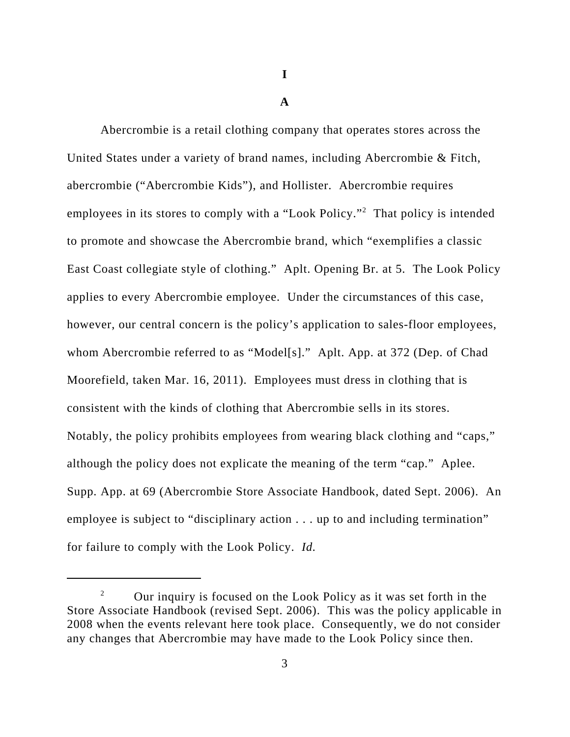**I**

**A**

Abercrombie is a retail clothing company that operates stores across the United States under a variety of brand names, including Abercrombie & Fitch, abercrombie ("Abercrombie Kids"), and Hollister. Abercrombie requires employees in its stores to comply with a "Look Policy."<sup>2</sup> That policy is intended to promote and showcase the Abercrombie brand, which "exemplifies a classic East Coast collegiate style of clothing." Aplt. Opening Br. at 5. The Look Policy applies to every Abercrombie employee. Under the circumstances of this case, however, our central concern is the policy's application to sales-floor employees, whom Abercrombie referred to as "Model[s]." Aplt. App. at 372 (Dep. of Chad Moorefield, taken Mar. 16, 2011). Employees must dress in clothing that is consistent with the kinds of clothing that Abercrombie sells in its stores. Notably, the policy prohibits employees from wearing black clothing and "caps," although the policy does not explicate the meaning of the term "cap."Aplee. Supp. App. at 69 (Abercrombie Store Associate Handbook, dated Sept. 2006). An employee is subject to "disciplinary action . . . up to and including termination" for failure to comply with the Look Policy. *Id.*

<sup>&</sup>lt;sup>2</sup> Our inquiry is focused on the Look Policy as it was set forth in the Store Associate Handbook (revised Sept. 2006). This was the policy applicable in 2008 when the events relevant here took place. Consequently, we do not consider any changes that Abercrombie may have made to the Look Policy since then.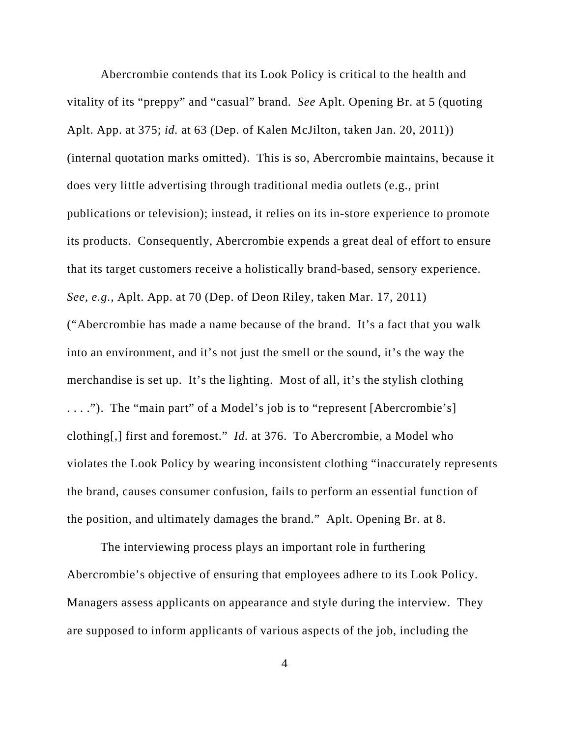Abercrombie contends that its Look Policy is critical to the health and vitality of its "preppy" and "casual" brand. *See* Aplt. Opening Br. at 5 (quoting Aplt. App. at 375; *id.* at 63 (Dep. of Kalen McJilton, taken Jan. 20, 2011)) (internal quotation marks omitted). This is so, Abercrombie maintains, because it does very little advertising through traditional media outlets (e.g., print publications or television); instead, it relies on its in-store experience to promote its products. Consequently, Abercrombie expends a great deal of effort to ensure that its target customers receive a holistically brand-based, sensory experience. *See, e.g.*, Aplt. App. at 70 (Dep. of Deon Riley, taken Mar. 17, 2011) ("Abercrombie has made a name because of the brand. It's a fact that you walk into an environment, and it's not just the smell or the sound, it's the way the merchandise is set up. It's the lighting. Most of all, it's the stylish clothing . . . ."). The "main part" of a Model's job is to "represent [Abercrombie's] clothing[,] first and foremost." *Id.* at 376. To Abercrombie, a Model who violates the Look Policy by wearing inconsistent clothing "inaccurately represents the brand, causes consumer confusion, fails to perform an essential function of the position, and ultimately damages the brand." Aplt. Opening Br. at 8.

The interviewing process plays an important role in furthering Abercrombie's objective of ensuring that employees adhere to its Look Policy. Managers assess applicants on appearance and style during the interview. They are supposed to inform applicants of various aspects of the job, including the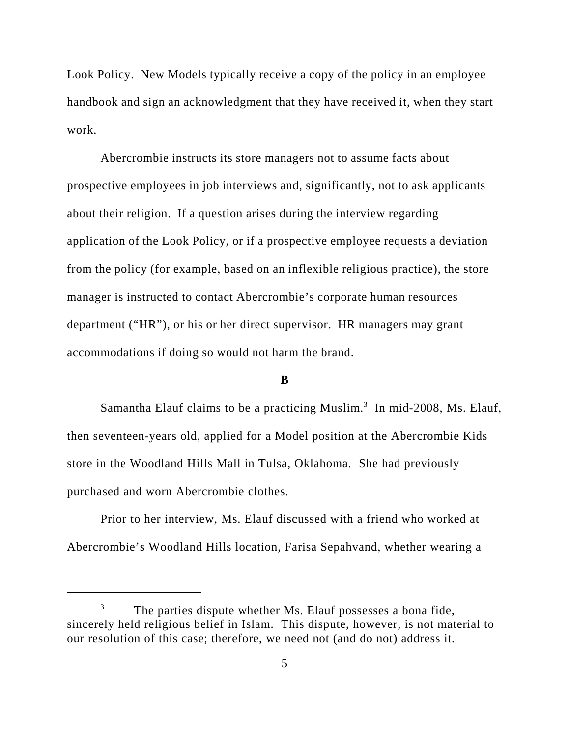Look Policy. New Models typically receive a copy of the policy in an employee handbook and sign an acknowledgment that they have received it, when they start work.

Abercrombie instructs its store managers not to assume facts about prospective employees in job interviews and, significantly, not to ask applicants about their religion. If a question arises during the interview regarding application of the Look Policy, or if a prospective employee requests a deviation from the policy (for example, based on an inflexible religious practice), the store manager is instructed to contact Abercrombie's corporate human resources department ("HR"), or his or her direct supervisor. HR managers may grant accommodations if doing so would not harm the brand.

#### **B**

Samantha Elauf claims to be a practicing Muslim.<sup>3</sup> In mid-2008, Ms. Elauf, then seventeen-years old, applied for a Model position at the Abercrombie Kids store in the Woodland Hills Mall in Tulsa, Oklahoma. She had previously purchased and worn Abercrombie clothes.

Prior to her interview, Ms. Elauf discussed with a friend who worked at Abercrombie's Woodland Hills location, Farisa Sepahvand, whether wearing a

The parties dispute whether Ms. Elauf possesses a bona fide, sincerely held religious belief in Islam. This dispute, however, is not material to our resolution of this case; therefore, we need not (and do not) address it.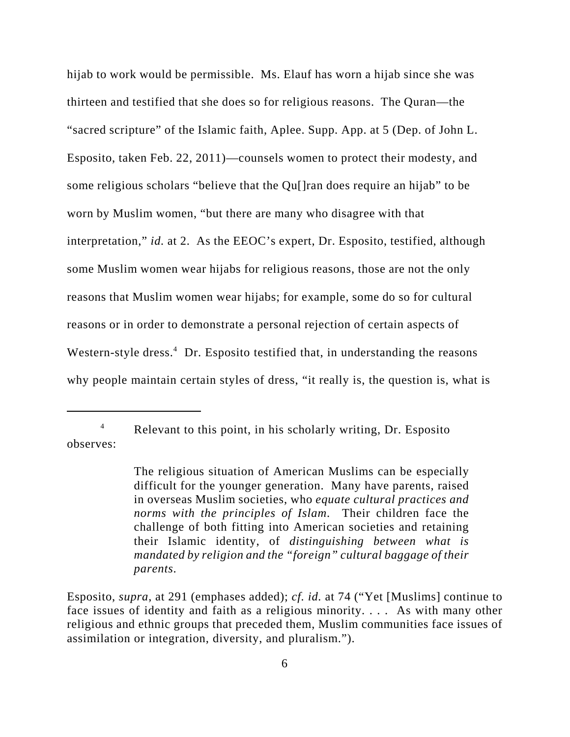hijab to work would be permissible. Ms. Elauf has worn a hijab since she was thirteen and testified that she does so for religious reasons. The Quran—the "sacred scripture" of the Islamic faith, Aplee. Supp. App. at 5 (Dep. of John L. Esposito, taken Feb. 22, 2011)—counsels women to protect their modesty, and some religious scholars "believe that the Qu[]ran does require an hijab" to be worn by Muslim women, "but there are many who disagree with that interpretation," *id.* at 2. As the EEOC's expert, Dr. Esposito, testified, although some Muslim women wear hijabs for religious reasons, those are not the only reasons that Muslim women wear hijabs; for example, some do so for cultural reasons or in order to demonstrate a personal rejection of certain aspects of Western-style dress.<sup>4</sup> Dr. Esposito testified that, in understanding the reasons why people maintain certain styles of dress, "it really is, the question is, what is

<sup>4</sup> Relevant to this point, in his scholarly writing, Dr. Esposito observes:

The religious situation of American Muslims can be especially difficult for the younger generation. Many have parents, raised in overseas Muslim societies, who *equate cultural practices and norms with the principles of Islam*. Their children face the challenge of both fitting into American societies and retaining their Islamic identity, of *distinguishing between what is mandated by religion and the "foreign" cultural baggage of their parents*.

Esposito, *supra*, at 291 (emphases added); *cf. id.* at 74 ("Yet [Muslims] continue to face issues of identity and faith as a religious minority. . . . As with many other religious and ethnic groups that preceded them, Muslim communities face issues of assimilation or integration, diversity, and pluralism.").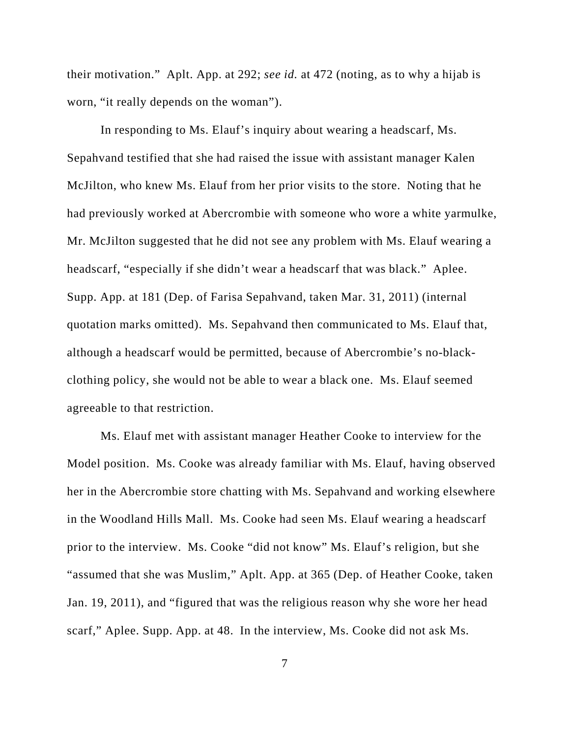their motivation." Aplt. App. at 292; *see id.* at 472 (noting, as to why a hijab is worn, "it really depends on the woman").

In responding to Ms. Elauf's inquiry about wearing a headscarf, Ms. Sepahvand testified that she had raised the issue with assistant manager Kalen McJilton, who knew Ms. Elauf from her prior visits to the store. Noting that he had previously worked at Abercrombie with someone who wore a white yarmulke, Mr. McJilton suggested that he did not see any problem with Ms. Elauf wearing a headscarf, "especially if she didn't wear a headscarf that was black." Aplee. Supp. App. at 181 (Dep. of Farisa Sepahvand, taken Mar. 31, 2011) (internal quotation marks omitted). Ms. Sepahvand then communicated to Ms. Elauf that, although a headscarf would be permitted, because of Abercrombie's no-blackclothing policy, she would not be able to wear a black one. Ms. Elauf seemed agreeable to that restriction.

Ms. Elauf met with assistant manager Heather Cooke to interview for the Model position. Ms. Cooke was already familiar with Ms. Elauf, having observed her in the Abercrombie store chatting with Ms. Sepahvand and working elsewhere in the Woodland Hills Mall. Ms. Cooke had seen Ms. Elauf wearing a headscarf prior to the interview. Ms. Cooke "did not know" Ms. Elauf's religion, but she "assumed that she was Muslim," Aplt. App. at 365 (Dep. of Heather Cooke, taken Jan. 19, 2011), and "figured that was the religious reason why she wore her head scarf," Aplee. Supp. App. at 48. In the interview, Ms. Cooke did not ask Ms.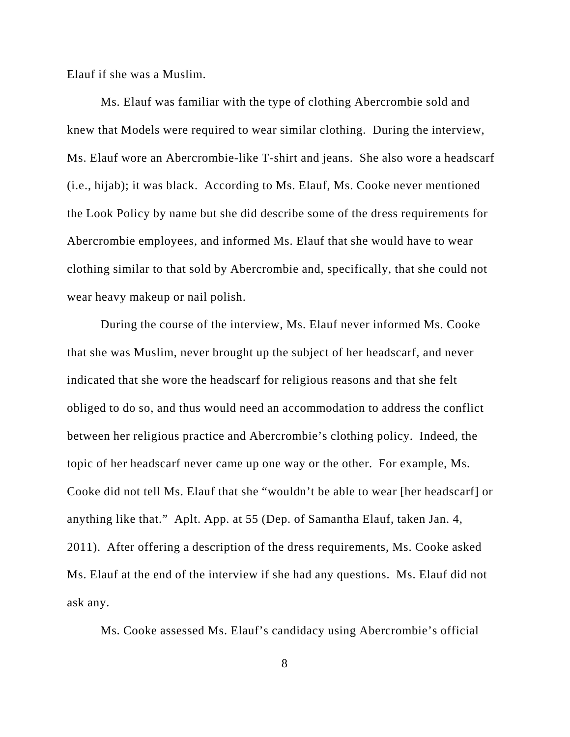Elauf if she was a Muslim.

Ms. Elauf was familiar with the type of clothing Abercrombie sold and knew that Models were required to wear similar clothing. During the interview, Ms. Elauf wore an Abercrombie-like T-shirt and jeans. She also wore a headscarf (i.e., hijab); it was black. According to Ms. Elauf, Ms. Cooke never mentioned the Look Policy by name but she did describe some of the dress requirements for Abercrombie employees, and informed Ms. Elauf that she would have to wear clothing similar to that sold by Abercrombie and, specifically, that she could not wear heavy makeup or nail polish.

During the course of the interview, Ms. Elauf never informed Ms. Cooke that she was Muslim, never brought up the subject of her headscarf, and never indicated that she wore the headscarf for religious reasons and that she felt obliged to do so, and thus would need an accommodation to address the conflict between her religious practice and Abercrombie's clothing policy. Indeed, the topic of her headscarf never came up one way or the other. For example, Ms. Cooke did not tell Ms. Elauf that she "wouldn't be able to wear [her headscarf] or anything like that." Aplt. App. at 55 (Dep. of Samantha Elauf, taken Jan. 4, 2011). After offering a description of the dress requirements, Ms. Cooke asked Ms. Elauf at the end of the interview if she had any questions. Ms. Elauf did not ask any.

Ms. Cooke assessed Ms. Elauf's candidacy using Abercrombie's official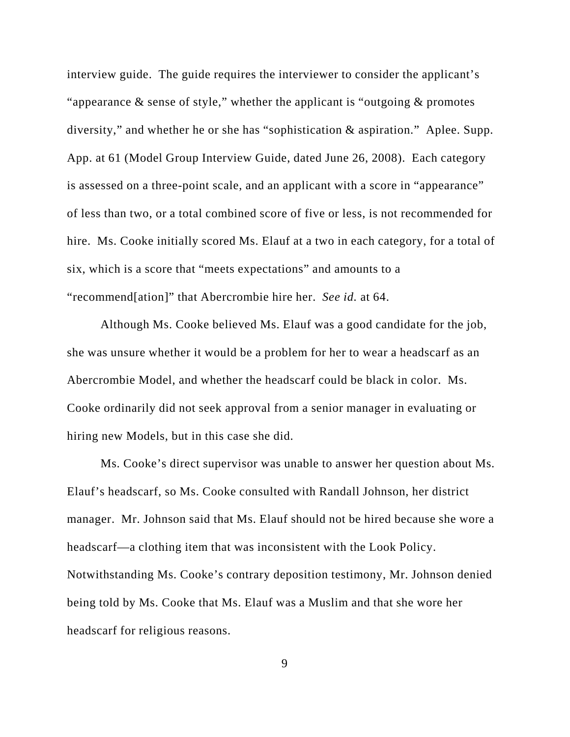interview guide. The guide requires the interviewer to consider the applicant's "appearance  $\&$  sense of style," whether the applicant is "outgoing  $\&$  promotes diversity," and whether he or she has "sophistication & aspiration." Aplee. Supp. App. at 61 (Model Group Interview Guide, dated June 26, 2008). Each category is assessed on a three-point scale, and an applicant with a score in "appearance" of less than two, or a total combined score of five or less, is not recommended for hire. Ms. Cooke initially scored Ms. Elauf at a two in each category, for a total of six, which is a score that "meets expectations" and amounts to a "recommend[ation]" that Abercrombie hire her. *See id.* at 64.

Although Ms. Cooke believed Ms. Elauf was a good candidate for the job, she was unsure whether it would be a problem for her to wear a headscarf as an Abercrombie Model, and whether the headscarf could be black in color. Ms. Cooke ordinarily did not seek approval from a senior manager in evaluating or hiring new Models, but in this case she did.

Ms. Cooke's direct supervisor was unable to answer her question about Ms. Elauf's headscarf, so Ms. Cooke consulted with Randall Johnson, her district manager. Mr. Johnson said that Ms. Elauf should not be hired because she wore a headscarf—a clothing item that was inconsistent with the Look Policy. Notwithstanding Ms. Cooke's contrary deposition testimony, Mr. Johnson denied being told by Ms. Cooke that Ms. Elauf was a Muslim and that she wore her headscarf for religious reasons.

9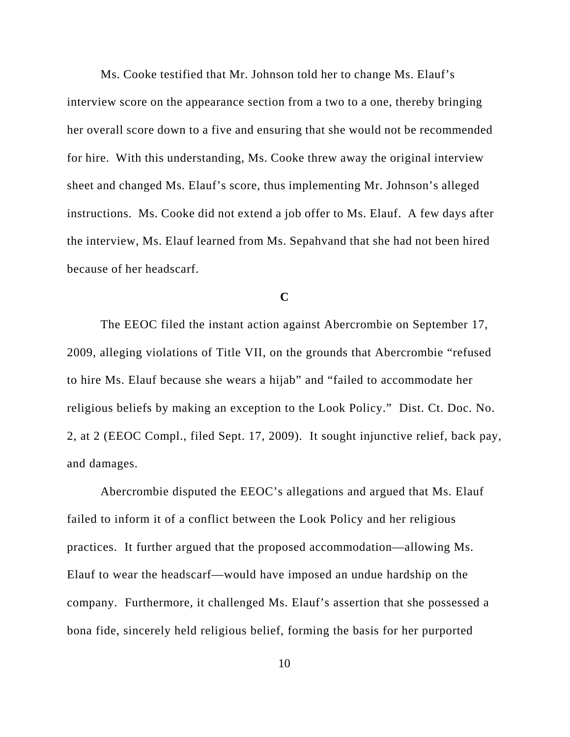Ms. Cooke testified that Mr. Johnson told her to change Ms. Elauf's interview score on the appearance section from a two to a one, thereby bringing her overall score down to a five and ensuring that she would not be recommended for hire. With this understanding, Ms. Cooke threw away the original interview sheet and changed Ms. Elauf's score, thus implementing Mr. Johnson's alleged instructions. Ms. Cooke did not extend a job offer to Ms. Elauf. A few days after the interview, Ms. Elauf learned from Ms. Sepahvand that she had not been hired because of her headscarf.

**C**

The EEOC filed the instant action against Abercrombie on September 17, 2009, alleging violations of Title VII, on the grounds that Abercrombie "refused to hire Ms. Elauf because she wears a hijab" and "failed to accommodate her religious beliefs by making an exception to the Look Policy." Dist. Ct. Doc. No. 2, at 2 (EEOC Compl., filed Sept. 17, 2009). It sought injunctive relief, back pay, and damages.

Abercrombie disputed the EEOC's allegations and argued that Ms. Elauf failed to inform it of a conflict between the Look Policy and her religious practices. It further argued that the proposed accommodation—allowing Ms. Elauf to wear the headscarf—would have imposed an undue hardship on the company. Furthermore, it challenged Ms. Elauf's assertion that she possessed a bona fide, sincerely held religious belief, forming the basis for her purported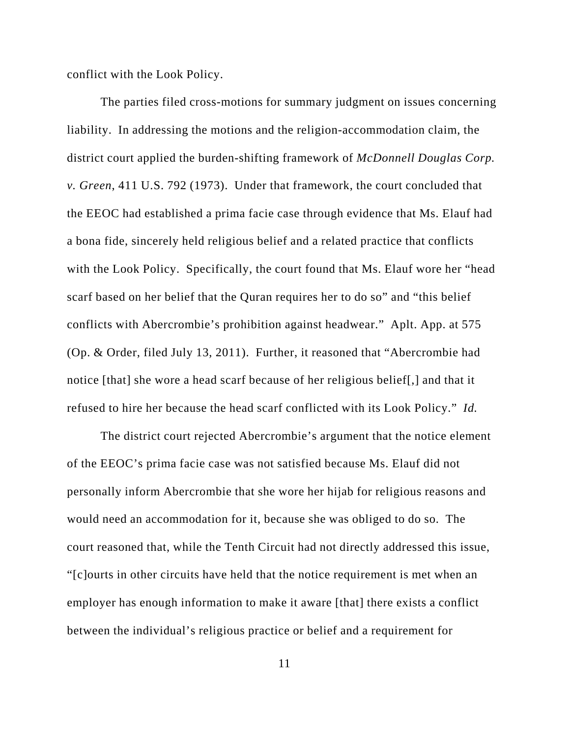conflict with the Look Policy.

The parties filed cross-motions for summary judgment on issues concerning liability. In addressing the motions and the religion-accommodation claim, the district court applied the burden-shifting framework of *McDonnell Douglas Corp. v. Green*, 411 U.S. 792 (1973). Under that framework, the court concluded that the EEOC had established a prima facie case through evidence that Ms. Elauf had a bona fide, sincerely held religious belief and a related practice that conflicts with the Look Policy. Specifically, the court found that Ms. Elauf wore her "head scarf based on her belief that the Quran requires her to do so" and "this belief conflicts with Abercrombie's prohibition against headwear." Aplt. App. at 575 (Op. & Order, filed July 13, 2011). Further, it reasoned that "Abercrombie had notice [that] she wore a head scarf because of her religious belief[,] and that it refused to hire her because the head scarf conflicted with its Look Policy." *Id.*

The district court rejected Abercrombie's argument that the notice element of the EEOC's prima facie case was not satisfied because Ms. Elauf did not personally inform Abercrombie that she wore her hijab for religious reasons and would need an accommodation for it, because she was obliged to do so. The court reasoned that, while the Tenth Circuit had not directly addressed this issue, "[c]ourts in other circuits have held that the notice requirement is met when an employer has enough information to make it aware [that] there exists a conflict between the individual's religious practice or belief and a requirement for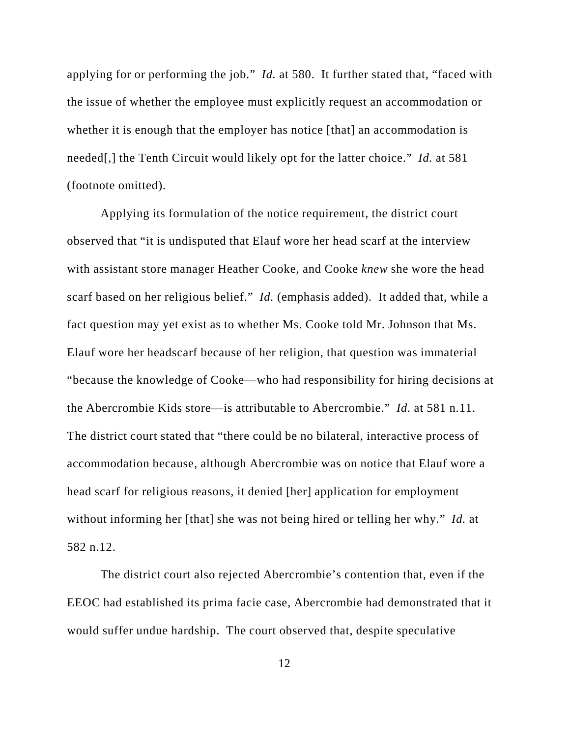applying for or performing the job." *Id.* at 580. It further stated that, "faced with the issue of whether the employee must explicitly request an accommodation or whether it is enough that the employer has notice [that] an accommodation is needed[,] the Tenth Circuit would likely opt for the latter choice." *Id.* at 581 (footnote omitted).

Applying its formulation of the notice requirement, the district court observed that "it is undisputed that Elauf wore her head scarf at the interview with assistant store manager Heather Cooke, and Cooke *knew* she wore the head scarf based on her religious belief." *Id.* (emphasis added). It added that, while a fact question may yet exist as to whether Ms. Cooke told Mr. Johnson that Ms. Elauf wore her headscarf because of her religion, that question was immaterial "because the knowledge of Cooke—who had responsibility for hiring decisions at the Abercrombie Kids store—is attributable to Abercrombie." *Id.* at 581 n.11. The district court stated that "there could be no bilateral, interactive process of accommodation because, although Abercrombie was on notice that Elauf wore a head scarf for religious reasons, it denied [her] application for employment without informing her [that] she was not being hired or telling her why." *Id.* at 582 n.12.

The district court also rejected Abercrombie's contention that, even if the EEOC had established its prima facie case, Abercrombie had demonstrated that it would suffer undue hardship. The court observed that, despite speculative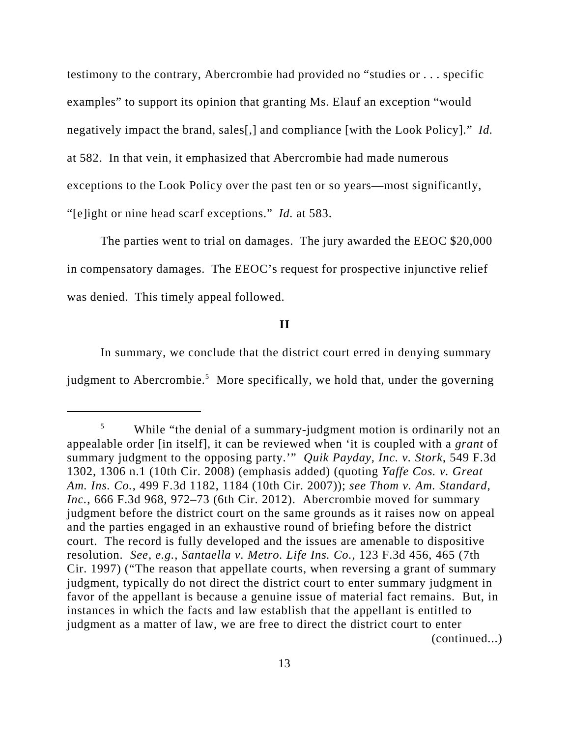testimony to the contrary, Abercrombie had provided no "studies or . . . specific examples" to support its opinion that granting Ms. Elauf an exception "would negatively impact the brand, sales[,] and compliance [with the Look Policy]." *Id.* at 582. In that vein, it emphasized that Abercrombie had made numerous exceptions to the Look Policy over the past ten or so years—most significantly, "[e]ight or nine head scarf exceptions." *Id.* at 583.

The parties went to trial on damages. The jury awarded the EEOC \$20,000 in compensatory damages. The EEOC's request for prospective injunctive relief was denied. This timely appeal followed.

## **II**

In summary, we conclude that the district court erred in denying summary judgment to Abercrombie.<sup>5</sup> More specifically, we hold that, under the governing

<sup>&</sup>lt;sup>5</sup> While "the denial of a summary-judgment motion is ordinarily not an appealable order [in itself], it can be reviewed when 'it is coupled with a *grant* of summary judgment to the opposing party.'" *Quik Payday, Inc. v. Stork*, 549 F.3d 1302, 1306 n.1 (10th Cir. 2008) (emphasis added) (quoting *Yaffe Cos. v. Great Am. Ins. Co.*, 499 F.3d 1182, 1184 (10th Cir. 2007)); *see Thom v. Am. Standard, Inc.*, 666 F.3d 968, 972–73 (6th Cir. 2012). Abercrombie moved for summary judgment before the district court on the same grounds as it raises now on appeal and the parties engaged in an exhaustive round of briefing before the district court. The record is fully developed and the issues are amenable to dispositive resolution. *See, e.g.*, *Santaella v. Metro. Life Ins. Co.*, 123 F.3d 456, 465 (7th Cir. 1997) ("The reason that appellate courts, when reversing a grant of summary judgment, typically do not direct the district court to enter summary judgment in favor of the appellant is because a genuine issue of material fact remains. But, in instances in which the facts and law establish that the appellant is entitled to judgment as a matter of law, we are free to direct the district court to enter (continued...)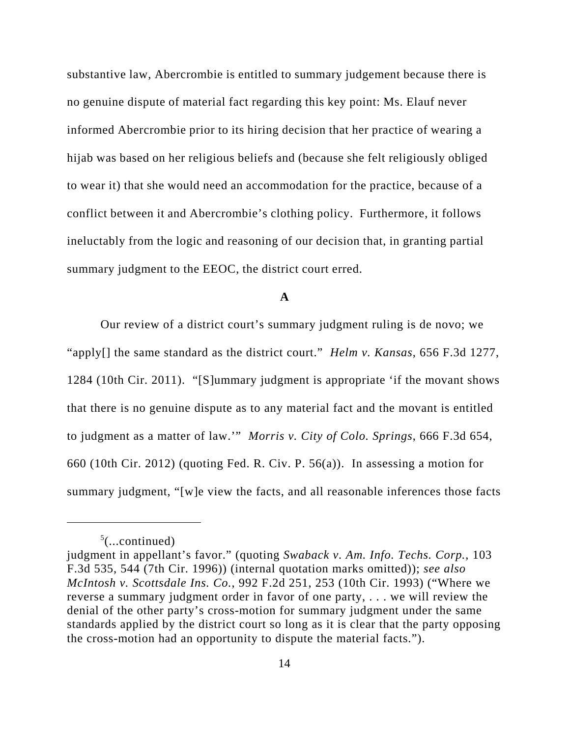substantive law, Abercrombie is entitled to summary judgement because there is no genuine dispute of material fact regarding this key point: Ms. Elauf never informed Abercrombie prior to its hiring decision that her practice of wearing a hijab was based on her religious beliefs and (because she felt religiously obliged to wear it) that she would need an accommodation for the practice, because of a conflict between it and Abercrombie's clothing policy. Furthermore, it follows ineluctably from the logic and reasoning of our decision that, in granting partial summary judgment to the EEOC, the district court erred.

### **A**

Our review of a district court's summary judgment ruling is de novo; we "apply[] the same standard as the district court." *Helm v. Kansas*, 656 F.3d 1277, 1284 (10th Cir. 2011). "[S]ummary judgment is appropriate 'if the movant shows that there is no genuine dispute as to any material fact and the movant is entitled to judgment as a matter of law.'" *Morris v. City of Colo. Springs*, 666 F.3d 654, 660 (10th Cir. 2012) (quoting Fed. R. Civ. P. 56(a)). In assessing a motion for summary judgment, "[w]e view the facts, and all reasonable inferences those facts

 $5$ (...continued)

judgment in appellant's favor." (quoting *Swaback v. Am. Info. Techs. Corp.*, 103 F.3d 535, 544 (7th Cir. 1996)) (internal quotation marks omitted)); *see also McIntosh v. Scottsdale Ins. Co.*, 992 F.2d 251, 253 (10th Cir. 1993) ("Where we reverse a summary judgment order in favor of one party, . . . we will review the denial of the other party's cross-motion for summary judgment under the same standards applied by the district court so long as it is clear that the party opposing the cross-motion had an opportunity to dispute the material facts.").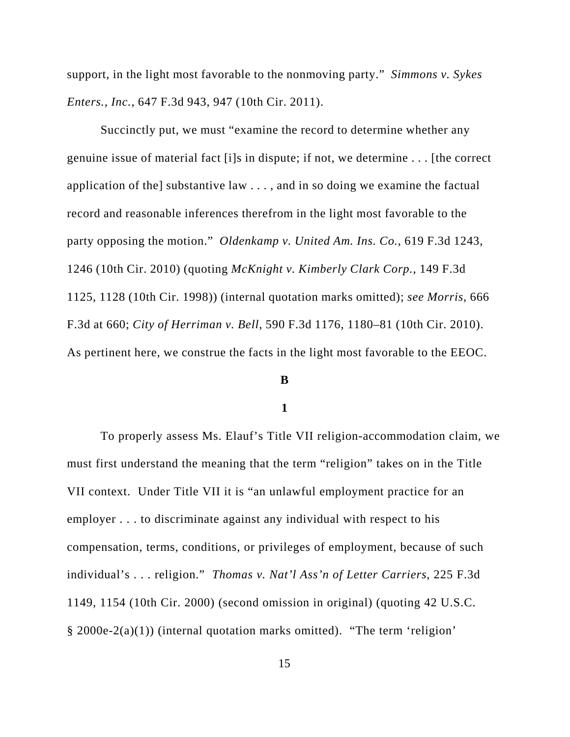support, in the light most favorable to the nonmoving party." *Simmons v. Sykes Enters., Inc.*, 647 F.3d 943, 947 (10th Cir. 2011).

Succinctly put, we must "examine the record to determine whether any genuine issue of material fact [i]s in dispute; if not, we determine . . . [the correct application of the] substantive law . . . , and in so doing we examine the factual record and reasonable inferences therefrom in the light most favorable to the party opposing the motion." *Oldenkamp v. United Am. Ins. Co.*, 619 F.3d 1243, 1246 (10th Cir. 2010) (quoting *McKnight v. Kimberly Clark Corp.*, 149 F.3d 1125, 1128 (10th Cir. 1998)) (internal quotation marks omitted); *see Morris*, 666 F.3d at 660; *City of Herriman v. Bell*, 590 F.3d 1176, 1180–81 (10th Cir. 2010). As pertinent here, we construe the facts in the light most favorable to the EEOC.

#### **B**

#### **1**

To properly assess Ms. Elauf's Title VII religion-accommodation claim, we must first understand the meaning that the term "religion" takes on in the Title VII context. Under Title VII it is "an unlawful employment practice for an employer . . . to discriminate against any individual with respect to his compensation, terms, conditions, or privileges of employment, because of such individual's . . . religion." *Thomas v. Nat'l Ass'n of Letter Carriers*, 225 F.3d 1149, 1154 (10th Cir. 2000) (second omission in original) (quoting 42 U.S.C. § 2000e-2(a)(1)) (internal quotation marks omitted). "The term 'religion'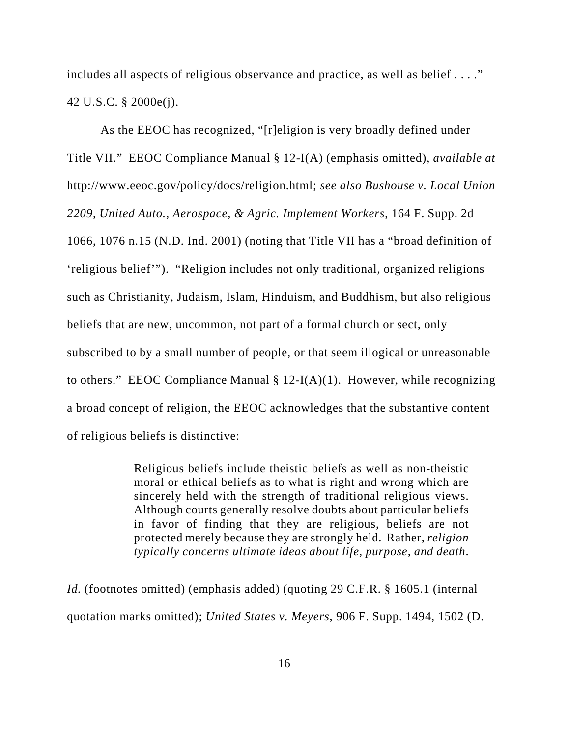includes all aspects of religious observance and practice, as well as belief . . . ." 42 U.S.C. § 2000e(j).

As the EEOC has recognized, "[r]eligion is very broadly defined under Title VII." EEOC Compliance Manual § 12-I(A) (emphasis omitted), *available at* http://www.eeoc.gov/policy/docs/religion.html; *see also Bushouse v. Local Union 2209, United Auto., Aerospace, & Agric. Implement Workers*, 164 F. Supp. 2d 1066, 1076 n.15 (N.D. Ind. 2001) (noting that Title VII has a "broad definition of 'religious belief'"). "Religion includes not only traditional, organized religions such as Christianity, Judaism, Islam, Hinduism, and Buddhism, but also religious beliefs that are new, uncommon, not part of a formal church or sect, only subscribed to by a small number of people, or that seem illogical or unreasonable to others." EEOC Compliance Manual  $\S 12-I(A)(1)$ . However, while recognizing a broad concept of religion, the EEOC acknowledges that the substantive content of religious beliefs is distinctive:

> Religious beliefs include theistic beliefs as well as non-theistic moral or ethical beliefs as to what is right and wrong which are sincerely held with the strength of traditional religious views. Although courts generally resolve doubts about particular beliefs in favor of finding that they are religious, beliefs are not protected merely because they are strongly held. Rather, *religion typically concerns ultimate ideas about life, purpose, and death*.

*Id.* (footnotes omitted) (emphasis added) (quoting 29 C.F.R. § 1605.1 (internal quotation marks omitted); *United States v. Meyers*, 906 F. Supp. 1494, 1502 (D.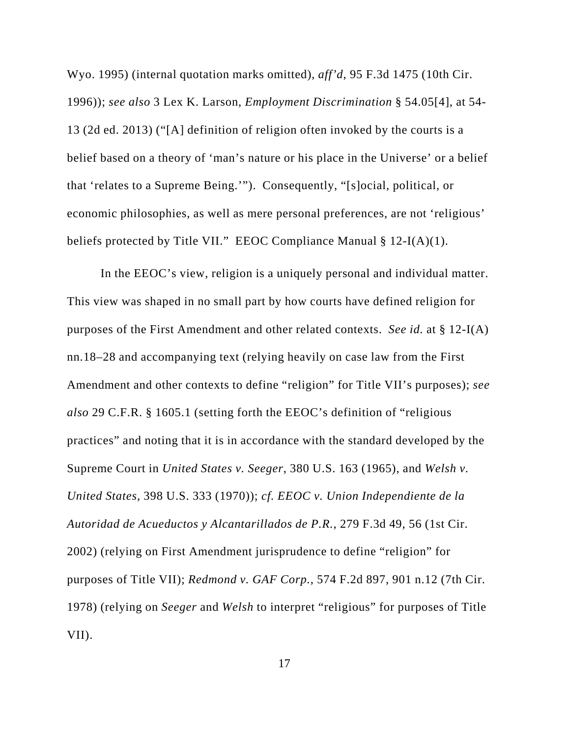Wyo. 1995) (internal quotation marks omitted), *aff'd*, 95 F.3d 1475 (10th Cir. 1996)); *see also* 3 Lex K. Larson, *Employment Discrimination* § 54.05[4], at 54- 13 (2d ed. 2013) ("[A] definition of religion often invoked by the courts is a belief based on a theory of 'man's nature or his place in the Universe' or a belief that 'relates to a Supreme Being.'"). Consequently, "[s]ocial, political, or economic philosophies, as well as mere personal preferences, are not 'religious' beliefs protected by Title VII." EEOC Compliance Manual § 12-I(A)(1).

In the EEOC's view, religion is a uniquely personal and individual matter. This view was shaped in no small part by how courts have defined religion for purposes of the First Amendment and other related contexts. *See id.* at § 12-I(A) nn.18–28 and accompanying text (relying heavily on case law from the First Amendment and other contexts to define "religion" for Title VII's purposes); *see also* 29 C.F.R. § 1605.1 (setting forth the EEOC's definition of "religious practices" and noting that it is in accordance with the standard developed by the Supreme Court in *United States v. Seeger*, 380 U.S. 163 (1965), and *Welsh v. United States*, 398 U.S. 333 (1970)); *cf. EEOC v. Union Independiente de la Autoridad de Acueductos y Alcantarillados de P.R.*, 279 F.3d 49, 56 (1st Cir. 2002) (relying on First Amendment jurisprudence to define "religion" for purposes of Title VII); *Redmond v. GAF Corp.*, 574 F.2d 897, 901 n.12 (7th Cir. 1978) (relying on *Seeger* and *Welsh* to interpret "religious" for purposes of Title VII).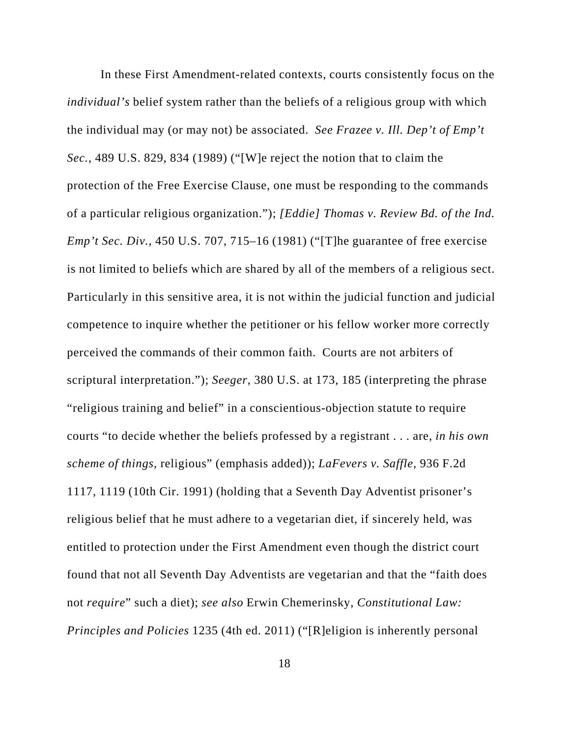In these First Amendment-related contexts, courts consistently focus on the *individual's* belief system rather than the beliefs of a religious group with which the individual may (or may not) be associated. *See Frazee v. Ill. Dep't of Emp't Sec.*, 489 U.S. 829, 834 (1989) ("[W]e reject the notion that to claim the protection of the Free Exercise Clause, one must be responding to the commands of a particular religious organization."); *[Eddie] Thomas v. Review Bd. of the Ind. Emp't Sec. Div.*, 450 U.S. 707, 715–16 (1981) ("[T]he guarantee of free exercise is not limited to beliefs which are shared by all of the members of a religious sect. Particularly in this sensitive area, it is not within the judicial function and judicial competence to inquire whether the petitioner or his fellow worker more correctly perceived the commands of their common faith. Courts are not arbiters of scriptural interpretation."); *Seeger*, 380 U.S. at 173, 185 (interpreting the phrase "religious training and belief" in a conscientious-objection statute to require courts "to decide whether the beliefs professed by a registrant . . . are, *in his own scheme of things*, religious" (emphasis added)); *LaFevers v. Saffle*, 936 F.2d 1117, 1119 (10th Cir. 1991) (holding that a Seventh Day Adventist prisoner's religious belief that he must adhere to a vegetarian diet, if sincerely held, was entitled to protection under the First Amendment even though the district court found that not all Seventh Day Adventists are vegetarian and that the "faith does not *require*" such a diet); *see also* Erwin Chemerinsky, *Constitutional Law: Principles and Policies* 1235 (4th ed. 2011) ("[R]eligion is inherently personal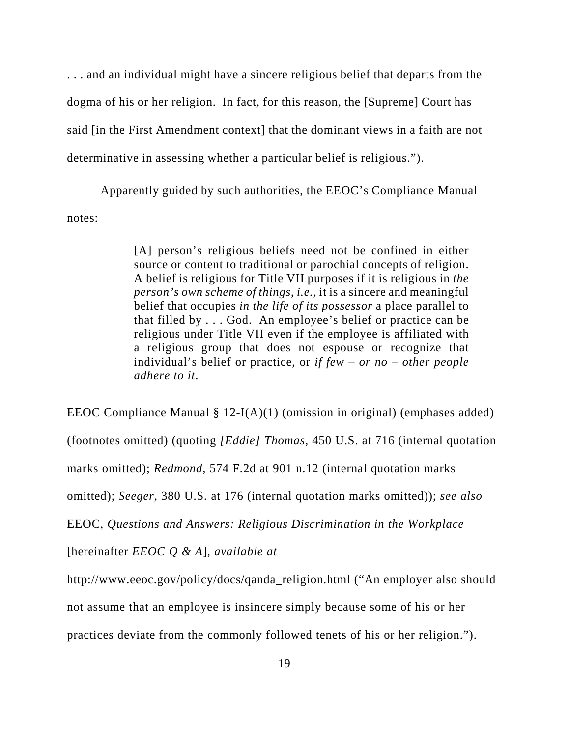. . . and an individual might have a sincere religious belief that departs from the dogma of his or her religion. In fact, for this reason, the [Supreme] Court has said [in the First Amendment context] that the dominant views in a faith are not determinative in assessing whether a particular belief is religious.").

Apparently guided by such authorities, the EEOC's Compliance Manual notes:

> [A] person's religious beliefs need not be confined in either source or content to traditional or parochial concepts of religion. A belief is religious for Title VII purposes if it is religious in *the person's own scheme of things*, *i.e.*, it is a sincere and meaningful belief that occupies *in the life of its possessor* a place parallel to that filled by . . . God. An employee's belief or practice can be religious under Title VII even if the employee is affiliated with a religious group that does not espouse or recognize that individual's belief or practice, or *if few – or no – other people adhere to it*.

EEOC Compliance Manual § 12-I(A)(1) (omission in original) (emphases added) (footnotes omitted) (quoting *[Eddie] Thomas*, 450 U.S. at 716 (internal quotation marks omitted); *Redmond*, 574 F.2d at 901 n.12 (internal quotation marks omitted); *Seeger*, 380 U.S. at 176 (internal quotation marks omitted)); *see also* EEOC, *Questions and Answers: Religious Discrimination in the Workplace* [hereinafter *EEOC Q & A*], *available at* http://www.eeoc.gov/policy/docs/qanda\_religion.html ("An employer also should not assume that an employee is insincere simply because some of his or her

practices deviate from the commonly followed tenets of his or her religion.").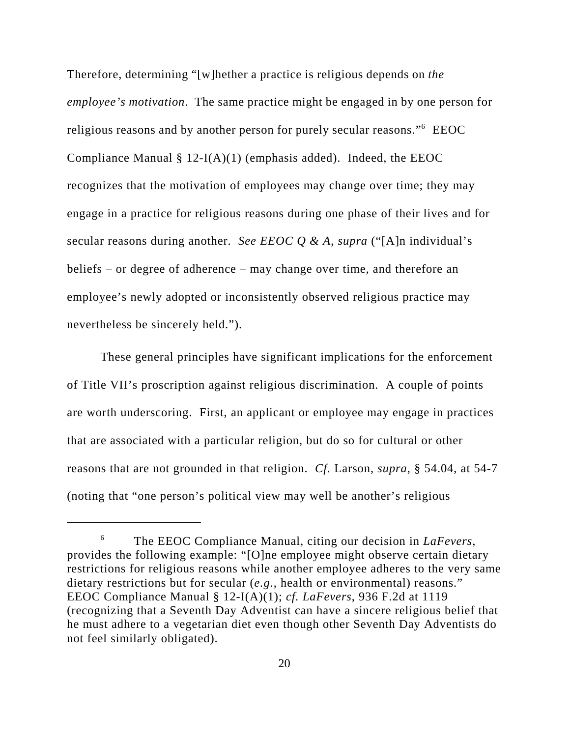Therefore, determining "[w]hether a practice is religious depends on *the employee's motivation*. The same practice might be engaged in by one person for religious reasons and by another person for purely secular reasons." EEOC Compliance Manual  $\S 12-I(A)(1)$  (emphasis added). Indeed, the EEOC recognizes that the motivation of employees may change over time; they may engage in a practice for religious reasons during one phase of their lives and for secular reasons during another. *See EEOC Q & A*, *supra* ("[A]n individual's beliefs – or degree of adherence – may change over time, and therefore an employee's newly adopted or inconsistently observed religious practice may nevertheless be sincerely held.").

These general principles have significant implications for the enforcement of Title VII's proscription against religious discrimination. A couple of points are worth underscoring. First, an applicant or employee may engage in practices that are associated with a particular religion, but do so for cultural or other reasons that are not grounded in that religion. *Cf.* Larson, *supra*, § 54.04, at 54-7 (noting that "one person's political view may well be another's religious

<sup>6</sup> The EEOC Compliance Manual, citing our decision in *LaFevers*, provides the following example: "[O]ne employee might observe certain dietary restrictions for religious reasons while another employee adheres to the very same dietary restrictions but for secular (*e.g.*, health or environmental) reasons." EEOC Compliance Manual § 12-I(A)(1); *cf. LaFevers*, 936 F.2d at 1119 (recognizing that a Seventh Day Adventist can have a sincere religious belief that he must adhere to a vegetarian diet even though other Seventh Day Adventists do not feel similarly obligated).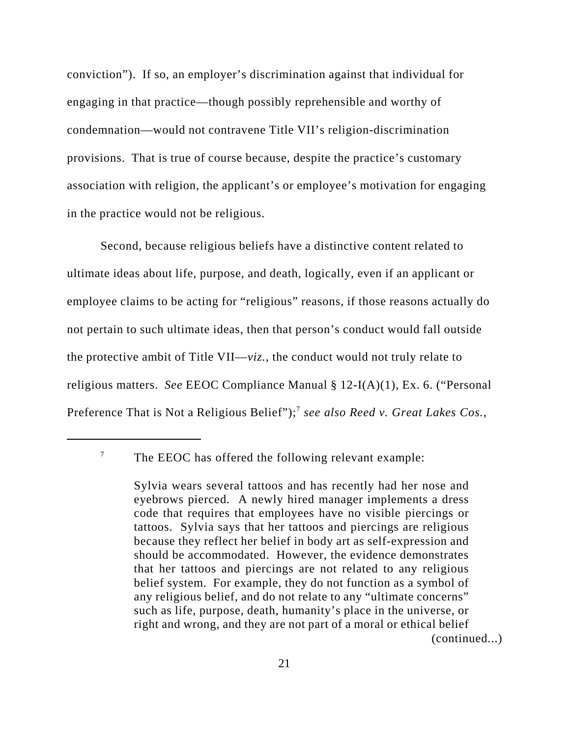conviction"). If so, an employer's discrimination against that individual for engaging in that practice—though possibly reprehensible and worthy of condemnation—would not contravene Title VII's religion-discrimination provisions. That is true of course because, despite the practice's customary association with religion, the applicant's or employee's motivation for engaging in the practice would not be religious.

Second, because religious beliefs have a distinctive content related to ultimate ideas about life, purpose, and death, logically, even if an applicant or employee claims to be acting for "religious" reasons, if those reasons actually do not pertain to such ultimate ideas, then that person's conduct would fall outside the protective ambit of Title VII—*viz.*, the conduct would not truly relate to religious matters. *See* EEOC Compliance Manual § 12-I(A)(1), Ex. 6. ("Personal Preference That is Not a Religious Belief");<sup>7</sup> see also Reed v. Great Lakes Cos.,

 $7$  The EEOC has offered the following relevant example:

Sylvia wears several tattoos and has recently had her nose and eyebrows pierced. A newly hired manager implements a dress code that requires that employees have no visible piercings or tattoos. Sylvia says that her tattoos and piercings are religious because they reflect her belief in body art as self-expression and should be accommodated. However, the evidence demonstrates that her tattoos and piercings are not related to any religious belief system. For example, they do not function as a symbol of any religious belief, and do not relate to any "ultimate concerns" such as life, purpose, death, humanity's place in the universe, or right and wrong, and they are not part of a moral or ethical belief (continued...)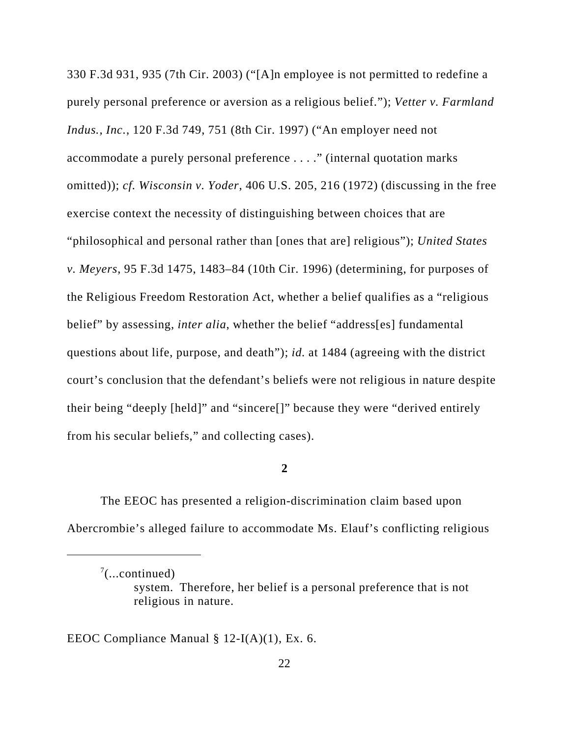330 F.3d 931, 935 (7th Cir. 2003) ("[A]n employee is not permitted to redefine a purely personal preference or aversion as a religious belief."); *Vetter v. Farmland Indus., Inc.*, 120 F.3d 749, 751 (8th Cir. 1997) ("An employer need not accommodate a purely personal preference . . . ." (internal quotation marks omitted)); *cf. Wisconsin v. Yoder*, 406 U.S. 205, 216 (1972) (discussing in the free exercise context the necessity of distinguishing between choices that are "philosophical and personal rather than [ones that are] religious"); *United States v. Meyers*, 95 F.3d 1475, 1483–84 (10th Cir. 1996) (determining, for purposes of the Religious Freedom Restoration Act, whether a belief qualifies as a "religious belief" by assessing, *inter alia*, whether the belief "address[es] fundamental questions about life, purpose, and death"); *id.* at 1484 (agreeing with the district court's conclusion that the defendant's beliefs were not religious in nature despite their being "deeply [held]" and "sincere[]" because they were "derived entirely from his secular beliefs," and collecting cases).

### **2**

The EEOC has presented a religion-discrimination claim based upon Abercrombie's alleged failure to accommodate Ms. Elauf's conflicting religious

EEOC Compliance Manual § 12-I(A)(1), Ex. 6.

 $7$ (...continued)

system. Therefore, her belief is a personal preference that is not religious in nature.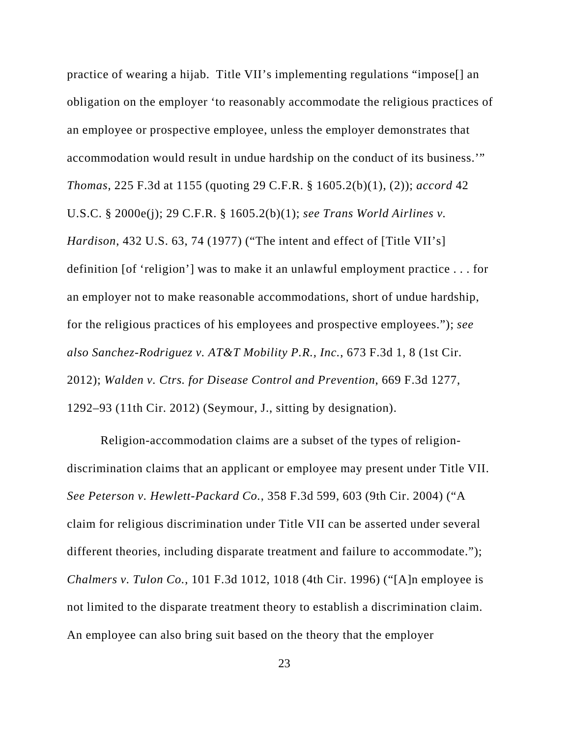practice of wearing a hijab. Title VII's implementing regulations "impose[] an obligation on the employer 'to reasonably accommodate the religious practices of an employee or prospective employee, unless the employer demonstrates that accommodation would result in undue hardship on the conduct of its business.'" *Thomas*, 225 F.3d at 1155 (quoting 29 C.F.R. § 1605.2(b)(1), (2)); *accord* 42 U.S.C. § 2000e(j); 29 C.F.R. § 1605.2(b)(1); *see Trans World Airlines v. Hardison*, 432 U.S. 63, 74 (1977) ("The intent and effect of [Title VII's] definition [of 'religion'] was to make it an unlawful employment practice . . . for an employer not to make reasonable accommodations, short of undue hardship, for the religious practices of his employees and prospective employees."); *see also Sanchez-Rodriguez v. AT&T Mobility P.R., Inc.*, 673 F.3d 1, 8 (1st Cir. 2012); *Walden v. Ctrs. for Disease Control and Prevention*, 669 F.3d 1277, 1292–93 (11th Cir. 2012) (Seymour, J., sitting by designation).

Religion-accommodation claims are a subset of the types of religiondiscrimination claims that an applicant or employee may present under Title VII. *See Peterson v. Hewlett-Packard Co.*, 358 F.3d 599, 603 (9th Cir. 2004) ("A claim for religious discrimination under Title VII can be asserted under several different theories, including disparate treatment and failure to accommodate."); *Chalmers v. Tulon Co.*, 101 F.3d 1012, 1018 (4th Cir. 1996) ("[A]n employee is not limited to the disparate treatment theory to establish a discrimination claim. An employee can also bring suit based on the theory that the employer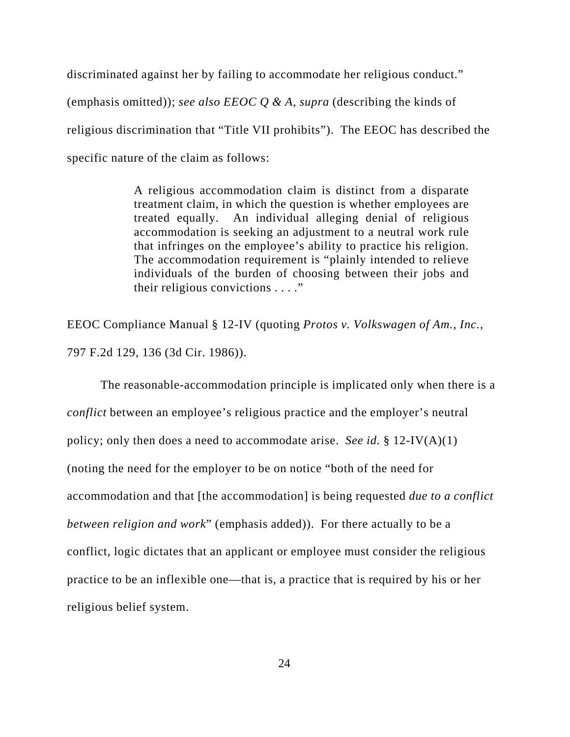discriminated against her by failing to accommodate her religious conduct." (emphasis omitted)); *see also EEOC Q & A*, *supra* (describing the kinds of religious discrimination that "Title VII prohibits"). The EEOC has described the specific nature of the claim as follows:

> A religious accommodation claim is distinct from a disparate treatment claim, in which the question is whether employees are treated equally. An individual alleging denial of religious accommodation is seeking an adjustment to a neutral work rule that infringes on the employee's ability to practice his religion. The accommodation requirement is "plainly intended to relieve individuals of the burden of choosing between their jobs and their religious convictions . . . ."

EEOC Compliance Manual § 12-IV (quoting *Protos v. Volkswagen of Am., Inc.*, 797 F.2d 129, 136 (3d Cir. 1986)).

The reasonable-accommodation principle is implicated only when there is a *conflict* between an employee's religious practice and the employer's neutral policy; only then does a need to accommodate arise. *See id.* § 12-IV(A)(1) (noting the need for the employer to be on notice "both of the need for accommodation and that [the accommodation] is being requested *due to a conflict between religion and work*" (emphasis added)). For there actually to be a conflict, logic dictates that an applicant or employee must consider the religious practice to be an inflexible one—that is, a practice that is required by his or her religious belief system.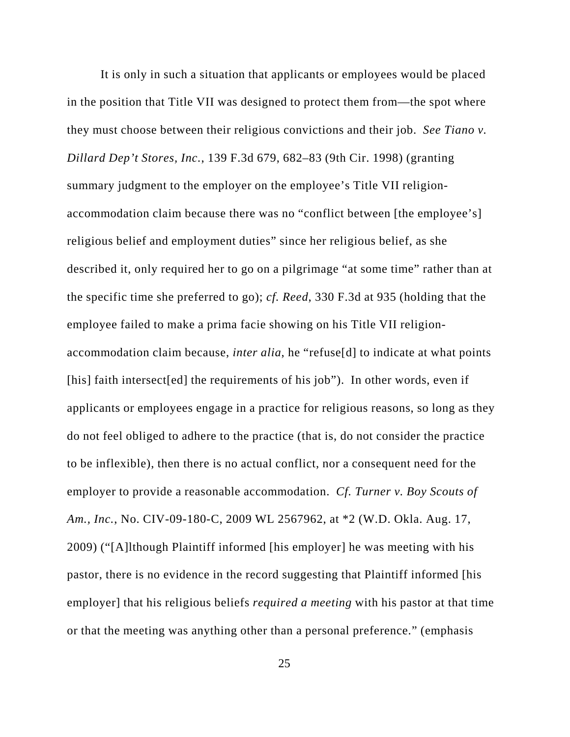It is only in such a situation that applicants or employees would be placed in the position that Title VII was designed to protect them from—the spot where they must choose between their religious convictions and their job. *See Tiano v. Dillard Dep't Stores, Inc.*, 139 F.3d 679, 682–83 (9th Cir. 1998) (granting summary judgment to the employer on the employee's Title VII religionaccommodation claim because there was no "conflict between [the employee's] religious belief and employment duties" since her religious belief, as she described it, only required her to go on a pilgrimage "at some time" rather than at the specific time she preferred to go); *cf. Reed*, 330 F.3d at 935 (holding that the employee failed to make a prima facie showing on his Title VII religionaccommodation claim because, *inter alia*, he "refuse[d] to indicate at what points [his] faith intersect[ed] the requirements of his job"). In other words, even if applicants or employees engage in a practice for religious reasons, so long as they do not feel obliged to adhere to the practice (that is, do not consider the practice to be inflexible), then there is no actual conflict, nor a consequent need for the employer to provide a reasonable accommodation. *Cf. Turner v. Boy Scouts of Am., Inc.*, No. CIV-09-180-C, 2009 WL 2567962, at \*2 (W.D. Okla. Aug. 17, 2009) ("[A]lthough Plaintiff informed [his employer] he was meeting with his pastor, there is no evidence in the record suggesting that Plaintiff informed [his employer] that his religious beliefs *required a meeting* with his pastor at that time or that the meeting was anything other than a personal preference." (emphasis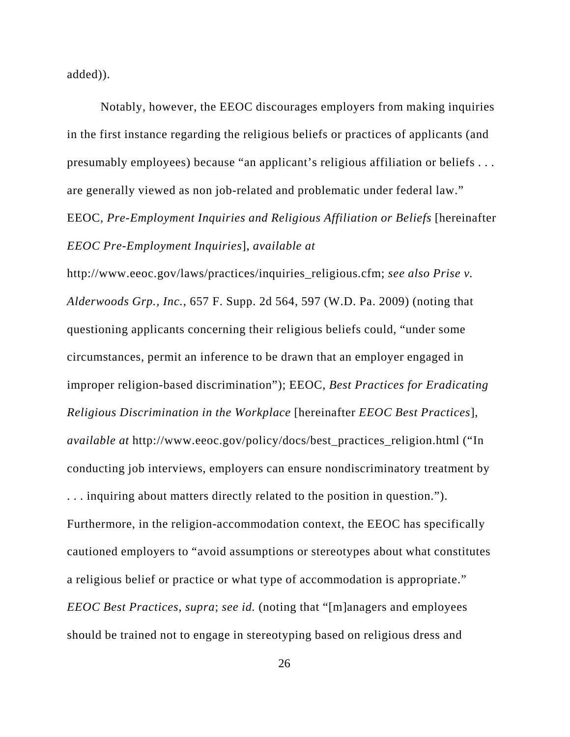added)).

Notably, however, the EEOC discourages employers from making inquiries in the first instance regarding the religious beliefs or practices of applicants (and presumably employees) because "an applicant's religious affiliation or beliefs . . . are generally viewed as non job-related and problematic under federal law." EEOC, *Pre-Employment Inquiries and Religious Affiliation or Beliefs* [hereinafter *EEOC Pre-Employment Inquiries*], *available at*

http://www.eeoc.gov/laws/practices/inquiries\_religious.cfm; *see also Prise v. Alderwoods Grp., Inc.*, 657 F. Supp. 2d 564, 597 (W.D. Pa. 2009) (noting that questioning applicants concerning their religious beliefs could, "under some circumstances, permit an inference to be drawn that an employer engaged in improper religion-based discrimination"); EEOC, *Best Practices for Eradicating Religious Discrimination in the Workplace* [hereinafter *EEOC Best Practices*], *available at* http://www.eeoc.gov/policy/docs/best\_practices\_religion.html ("In conducting job interviews, employers can ensure nondiscriminatory treatment by . . . inquiring about matters directly related to the position in question."). Furthermore, in the religion-accommodation context, the EEOC has specifically cautioned employers to "avoid assumptions or stereotypes about what constitutes a religious belief or practice or what type of accommodation is appropriate." *EEOC Best Practices*, *supra*; *see id.* (noting that "[m]anagers and employees should be trained not to engage in stereotyping based on religious dress and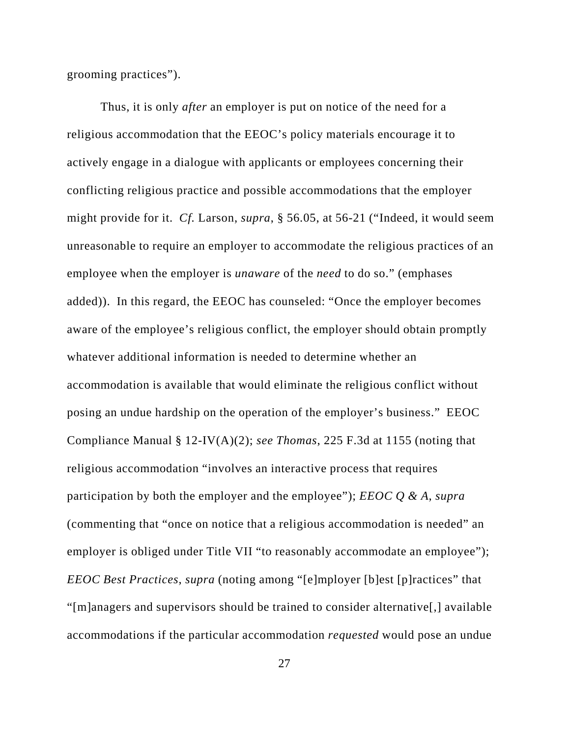grooming practices").

Thus, it is only *after* an employer is put on notice of the need for a religious accommodation that the EEOC's policy materials encourage it to actively engage in a dialogue with applicants or employees concerning their conflicting religious practice and possible accommodations that the employer might provide for it. *Cf.* Larson, *supra*, § 56.05, at 56-21 ("Indeed, it would seem unreasonable to require an employer to accommodate the religious practices of an employee when the employer is *unaware* of the *need* to do so." (emphases added)). In this regard, the EEOC has counseled: "Once the employer becomes aware of the employee's religious conflict, the employer should obtain promptly whatever additional information is needed to determine whether an accommodation is available that would eliminate the religious conflict without posing an undue hardship on the operation of the employer's business." EEOC Compliance Manual § 12-IV(A)(2); *see Thomas*, 225 F.3d at 1155 (noting that religious accommodation "involves an interactive process that requires participation by both the employer and the employee"); *EEOC Q & A*, *supra* (commenting that "once on notice that a religious accommodation is needed" an employer is obliged under Title VII "to reasonably accommodate an employee"); *EEOC Best Practices*, *supra* (noting among "[e]mployer [b]est [p]ractices" that "[m]anagers and supervisors should be trained to consider alternative[,] available accommodations if the particular accommodation *requested* would pose an undue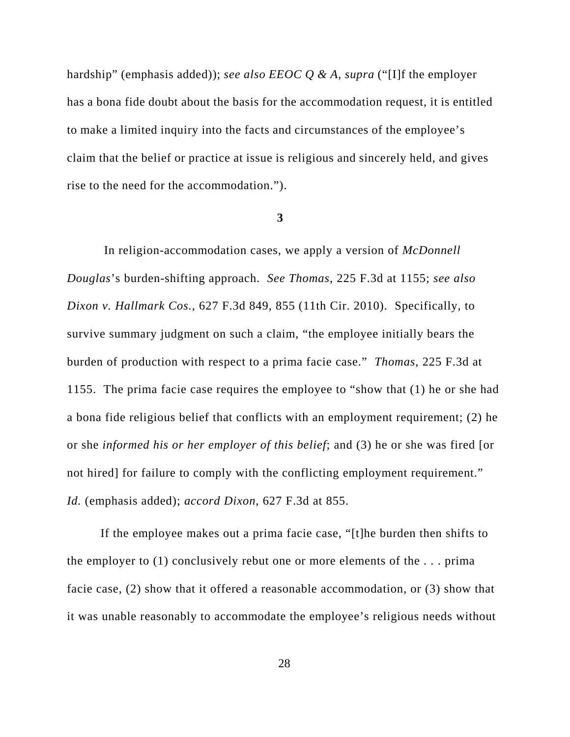hardship" (emphasis added)); *see also EEOC Q & A*, *supra* ("[I]f the employer has a bona fide doubt about the basis for the accommodation request, it is entitled to make a limited inquiry into the facts and circumstances of the employee's claim that the belief or practice at issue is religious and sincerely held, and gives rise to the need for the accommodation.").

#### **3**

 In religion-accommodation cases, we apply a version of *McDonnell Douglas*'s burden-shifting approach. *See Thomas*, 225 F.3d at 1155; *see also Dixon v. Hallmark Cos.*, 627 F.3d 849, 855 (11th Cir. 2010). Specifically, to survive summary judgment on such a claim, "the employee initially bears the burden of production with respect to a prima facie case." *Thomas*, 225 F.3d at 1155. The prima facie case requires the employee to "show that (1) he or she had a bona fide religious belief that conflicts with an employment requirement; (2) he or she *informed his or her employer of this belief*; and (3) he or she was fired [or not hired] for failure to comply with the conflicting employment requirement." *Id.* (emphasis added); *accord Dixon*, 627 F.3d at 855.

If the employee makes out a prima facie case, "[t]he burden then shifts to the employer to (1) conclusively rebut one or more elements of the . . . prima facie case, (2) show that it offered a reasonable accommodation, or (3) show that it was unable reasonably to accommodate the employee's religious needs without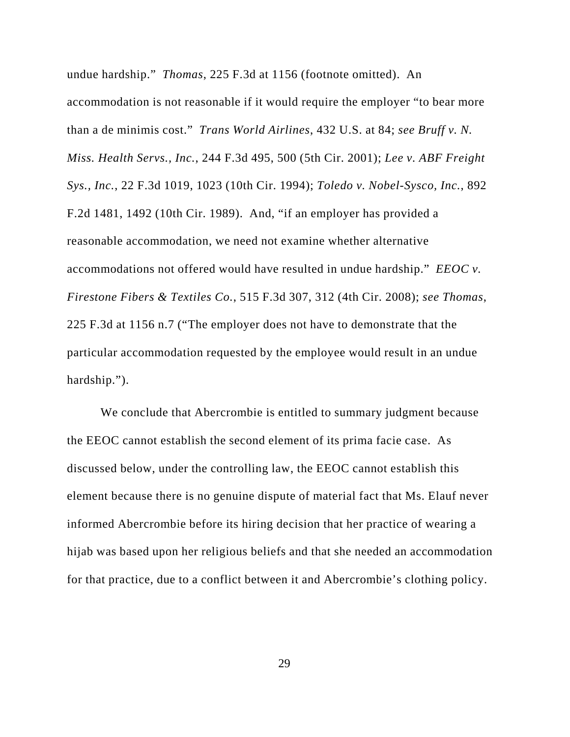undue hardship." *Thomas*, 225 F.3d at 1156 (footnote omitted). An accommodation is not reasonable if it would require the employer "to bear more than a de minimis cost." *Trans World Airlines*, 432 U.S. at 84; *see Bruff v. N. Miss. Health Servs., Inc.*, 244 F.3d 495, 500 (5th Cir. 2001); *Lee v. ABF Freight Sys., Inc.*, 22 F.3d 1019, 1023 (10th Cir. 1994); *Toledo v. Nobel-Sysco, Inc.*, 892 F.2d 1481, 1492 (10th Cir. 1989). And, "if an employer has provided a reasonable accommodation, we need not examine whether alternative accommodations not offered would have resulted in undue hardship." *EEOC v. Firestone Fibers & Textiles Co.*, 515 F.3d 307, 312 (4th Cir. 2008); *see Thomas*, 225 F.3d at 1156 n.7 ("The employer does not have to demonstrate that the particular accommodation requested by the employee would result in an undue hardship.").

We conclude that Abercrombie is entitled to summary judgment because the EEOC cannot establish the second element of its prima facie case. As discussed below, under the controlling law, the EEOC cannot establish this element because there is no genuine dispute of material fact that Ms. Elauf never informed Abercrombie before its hiring decision that her practice of wearing a hijab was based upon her religious beliefs and that she needed an accommodation for that practice, due to a conflict between it and Abercrombie's clothing policy.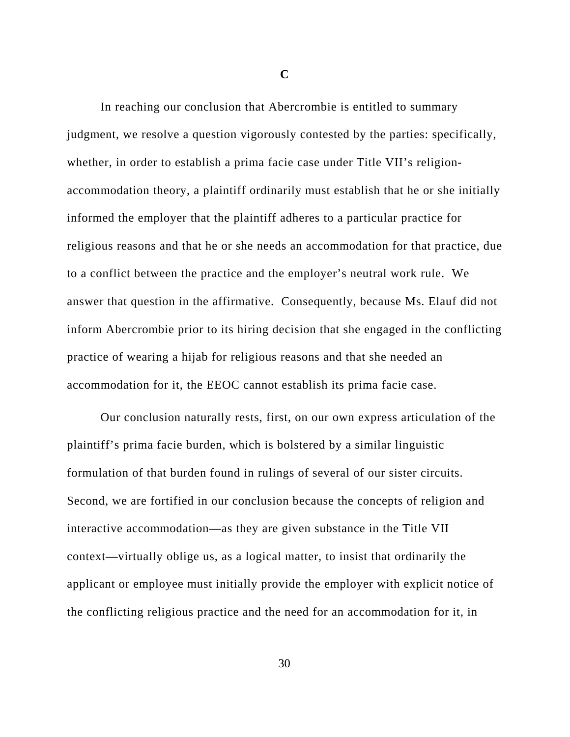**C**

In reaching our conclusion that Abercrombie is entitled to summary judgment, we resolve a question vigorously contested by the parties: specifically, whether, in order to establish a prima facie case under Title VII's religionaccommodation theory, a plaintiff ordinarily must establish that he or she initially informed the employer that the plaintiff adheres to a particular practice for religious reasons and that he or she needs an accommodation for that practice, due to a conflict between the practice and the employer's neutral work rule. We answer that question in the affirmative. Consequently, because Ms. Elauf did not inform Abercrombie prior to its hiring decision that she engaged in the conflicting practice of wearing a hijab for religious reasons and that she needed an accommodation for it, the EEOC cannot establish its prima facie case.

Our conclusion naturally rests, first, on our own express articulation of the plaintiff's prima facie burden, which is bolstered by a similar linguistic formulation of that burden found in rulings of several of our sister circuits. Second, we are fortified in our conclusion because the concepts of religion and interactive accommodation—as they are given substance in the Title VII context—virtually oblige us, as a logical matter, to insist that ordinarily the applicant or employee must initially provide the employer with explicit notice of the conflicting religious practice and the need for an accommodation for it, in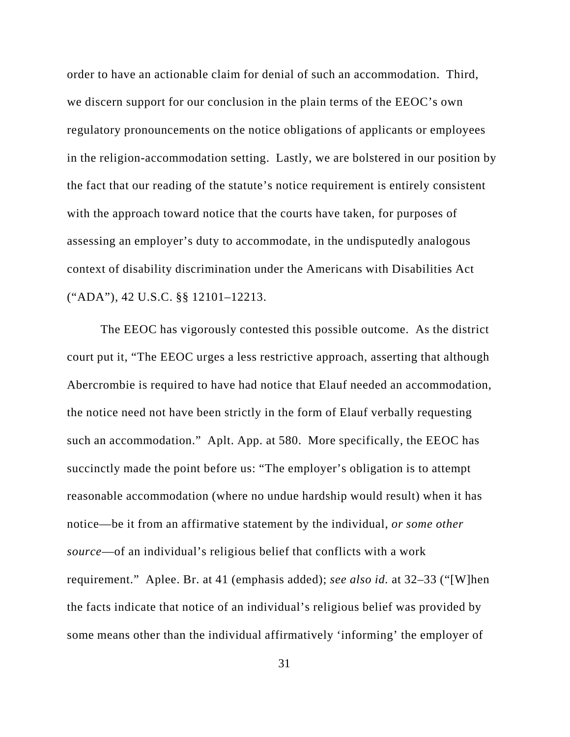order to have an actionable claim for denial of such an accommodation. Third, we discern support for our conclusion in the plain terms of the EEOC's own regulatory pronouncements on the notice obligations of applicants or employees in the religion-accommodation setting. Lastly, we are bolstered in our position by the fact that our reading of the statute's notice requirement is entirely consistent with the approach toward notice that the courts have taken, for purposes of assessing an employer's duty to accommodate, in the undisputedly analogous context of disability discrimination under the Americans with Disabilities Act ("ADA"), 42 U.S.C. §§ 12101–12213.

The EEOC has vigorously contested this possible outcome. As the district court put it, "The EEOC urges a less restrictive approach, asserting that although Abercrombie is required to have had notice that Elauf needed an accommodation, the notice need not have been strictly in the form of Elauf verbally requesting such an accommodation." Aplt. App. at 580. More specifically, the EEOC has succinctly made the point before us: "The employer's obligation is to attempt reasonable accommodation (where no undue hardship would result) when it has notice—be it from an affirmative statement by the individual, *or some other source*—of an individual's religious belief that conflicts with a work requirement." Aplee. Br. at 41 (emphasis added); *see also id.* at 32–33 ("[W]hen the facts indicate that notice of an individual's religious belief was provided by some means other than the individual affirmatively 'informing' the employer of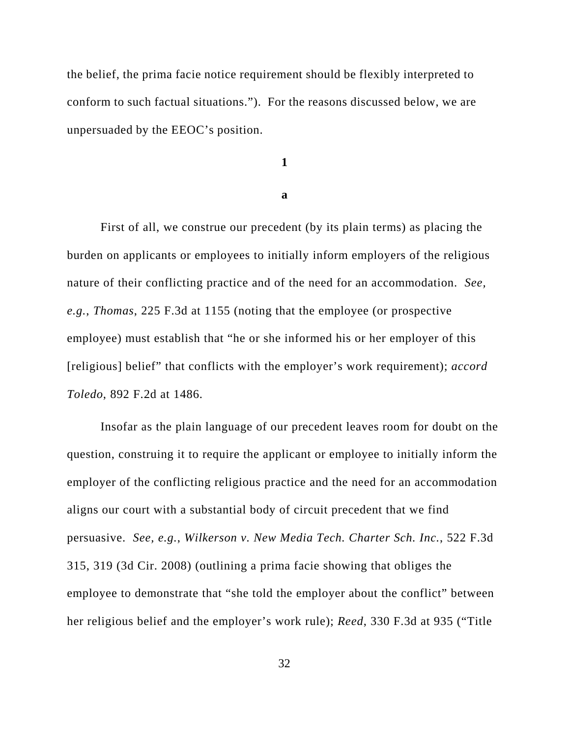the belief, the prima facie notice requirement should be flexibly interpreted to conform to such factual situations."). For the reasons discussed below, we are unpersuaded by the EEOC's position.

**1**

**a**

First of all, we construe our precedent (by its plain terms) as placing the burden on applicants or employees to initially inform employers of the religious nature of their conflicting practice and of the need for an accommodation. *See, e.g.*, *Thomas*, 225 F.3d at 1155 (noting that the employee (or prospective employee) must establish that "he or she informed his or her employer of this [religious] belief" that conflicts with the employer's work requirement); *accord Toledo*, 892 F.2d at 1486.

Insofar as the plain language of our precedent leaves room for doubt on the question, construing it to require the applicant or employee to initially inform the employer of the conflicting religious practice and the need for an accommodation aligns our court with a substantial body of circuit precedent that we find persuasive. *See, e.g.*, *Wilkerson v. New Media Tech. Charter Sch. Inc.*, 522 F.3d 315, 319 (3d Cir. 2008) (outlining a prima facie showing that obliges the employee to demonstrate that "she told the employer about the conflict" between her religious belief and the employer's work rule); *Reed*, 330 F.3d at 935 ("Title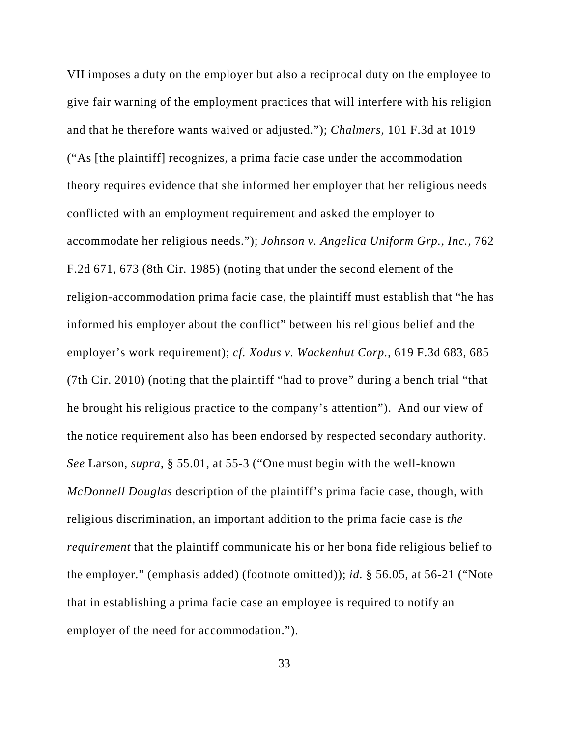VII imposes a duty on the employer but also a reciprocal duty on the employee to give fair warning of the employment practices that will interfere with his religion and that he therefore wants waived or adjusted."); *Chalmers*, 101 F.3d at 1019 ("As [the plaintiff] recognizes, a prima facie case under the accommodation theory requires evidence that she informed her employer that her religious needs conflicted with an employment requirement and asked the employer to accommodate her religious needs."); *Johnson v. Angelica Uniform Grp., Inc.*, 762 F.2d 671, 673 (8th Cir. 1985) (noting that under the second element of the religion-accommodation prima facie case, the plaintiff must establish that "he has informed his employer about the conflict" between his religious belief and the employer's work requirement); *cf. Xodus v. Wackenhut Corp.*, 619 F.3d 683, 685 (7th Cir. 2010) (noting that the plaintiff "had to prove" during a bench trial "that he brought his religious practice to the company's attention"). And our view of the notice requirement also has been endorsed by respected secondary authority. *See* Larson, *supra*, § 55.01, at 55-3 ("One must begin with the well-known *McDonnell Douglas* description of the plaintiff's prima facie case, though, with religious discrimination, an important addition to the prima facie case is *the requirement* that the plaintiff communicate his or her bona fide religious belief to the employer." (emphasis added) (footnote omitted)); *id.* § 56.05, at 56-21 ("Note that in establishing a prima facie case an employee is required to notify an employer of the need for accommodation.").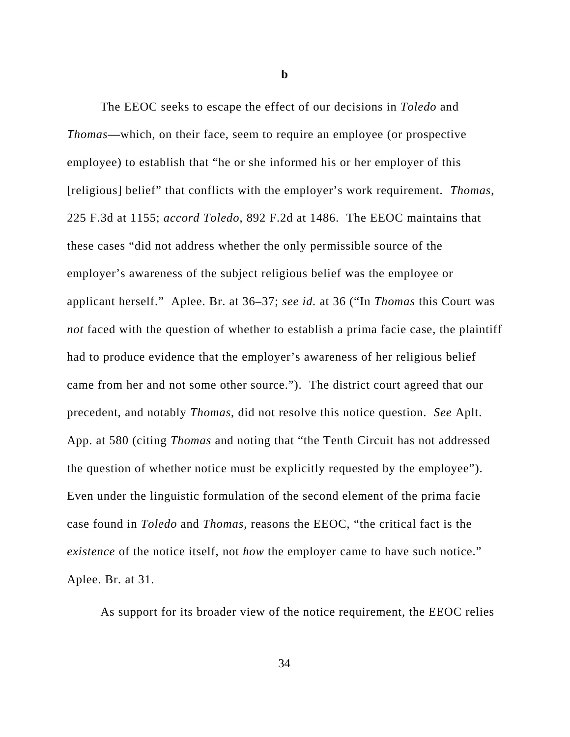**b**

The EEOC seeks to escape the effect of our decisions in *Toledo* and *Thomas*—which, on their face, seem to require an employee (or prospective employee) to establish that "he or she informed his or her employer of this [religious] belief" that conflicts with the employer's work requirement. *Thomas*, 225 F.3d at 1155; *accord Toledo*, 892 F.2d at 1486. The EEOC maintains that these cases "did not address whether the only permissible source of the employer's awareness of the subject religious belief was the employee or applicant herself." Aplee. Br. at 36–37; *see id.* at 36 ("In *Thomas* this Court was *not* faced with the question of whether to establish a prima facie case, the plaintiff had to produce evidence that the employer's awareness of her religious belief came from her and not some other source."). The district court agreed that our precedent, and notably *Thomas*, did not resolve this notice question. *See* Aplt. App. at 580 (citing *Thomas* and noting that "the Tenth Circuit has not addressed the question of whether notice must be explicitly requested by the employee"). Even under the linguistic formulation of the second element of the prima facie case found in *Toledo* and *Thomas*, reasons the EEOC, "the critical fact is the *existence* of the notice itself, not *how* the employer came to have such notice." Aplee. Br. at 31.

As support for its broader view of the notice requirement, the EEOC relies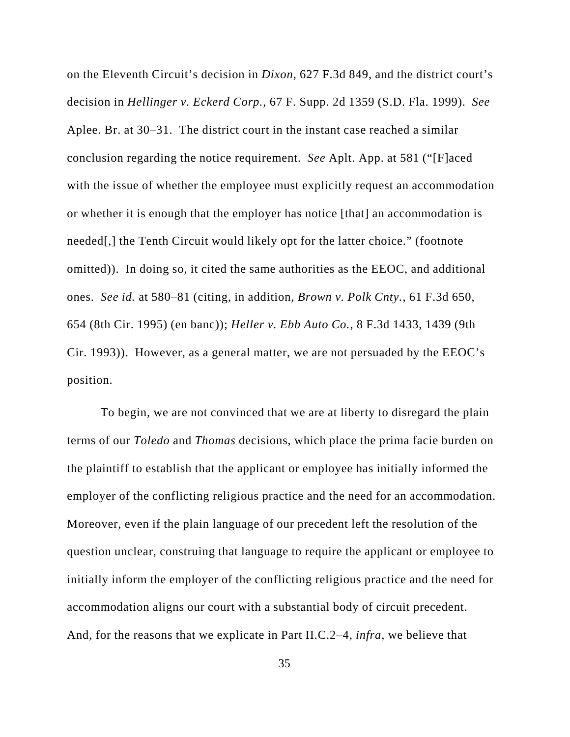on the Eleventh Circuit's decision in *Dixon*, 627 F.3d 849, and the district court's decision in *Hellinger v. Eckerd Corp.*, 67 F. Supp. 2d 1359 (S.D. Fla. 1999). *See* Aplee. Br. at 30–31. The district court in the instant case reached a similar conclusion regarding the notice requirement. *See* Aplt. App. at 581 ("[F]aced with the issue of whether the employee must explicitly request an accommodation or whether it is enough that the employer has notice [that] an accommodation is needed[,] the Tenth Circuit would likely opt for the latter choice." (footnote omitted)). In doing so, it cited the same authorities as the EEOC, and additional ones. *See id.* at 580–81 (citing, in addition, *Brown v. Polk Cnty.*, 61 F.3d 650, 654 (8th Cir. 1995) (en banc)); *Heller v. Ebb Auto Co.*, 8 F.3d 1433, 1439 (9th Cir. 1993)). However, as a general matter, we are not persuaded by the EEOC's position.

To begin, we are not convinced that we are at liberty to disregard the plain terms of our *Toledo* and *Thomas* decisions, which place the prima facie burden on the plaintiff to establish that the applicant or employee has initially informed the employer of the conflicting religious practice and the need for an accommodation. Moreover, even if the plain language of our precedent left the resolution of the question unclear, construing that language to require the applicant or employee to initially inform the employer of the conflicting religious practice and the need for accommodation aligns our court with a substantial body of circuit precedent. And, for the reasons that we explicate in Part II.C.2–4, *infra*, we believe that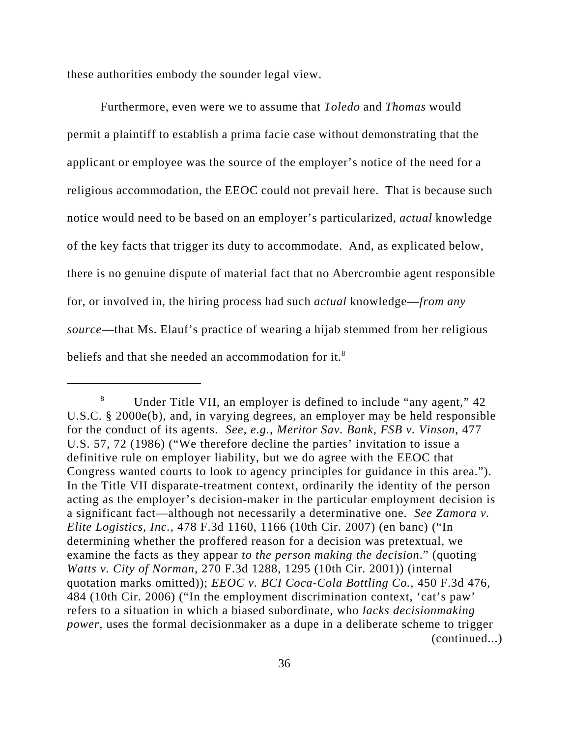these authorities embody the sounder legal view.

Furthermore, even were we to assume that *Toledo* and *Thomas* would permit a plaintiff to establish a prima facie case without demonstrating that the applicant or employee was the source of the employer's notice of the need for a religious accommodation, the EEOC could not prevail here. That is because such notice would need to be based on an employer's particularized, *actual* knowledge of the key facts that trigger its duty to accommodate. And, as explicated below, there is no genuine dispute of material fact that no Abercrombie agent responsible for, or involved in, the hiring process had such *actual* knowledge—*from any source*—that Ms. Elauf's practice of wearing a hijab stemmed from her religious beliefs and that she needed an accommodation for it.<sup>8</sup>

<sup>8</sup> Under Title VII, an employer is defined to include "any agent," 42 U.S.C. § 2000e(b), and, in varying degrees, an employer may be held responsible for the conduct of its agents. *See, e.g.*, *Meritor Sav. Bank, FSB v. Vinson*, 477 U.S. 57, 72 (1986) ("We therefore decline the parties' invitation to issue a definitive rule on employer liability, but we do agree with the EEOC that Congress wanted courts to look to agency principles for guidance in this area."). In the Title VII disparate-treatment context, ordinarily the identity of the person acting as the employer's decision-maker in the particular employment decision is a significant fact—although not necessarily a determinative one. *See Zamora v. Elite Logistics, Inc.*, 478 F.3d 1160, 1166 (10th Cir. 2007) (en banc) ("In determining whether the proffered reason for a decision was pretextual, we examine the facts as they appear *to the person making the decision*." (quoting *Watts v. City of Norman*, 270 F.3d 1288, 1295 (10th Cir. 2001)) (internal quotation marks omitted)); *EEOC v. BCI Coca-Cola Bottling Co.*, 450 F.3d 476, 484 (10th Cir. 2006) ("In the employment discrimination context, 'cat's paw' refers to a situation in which a biased subordinate, who *lacks decisionmaking power*, uses the formal decisionmaker as a dupe in a deliberate scheme to trigger (continued...)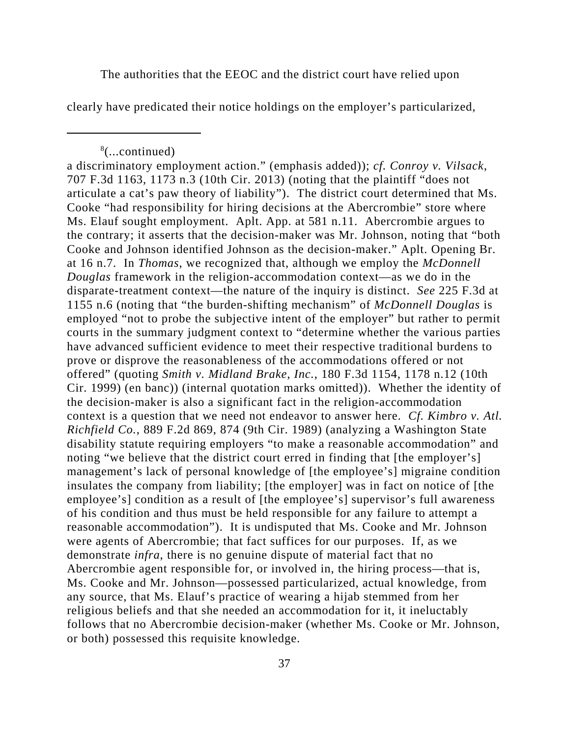The authorities that the EEOC and the district court have relied upon

clearly have predicated their notice holdings on the employer's particularized,

<sup>8</sup> (...continued)

a discriminatory employment action." (emphasis added)); *cf. Conroy v. Vilsack*, 707 F.3d 1163, 1173 n.3 (10th Cir. 2013) (noting that the plaintiff "does not articulate a cat's paw theory of liability"). The district court determined that Ms. Cooke "had responsibility for hiring decisions at the Abercrombie" store where Ms. Elauf sought employment. Aplt. App. at 581 n.11. Abercrombie argues to the contrary; it asserts that the decision-maker was Mr. Johnson, noting that "both Cooke and Johnson identified Johnson as the decision-maker." Aplt. Opening Br. at 16 n.7. In *Thomas*, we recognized that, although we employ the *McDonnell Douglas* framework in the religion-accommodation context—as we do in the disparate-treatment context—the nature of the inquiry is distinct. *See* 225 F.3d at 1155 n.6 (noting that "the burden-shifting mechanism" of *McDonnell Douglas* is employed "not to probe the subjective intent of the employer" but rather to permit courts in the summary judgment context to "determine whether the various parties have advanced sufficient evidence to meet their respective traditional burdens to prove or disprove the reasonableness of the accommodations offered or not offered" (quoting *Smith v. Midland Brake, Inc.*, 180 F.3d 1154, 1178 n.12 (10th Cir. 1999) (en banc)) (internal quotation marks omitted)). Whether the identity of the decision-maker is also a significant fact in the religion-accommodation context is a question that we need not endeavor to answer here. *Cf. Kimbro v. Atl. Richfield Co.*, 889 F.2d 869, 874 (9th Cir. 1989) (analyzing a Washington State disability statute requiring employers "to make a reasonable accommodation" and noting "we believe that the district court erred in finding that [the employer's] management's lack of personal knowledge of [the employee's] migraine condition insulates the company from liability; [the employer] was in fact on notice of [the employee's] condition as a result of [the employee's] supervisor's full awareness of his condition and thus must be held responsible for any failure to attempt a reasonable accommodation"). It is undisputed that Ms. Cooke and Mr. Johnson were agents of Abercrombie; that fact suffices for our purposes. If, as we demonstrate *infra*, there is no genuine dispute of material fact that no Abercrombie agent responsible for, or involved in, the hiring process—that is, Ms. Cooke and Mr. Johnson—possessed particularized, actual knowledge, from any source, that Ms. Elauf's practice of wearing a hijab stemmed from her religious beliefs and that she needed an accommodation for it, it ineluctably follows that no Abercrombie decision-maker (whether Ms. Cooke or Mr. Johnson, or both) possessed this requisite knowledge.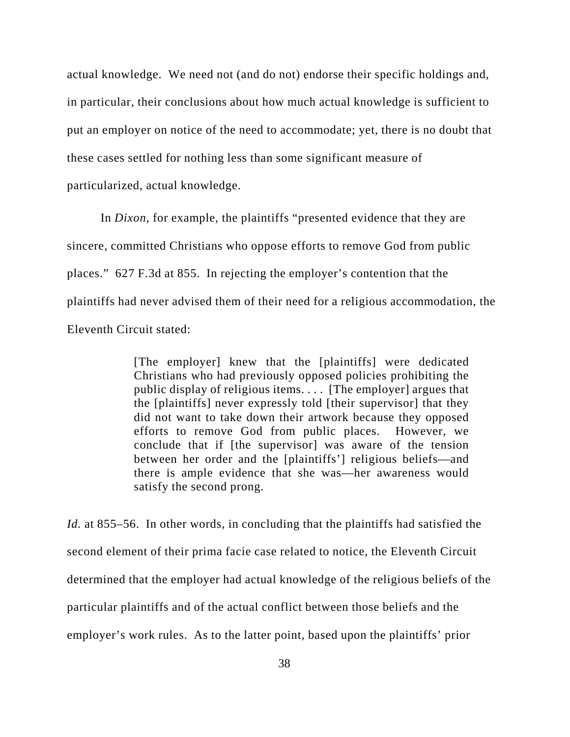actual knowledge. We need not (and do not) endorse their specific holdings and, in particular, their conclusions about how much actual knowledge is sufficient to put an employer on notice of the need to accommodate; yet, there is no doubt that these cases settled for nothing less than some significant measure of particularized, actual knowledge.

In *Dixon*, for example, the plaintiffs "presented evidence that they are sincere, committed Christians who oppose efforts to remove God from public places." 627 F.3d at 855. In rejecting the employer's contention that the plaintiffs had never advised them of their need for a religious accommodation, the Eleventh Circuit stated:

> [The employer] knew that the [plaintiffs] were dedicated Christians who had previously opposed policies prohibiting the public display of religious items. . . . [The employer] argues that the [plaintiffs] never expressly told [their supervisor] that they did not want to take down their artwork because they opposed efforts to remove God from public places. However, we conclude that if [the supervisor] was aware of the tension between her order and the [plaintiffs'] religious beliefs—and there is ample evidence that she was—her awareness would satisfy the second prong.

*Id.* at 855–56. In other words, in concluding that the plaintiffs had satisfied the second element of their prima facie case related to notice, the Eleventh Circuit determined that the employer had actual knowledge of the religious beliefs of the particular plaintiffs and of the actual conflict between those beliefs and the employer's work rules. As to the latter point, based upon the plaintiffs' prior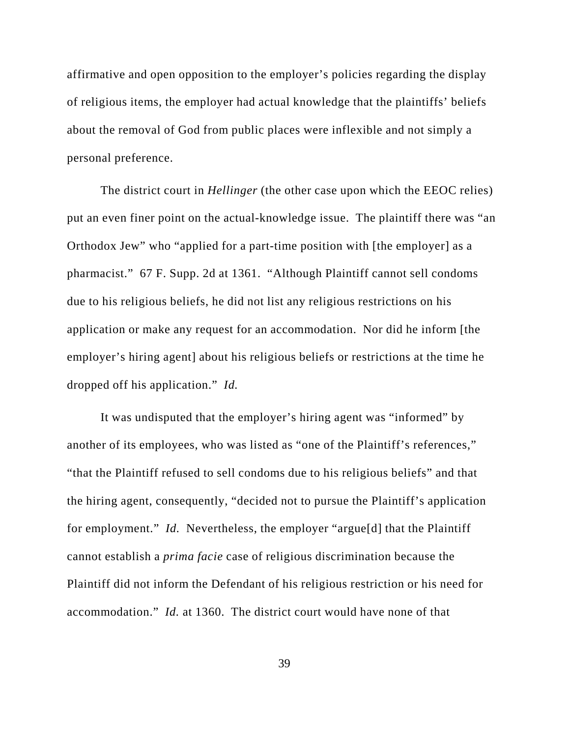affirmative and open opposition to the employer's policies regarding the display of religious items, the employer had actual knowledge that the plaintiffs' beliefs about the removal of God from public places were inflexible and not simply a personal preference.

The district court in *Hellinger* (the other case upon which the EEOC relies) put an even finer point on the actual-knowledge issue. The plaintiff there was "an Orthodox Jew" who "applied for a part-time position with [the employer] as a pharmacist." 67 F. Supp. 2d at 1361. "Although Plaintiff cannot sell condoms due to his religious beliefs, he did not list any religious restrictions on his application or make any request for an accommodation. Nor did he inform [the employer's hiring agent] about his religious beliefs or restrictions at the time he dropped off his application." *Id.* 

It was undisputed that the employer's hiring agent was "informed" by another of its employees, who was listed as "one of the Plaintiff's references," "that the Plaintiff refused to sell condoms due to his religious beliefs" and that the hiring agent, consequently, "decided not to pursue the Plaintiff's application for employment." *Id.* Nevertheless, the employer "argue[d] that the Plaintiff cannot establish a *prima facie* case of religious discrimination because the Plaintiff did not inform the Defendant of his religious restriction or his need for accommodation." *Id.* at 1360. The district court would have none of that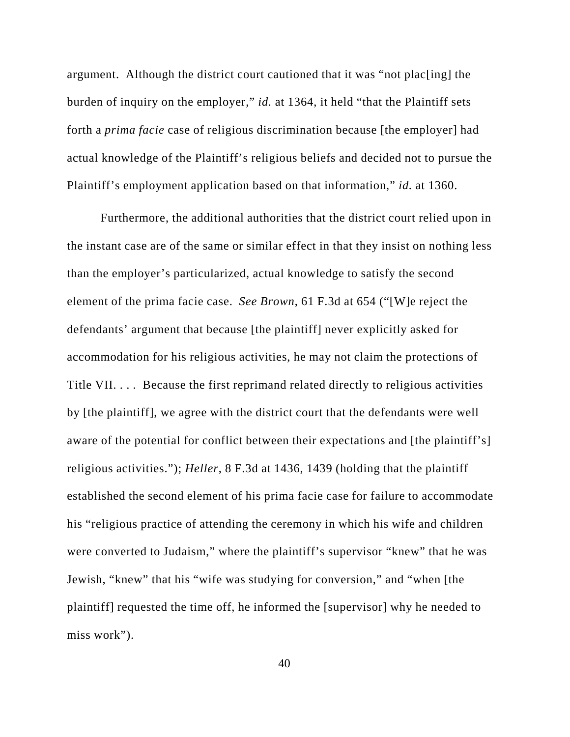argument. Although the district court cautioned that it was "not plac[ing] the burden of inquiry on the employer," *id.* at 1364, it held "that the Plaintiff sets forth a *prima facie* case of religious discrimination because [the employer] had actual knowledge of the Plaintiff's religious beliefs and decided not to pursue the Plaintiff's employment application based on that information," *id.* at 1360.

Furthermore, the additional authorities that the district court relied upon in the instant case are of the same or similar effect in that they insist on nothing less than the employer's particularized, actual knowledge to satisfy the second element of the prima facie case. *See Brown*, 61 F.3d at 654 ("[W]e reject the defendants' argument that because [the plaintiff] never explicitly asked for accommodation for his religious activities, he may not claim the protections of Title VII. . . . Because the first reprimand related directly to religious activities by [the plaintiff], we agree with the district court that the defendants were well aware of the potential for conflict between their expectations and [the plaintiff's] religious activities."); *Heller*, 8 F.3d at 1436, 1439 (holding that the plaintiff established the second element of his prima facie case for failure to accommodate his "religious practice of attending the ceremony in which his wife and children were converted to Judaism," where the plaintiff's supervisor "knew" that he was Jewish, "knew" that his "wife was studying for conversion," and "when [the plaintiff] requested the time off, he informed the [supervisor] why he needed to miss work").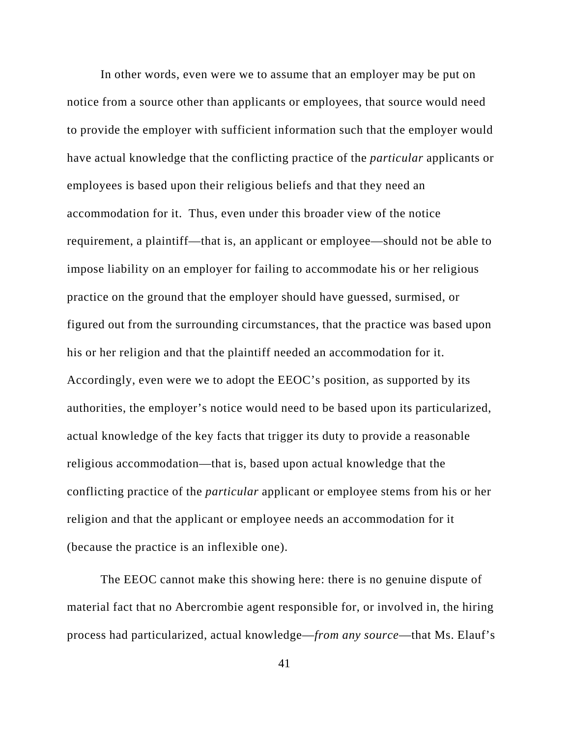In other words, even were we to assume that an employer may be put on notice from a source other than applicants or employees, that source would need to provide the employer with sufficient information such that the employer would have actual knowledge that the conflicting practice of the *particular* applicants or employees is based upon their religious beliefs and that they need an accommodation for it. Thus, even under this broader view of the notice requirement, a plaintiff—that is, an applicant or employee—should not be able to impose liability on an employer for failing to accommodate his or her religious practice on the ground that the employer should have guessed, surmised, or figured out from the surrounding circumstances, that the practice was based upon his or her religion and that the plaintiff needed an accommodation for it. Accordingly, even were we to adopt the EEOC's position, as supported by its authorities, the employer's notice would need to be based upon its particularized, actual knowledge of the key facts that trigger its duty to provide a reasonable religious accommodation—that is, based upon actual knowledge that the conflicting practice of the *particular* applicant or employee stems from his or her religion and that the applicant or employee needs an accommodation for it (because the practice is an inflexible one).

The EEOC cannot make this showing here: there is no genuine dispute of material fact that no Abercrombie agent responsible for, or involved in, the hiring process had particularized, actual knowledge—*from any source*—that Ms. Elauf's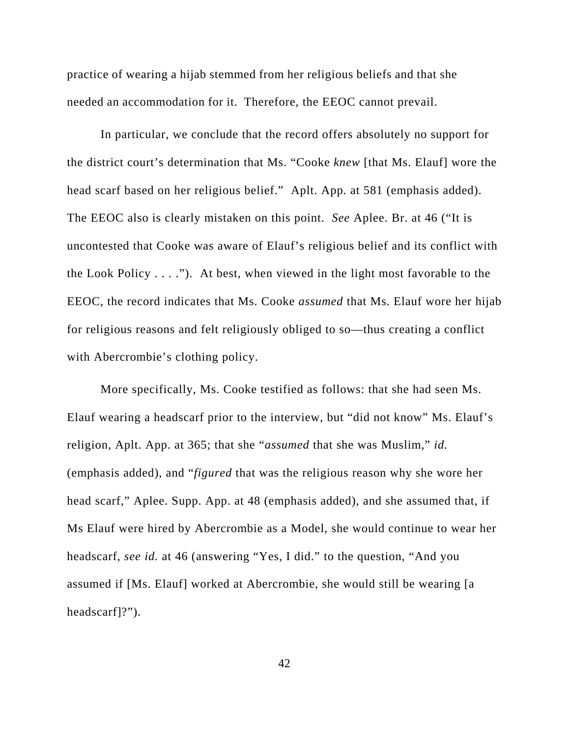practice of wearing a hijab stemmed from her religious beliefs and that she needed an accommodation for it. Therefore, the EEOC cannot prevail.

In particular, we conclude that the record offers absolutely no support for the district court's determination that Ms. "Cooke *knew* [that Ms. Elauf] wore the head scarf based on her religious belief." Aplt. App. at 581 (emphasis added). The EEOC also is clearly mistaken on this point. *See* Aplee. Br. at 46 ("It is uncontested that Cooke was aware of Elauf's religious belief and its conflict with the Look Policy  $\dots$ ."). At best, when viewed in the light most favorable to the EEOC, the record indicates that Ms. Cooke *assumed* that Ms. Elauf wore her hijab for religious reasons and felt religiously obliged to so—thus creating a conflict with Abercrombie's clothing policy.

More specifically, Ms. Cooke testified as follows: that she had seen Ms. Elauf wearing a headscarf prior to the interview, but "did not know" Ms. Elauf's religion, Aplt. App. at 365; that she "*assumed* that she was Muslim," *id.* (emphasis added), and "*figured* that was the religious reason why she wore her head scarf," Aplee. Supp. App. at 48 (emphasis added), and she assumed that, if Ms Elauf were hired by Abercrombie as a Model, she would continue to wear her headscarf, *see id.* at 46 (answering "Yes, I did." to the question, "And you assumed if [Ms. Elauf] worked at Abercrombie, she would still be wearing [a headscarf]?").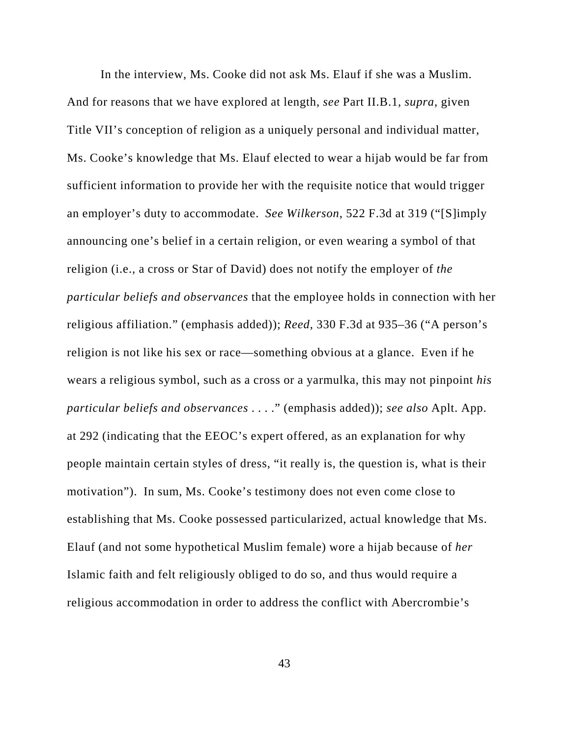In the interview, Ms. Cooke did not ask Ms. Elauf if she was a Muslim. And for reasons that we have explored at length, *see* Part II.B.1, *supra*, given Title VII's conception of religion as a uniquely personal and individual matter, Ms. Cooke's knowledge that Ms. Elauf elected to wear a hijab would be far from sufficient information to provide her with the requisite notice that would trigger an employer's duty to accommodate. *See Wilkerson*, 522 F.3d at 319 ("[S]imply announcing one's belief in a certain religion, or even wearing a symbol of that religion (i.e., a cross or Star of David) does not notify the employer of *the particular beliefs and observances* that the employee holds in connection with her religious affiliation." (emphasis added)); *Reed*, 330 F.3d at 935–36 ("A person's religion is not like his sex or race—something obvious at a glance. Even if he wears a religious symbol, such as a cross or a yarmulka, this may not pinpoint *his particular beliefs and observances* . . . ." (emphasis added)); *see also* Aplt. App. at 292 (indicating that the EEOC's expert offered, as an explanation for why people maintain certain styles of dress, "it really is, the question is, what is their motivation"). In sum, Ms. Cooke's testimony does not even come close to establishing that Ms. Cooke possessed particularized, actual knowledge that Ms. Elauf (and not some hypothetical Muslim female) wore a hijab because of *her* Islamic faith and felt religiously obliged to do so, and thus would require a religious accommodation in order to address the conflict with Abercrombie's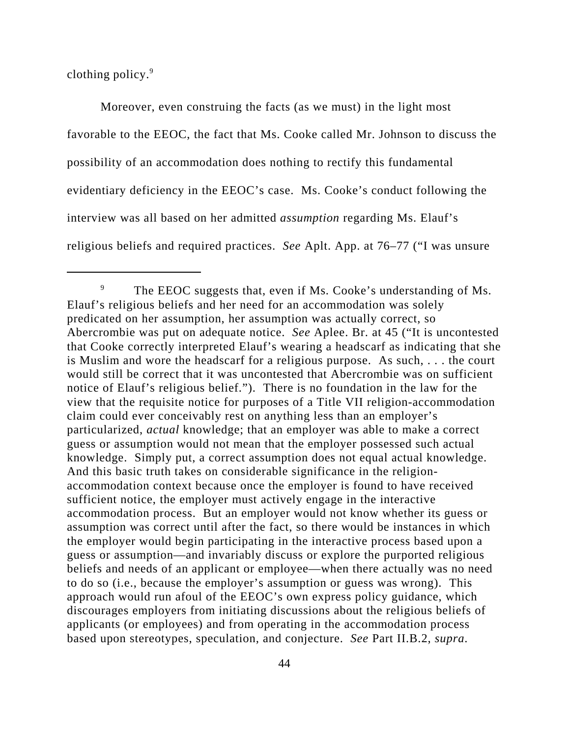clothing policy.<sup>9</sup>

Moreover, even construing the facts (as we must) in the light most favorable to the EEOC, the fact that Ms. Cooke called Mr. Johnson to discuss the possibility of an accommodation does nothing to rectify this fundamental evidentiary deficiency in the EEOC's case. Ms. Cooke's conduct following the interview was all based on her admitted *assumption* regarding Ms. Elauf's religious beliefs and required practices. *See* Aplt. App. at 76–77 ("I was unsure

<sup>&</sup>lt;sup>9</sup> The EEOC suggests that, even if Ms. Cooke's understanding of Ms. Elauf's religious beliefs and her need for an accommodation was solely predicated on her assumption, her assumption was actually correct, so Abercrombie was put on adequate notice. *See* Aplee. Br. at 45 ("It is uncontested that Cooke correctly interpreted Elauf's wearing a headscarf as indicating that she is Muslim and wore the headscarf for a religious purpose. As such, . . . the court would still be correct that it was uncontested that Abercrombie was on sufficient notice of Elauf's religious belief."). There is no foundation in the law for the view that the requisite notice for purposes of a Title VII religion-accommodation claim could ever conceivably rest on anything less than an employer's particularized, *actual* knowledge; that an employer was able to make a correct guess or assumption would not mean that the employer possessed such actual knowledge. Simply put, a correct assumption does not equal actual knowledge. And this basic truth takes on considerable significance in the religionaccommodation context because once the employer is found to have received sufficient notice, the employer must actively engage in the interactive accommodation process. But an employer would not know whether its guess or assumption was correct until after the fact, so there would be instances in which the employer would begin participating in the interactive process based upon a guess or assumption—and invariably discuss or explore the purported religious beliefs and needs of an applicant or employee—when there actually was no need to do so (i.e., because the employer's assumption or guess was wrong). This approach would run afoul of the EEOC's own express policy guidance, which discourages employers from initiating discussions about the religious beliefs of applicants (or employees) and from operating in the accommodation process based upon stereotypes, speculation, and conjecture. *See* Part II.B.2, *supra*.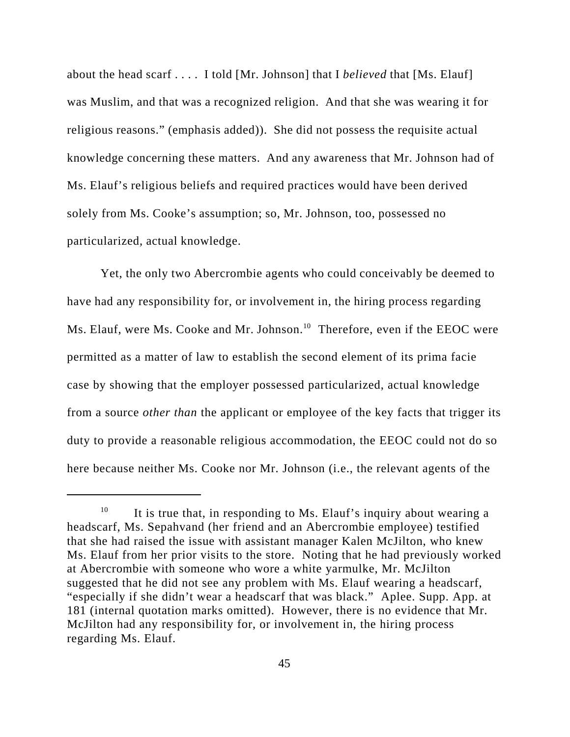about the head scarf . . . . I told [Mr. Johnson] that I *believed* that [Ms. Elauf] was Muslim, and that was a recognized religion. And that she was wearing it for religious reasons." (emphasis added)). She did not possess the requisite actual knowledge concerning these matters. And any awareness that Mr. Johnson had of Ms. Elauf's religious beliefs and required practices would have been derived solely from Ms. Cooke's assumption; so, Mr. Johnson, too, possessed no particularized, actual knowledge.

Yet, the only two Abercrombie agents who could conceivably be deemed to have had any responsibility for, or involvement in, the hiring process regarding Ms. Elauf, were Ms. Cooke and Mr. Johnson.<sup>10</sup> Therefore, even if the EEOC were permitted as a matter of law to establish the second element of its prima facie case by showing that the employer possessed particularized, actual knowledge from a source *other than* the applicant or employee of the key facts that trigger its duty to provide a reasonable religious accommodation, the EEOC could not do so here because neither Ms. Cooke nor Mr. Johnson (i.e., the relevant agents of the

<sup>&</sup>lt;sup>10</sup> It is true that, in responding to Ms. Elauf's inquiry about wearing a headscarf, Ms. Sepahvand (her friend and an Abercrombie employee) testified that she had raised the issue with assistant manager Kalen McJilton, who knew Ms. Elauf from her prior visits to the store. Noting that he had previously worked at Abercrombie with someone who wore a white yarmulke, Mr. McJilton suggested that he did not see any problem with Ms. Elauf wearing a headscarf, "especially if she didn't wear a headscarf that was black." Aplee. Supp. App. at 181 (internal quotation marks omitted). However, there is no evidence that Mr. McJilton had any responsibility for, or involvement in, the hiring process regarding Ms. Elauf.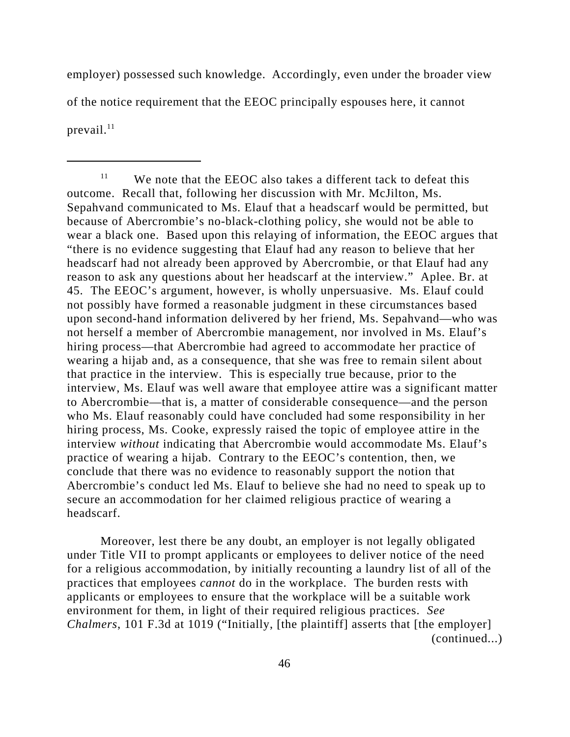employer) possessed such knowledge. Accordingly, even under the broader view of the notice requirement that the EEOC principally espouses here, it cannot prevail. $^{11}$ 

Moreover, lest there be any doubt, an employer is not legally obligated under Title VII to prompt applicants or employees to deliver notice of the need for a religious accommodation, by initially recounting a laundry list of all of the practices that employees *cannot* do in the workplace. The burden rests with applicants or employees to ensure that the workplace will be a suitable work environment for them, in light of their required religious practices. *See Chalmers*, 101 F.3d at 1019 ("Initially, [the plaintiff] asserts that [the employer] (continued...)

 $11$  We note that the EEOC also takes a different tack to defeat this outcome. Recall that, following her discussion with Mr. McJilton, Ms. Sepahvand communicated to Ms. Elauf that a headscarf would be permitted, but because of Abercrombie's no-black-clothing policy, she would not be able to wear a black one. Based upon this relaying of information, the EEOC argues that "there is no evidence suggesting that Elauf had any reason to believe that her headscarf had not already been approved by Abercrombie, or that Elauf had any reason to ask any questions about her headscarf at the interview." Aplee. Br. at 45. The EEOC's argument, however, is wholly unpersuasive. Ms. Elauf could not possibly have formed a reasonable judgment in these circumstances based upon second-hand information delivered by her friend, Ms. Sepahvand—who was not herself a member of Abercrombie management, nor involved in Ms. Elauf's hiring process—that Abercrombie had agreed to accommodate her practice of wearing a hijab and, as a consequence, that she was free to remain silent about that practice in the interview. This is especially true because, prior to the interview, Ms. Elauf was well aware that employee attire was a significant matter to Abercrombie—that is, a matter of considerable consequence—and the person who Ms. Elauf reasonably could have concluded had some responsibility in her hiring process, Ms. Cooke, expressly raised the topic of employee attire in the interview *without* indicating that Abercrombie would accommodate Ms. Elauf's practice of wearing a hijab. Contrary to the EEOC's contention, then, we conclude that there was no evidence to reasonably support the notion that Abercrombie's conduct led Ms. Elauf to believe she had no need to speak up to secure an accommodation for her claimed religious practice of wearing a headscarf.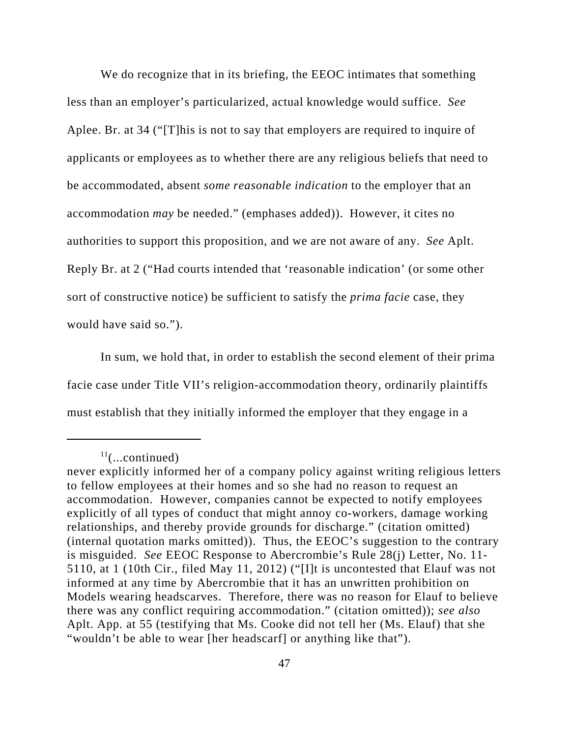We do recognize that in its briefing, the EEOC intimates that something less than an employer's particularized, actual knowledge would suffice. *See* Aplee. Br. at 34 ("[T]his is not to say that employers are required to inquire of applicants or employees as to whether there are any religious beliefs that need to be accommodated, absent *some reasonable indication* to the employer that an accommodation *may* be needed." (emphases added)). However, it cites no authorities to support this proposition, and we are not aware of any. *See* Aplt. Reply Br. at 2 ("Had courts intended that 'reasonable indication' (or some other sort of constructive notice) be sufficient to satisfy the *prima facie* case, they would have said so.").

In sum, we hold that, in order to establish the second element of their prima facie case under Title VII's religion-accommodation theory, ordinarily plaintiffs must establish that they initially informed the employer that they engage in a

 $11$ (...continued)

never explicitly informed her of a company policy against writing religious letters to fellow employees at their homes and so she had no reason to request an accommodation. However, companies cannot be expected to notify employees explicitly of all types of conduct that might annoy co-workers, damage working relationships, and thereby provide grounds for discharge." (citation omitted) (internal quotation marks omitted)). Thus, the EEOC's suggestion to the contrary is misguided. *See* EEOC Response to Abercrombie's Rule 28(j) Letter, No. 11- 5110, at 1 (10th Cir., filed May 11, 2012) ("[I]t is uncontested that Elauf was not informed at any time by Abercrombie that it has an unwritten prohibition on Models wearing headscarves. Therefore, there was no reason for Elauf to believe there was any conflict requiring accommodation." (citation omitted)); *see also* Aplt. App. at 55 (testifying that Ms. Cooke did not tell her (Ms. Elauf) that she "wouldn't be able to wear [her headscarf] or anything like that").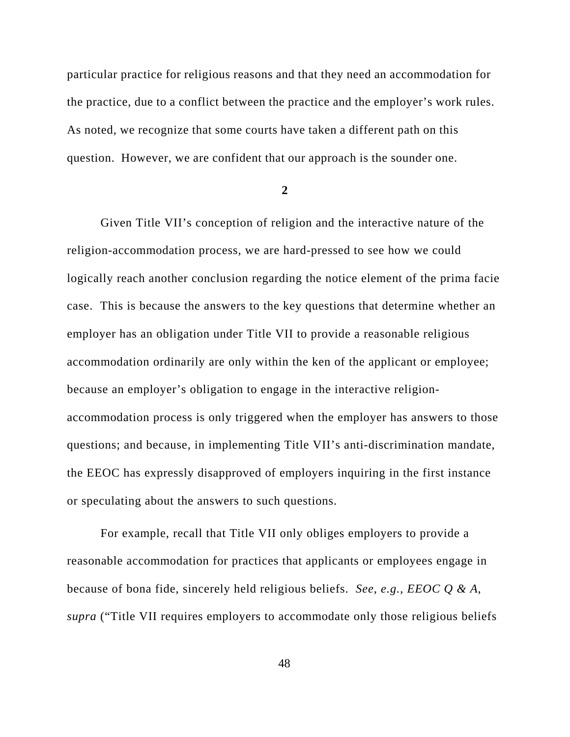particular practice for religious reasons and that they need an accommodation for the practice, due to a conflict between the practice and the employer's work rules. As noted, we recognize that some courts have taken a different path on this question. However, we are confident that our approach is the sounder one.

**2**

Given Title VII's conception of religion and the interactive nature of the religion-accommodation process, we are hard-pressed to see how we could logically reach another conclusion regarding the notice element of the prima facie case. This is because the answers to the key questions that determine whether an employer has an obligation under Title VII to provide a reasonable religious accommodation ordinarily are only within the ken of the applicant or employee; because an employer's obligation to engage in the interactive religionaccommodation process is only triggered when the employer has answers to those questions; and because, in implementing Title VII's anti-discrimination mandate, the EEOC has expressly disapproved of employers inquiring in the first instance or speculating about the answers to such questions.

For example, recall that Title VII only obliges employers to provide a reasonable accommodation for practices that applicants or employees engage in because of bona fide, sincerely held religious beliefs. *See, e.g.*, *EEOC Q & A*, *supra* ("Title VII requires employers to accommodate only those religious beliefs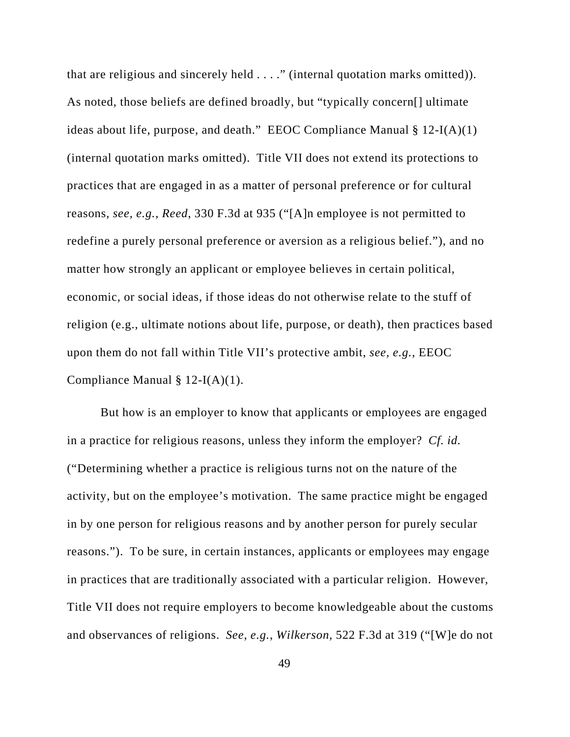that are religious and sincerely held . . . ." (internal quotation marks omitted)). As noted, those beliefs are defined broadly, but "typically concern[] ultimate ideas about life, purpose, and death." EEOC Compliance Manual  $\S 12-I(A)(1)$ (internal quotation marks omitted). Title VII does not extend its protections to practices that are engaged in as a matter of personal preference or for cultural reasons, *see, e.g.*, *Reed*, 330 F.3d at 935 ("[A]n employee is not permitted to redefine a purely personal preference or aversion as a religious belief."), and no matter how strongly an applicant or employee believes in certain political, economic, or social ideas, if those ideas do not otherwise relate to the stuff of religion (e.g., ultimate notions about life, purpose, or death), then practices based upon them do not fall within Title VII's protective ambit, *see, e.g.*, EEOC Compliance Manual § 12-I(A)(1).

But how is an employer to know that applicants or employees are engaged in a practice for religious reasons, unless they inform the employer? *Cf. id.* ("Determining whether a practice is religious turns not on the nature of the activity, but on the employee's motivation. The same practice might be engaged in by one person for religious reasons and by another person for purely secular reasons."). To be sure, in certain instances, applicants or employees may engage in practices that are traditionally associated with a particular religion. However, Title VII does not require employers to become knowledgeable about the customs and observances of religions. *See, e.g.*, *Wilkerson*, 522 F.3d at 319 ("[W]e do not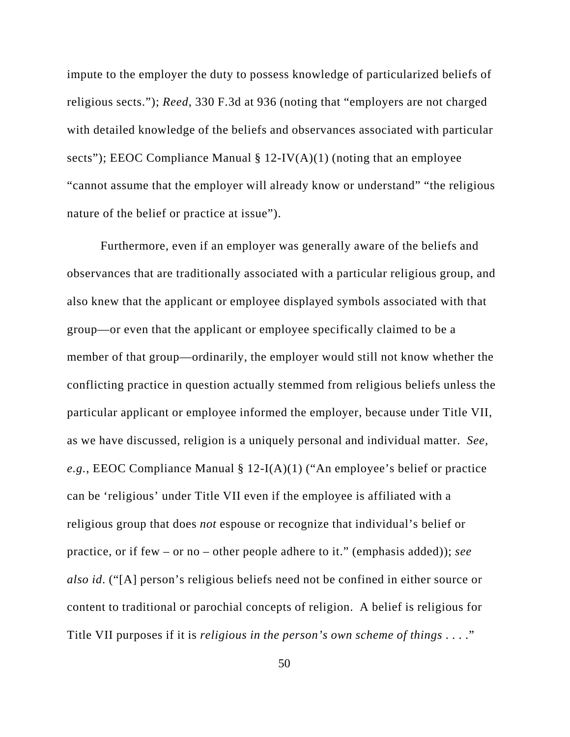impute to the employer the duty to possess knowledge of particularized beliefs of religious sects."); *Reed*, 330 F.3d at 936 (noting that "employers are not charged with detailed knowledge of the beliefs and observances associated with particular sects"); EEOC Compliance Manual  $\S 12$ -IV(A)(1) (noting that an employee "cannot assume that the employer will already know or understand" "the religious nature of the belief or practice at issue").

Furthermore, even if an employer was generally aware of the beliefs and observances that are traditionally associated with a particular religious group, and also knew that the applicant or employee displayed symbols associated with that group—or even that the applicant or employee specifically claimed to be a member of that group—ordinarily, the employer would still not know whether the conflicting practice in question actually stemmed from religious beliefs unless the particular applicant or employee informed the employer, because under Title VII, as we have discussed, religion is a uniquely personal and individual matter. *See, e.g.*, EEOC Compliance Manual § 12-I(A)(1) ("An employee's belief or practice can be 'religious' under Title VII even if the employee is affiliated with a religious group that does *not* espouse or recognize that individual's belief or practice, or if few – or no – other people adhere to it." (emphasis added)); *see also id*. ("[A] person's religious beliefs need not be confined in either source or content to traditional or parochial concepts of religion. A belief is religious for Title VII purposes if it is *religious in the person's own scheme of things* . . . ."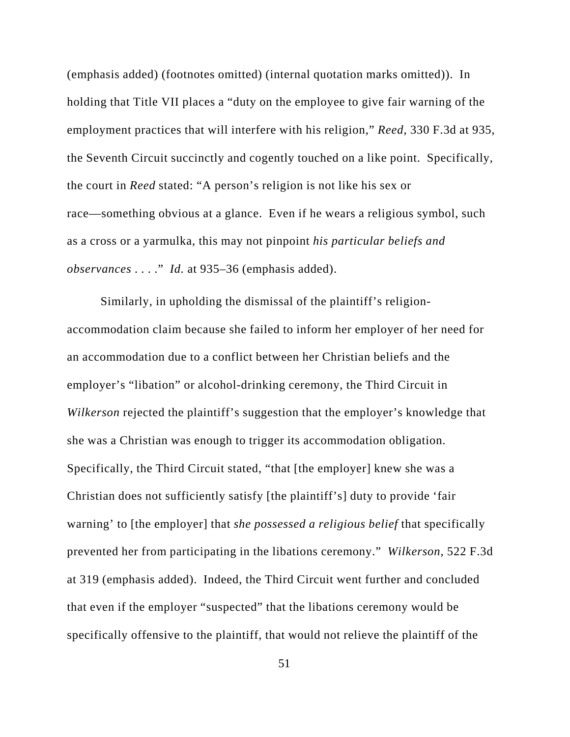(emphasis added) (footnotes omitted) (internal quotation marks omitted)). In holding that Title VII places a "duty on the employee to give fair warning of the employment practices that will interfere with his religion," *Reed*, 330 F.3d at 935, the Seventh Circuit succinctly and cogently touched on a like point. Specifically, the court in *Reed* stated: "A person's religion is not like his sex or race—something obvious at a glance. Even if he wears a religious symbol, such as a cross or a yarmulka, this may not pinpoint *his particular beliefs and observances* . . . ." *Id.* at 935–36 (emphasis added).

Similarly, in upholding the dismissal of the plaintiff's religionaccommodation claim because she failed to inform her employer of her need for an accommodation due to a conflict between her Christian beliefs and the employer's "libation" or alcohol-drinking ceremony, the Third Circuit in *Wilkerson* rejected the plaintiff's suggestion that the employer's knowledge that she was a Christian was enough to trigger its accommodation obligation. Specifically, the Third Circuit stated, "that [the employer] knew she was a Christian does not sufficiently satisfy [the plaintiff's] duty to provide 'fair warning' to [the employer] that *she possessed a religious belief* that specifically prevented her from participating in the libations ceremony." *Wilkerson*, 522 F.3d at 319 (emphasis added). Indeed, the Third Circuit went further and concluded that even if the employer "suspected" that the libations ceremony would be specifically offensive to the plaintiff, that would not relieve the plaintiff of the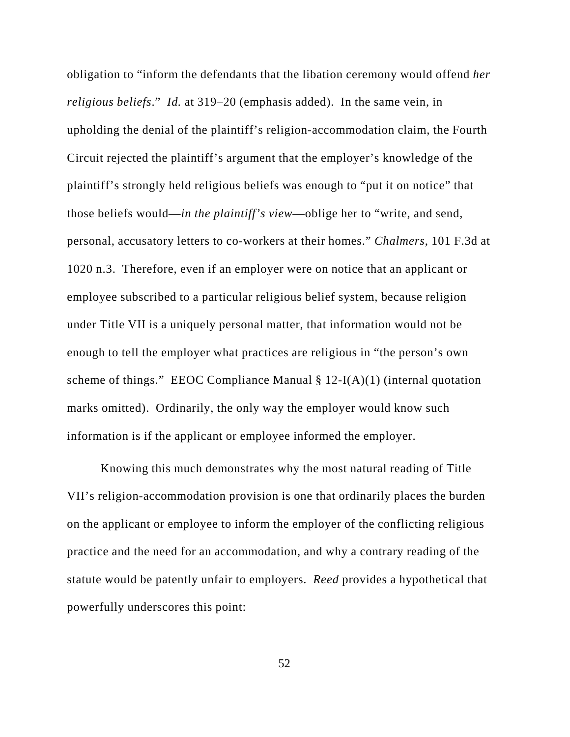obligation to "inform the defendants that the libation ceremony would offend *her religious beliefs*." *Id.* at 319–20 (emphasis added). In the same vein, in upholding the denial of the plaintiff's religion-accommodation claim, the Fourth Circuit rejected the plaintiff's argument that the employer's knowledge of the plaintiff's strongly held religious beliefs was enough to "put it on notice" that those beliefs would—*in the plaintiff's view*—oblige her to "write, and send, personal, accusatory letters to co-workers at their homes." *Chalmers*, 101 F.3d at 1020 n.3. Therefore, even if an employer were on notice that an applicant or employee subscribed to a particular religious belief system, because religion under Title VII is a uniquely personal matter, that information would not be enough to tell the employer what practices are religious in "the person's own scheme of things." EEOC Compliance Manual  $\S 12-I(A)(1)$  (internal quotation marks omitted). Ordinarily, the only way the employer would know such information is if the applicant or employee informed the employer.

Knowing this much demonstrates why the most natural reading of Title VII's religion-accommodation provision is one that ordinarily places the burden on the applicant or employee to inform the employer of the conflicting religious practice and the need for an accommodation, and why a contrary reading of the statute would be patently unfair to employers. *Reed* provides a hypothetical that powerfully underscores this point: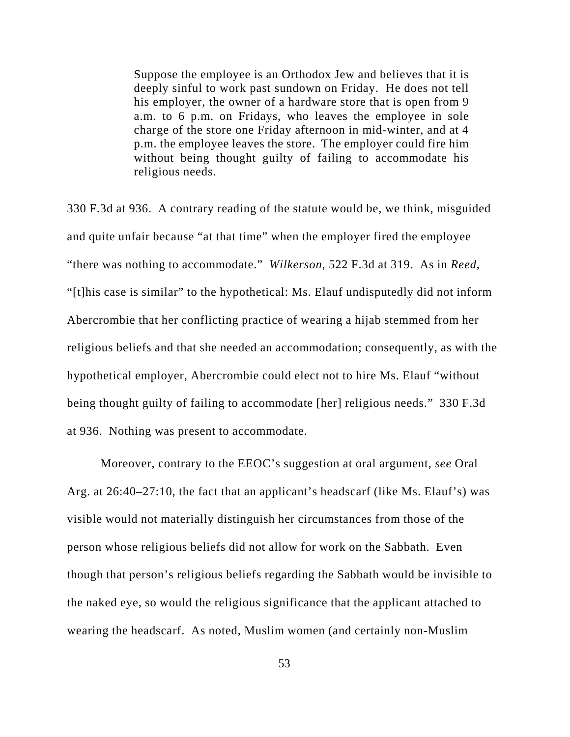Suppose the employee is an Orthodox Jew and believes that it is deeply sinful to work past sundown on Friday. He does not tell his employer, the owner of a hardware store that is open from 9 a.m. to 6 p.m. on Fridays, who leaves the employee in sole charge of the store one Friday afternoon in mid-winter, and at 4 p.m. the employee leaves the store. The employer could fire him without being thought guilty of failing to accommodate his religious needs.

330 F.3d at 936. A contrary reading of the statute would be, we think, misguided and quite unfair because "at that time" when the employer fired the employee "there was nothing to accommodate." *Wilkerson*, 522 F.3d at 319. As in *Reed*, "[t]his case is similar" to the hypothetical: Ms. Elauf undisputedly did not inform Abercrombie that her conflicting practice of wearing a hijab stemmed from her religious beliefs and that she needed an accommodation; consequently, as with the hypothetical employer, Abercrombie could elect not to hire Ms. Elauf "without being thought guilty of failing to accommodate [her] religious needs." 330 F.3d at 936. Nothing was present to accommodate.

Moreover, contrary to the EEOC's suggestion at oral argument, *see* Oral Arg. at 26:40–27:10, the fact that an applicant's headscarf (like Ms. Elauf's) was visible would not materially distinguish her circumstances from those of the person whose religious beliefs did not allow for work on the Sabbath. Even though that person's religious beliefs regarding the Sabbath would be invisible to the naked eye, so would the religious significance that the applicant attached to wearing the headscarf. As noted, Muslim women (and certainly non-Muslim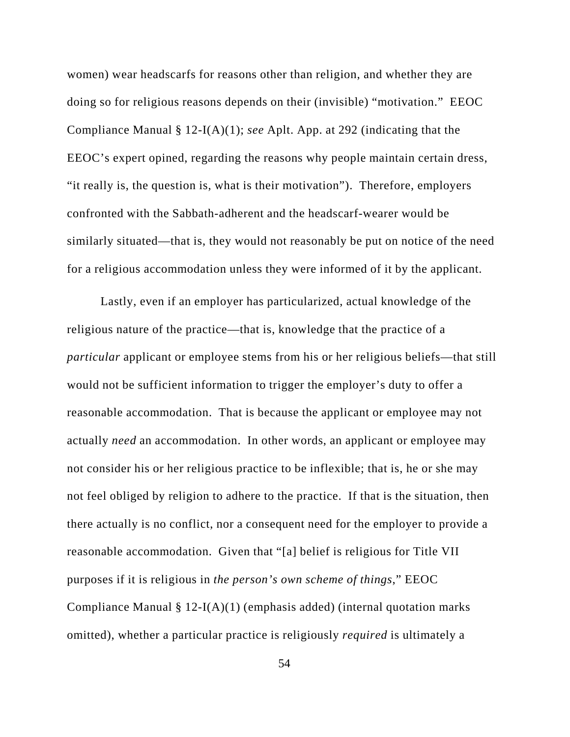women) wear headscarfs for reasons other than religion, and whether they are doing so for religious reasons depends on their (invisible) "motivation." EEOC Compliance Manual § 12-I(A)(1); *see* Aplt. App. at 292 (indicating that the EEOC's expert opined, regarding the reasons why people maintain certain dress, "it really is, the question is, what is their motivation"). Therefore, employers confronted with the Sabbath-adherent and the headscarf-wearer would be similarly situated—that is, they would not reasonably be put on notice of the need for a religious accommodation unless they were informed of it by the applicant.

Lastly, even if an employer has particularized, actual knowledge of the religious nature of the practice—that is, knowledge that the practice of a *particular* applicant or employee stems from his or her religious beliefs—that still would not be sufficient information to trigger the employer's duty to offer a reasonable accommodation. That is because the applicant or employee may not actually *need* an accommodation. In other words, an applicant or employee may not consider his or her religious practice to be inflexible; that is, he or she may not feel obliged by religion to adhere to the practice. If that is the situation, then there actually is no conflict, nor a consequent need for the employer to provide a reasonable accommodation. Given that "[a] belief is religious for Title VII purposes if it is religious in *the person's own scheme of things*," EEOC Compliance Manual  $\S 12-I(A)(1)$  (emphasis added) (internal quotation marks omitted), whether a particular practice is religiously *required* is ultimately a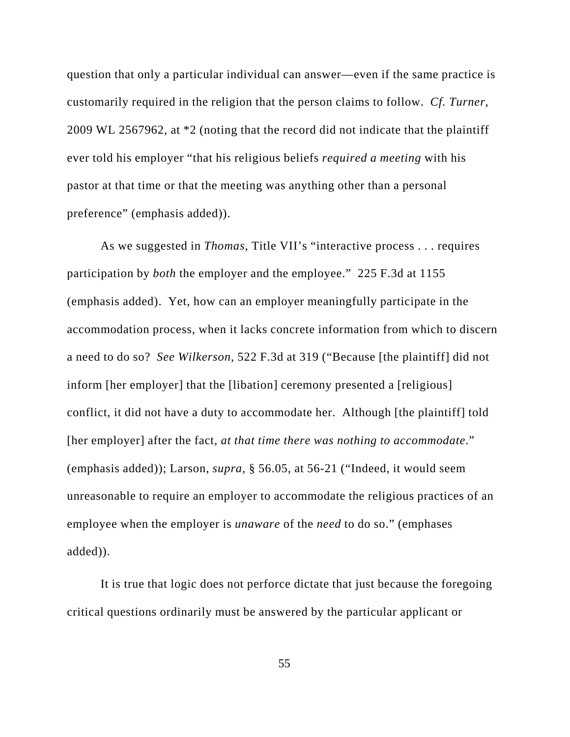question that only a particular individual can answer—even if the same practice is customarily required in the religion that the person claims to follow. *Cf. Turner*, 2009 WL 2567962, at \*2 (noting that the record did not indicate that the plaintiff ever told his employer "that his religious beliefs *required a meeting* with his pastor at that time or that the meeting was anything other than a personal preference" (emphasis added)).

As we suggested in *Thomas*, Title VII's "interactive process . . . requires participation by *both* the employer and the employee." 225 F.3d at 1155 (emphasis added). Yet, how can an employer meaningfully participate in the accommodation process, when it lacks concrete information from which to discern a need to do so? *See Wilkerson*, 522 F.3d at 319 ("Because [the plaintiff] did not inform [her employer] that the [libation] ceremony presented a [religious] conflict, it did not have a duty to accommodate her. Although [the plaintiff] told [her employer] after the fact, *at that time there was nothing to accommodate*." (emphasis added)); Larson, *supra*, § 56.05, at 56-21 ("Indeed, it would seem unreasonable to require an employer to accommodate the religious practices of an employee when the employer is *unaware* of the *need* to do so." (emphases added)).

It is true that logic does not perforce dictate that just because the foregoing critical questions ordinarily must be answered by the particular applicant or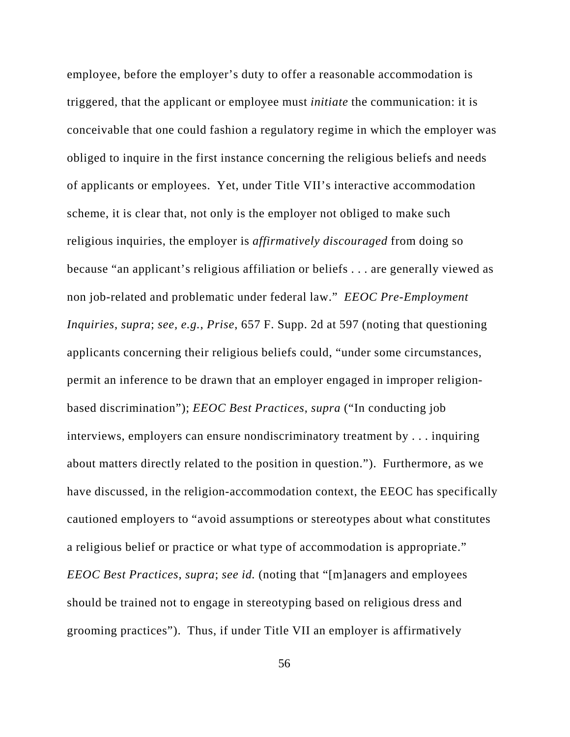employee, before the employer's duty to offer a reasonable accommodation is triggered, that the applicant or employee must *initiate* the communication: it is conceivable that one could fashion a regulatory regime in which the employer was obliged to inquire in the first instance concerning the religious beliefs and needs of applicants or employees. Yet, under Title VII's interactive accommodation scheme, it is clear that, not only is the employer not obliged to make such religious inquiries, the employer is *affirmatively discouraged* from doing so because "an applicant's religious affiliation or beliefs . . . are generally viewed as non job-related and problematic under federal law." *EEOC Pre-Employment Inquiries*, *supra*; *see, e.g.*, *Prise*, 657 F. Supp. 2d at 597 (noting that questioning applicants concerning their religious beliefs could, "under some circumstances, permit an inference to be drawn that an employer engaged in improper religionbased discrimination"); *EEOC Best Practices*, *supra* ("In conducting job interviews, employers can ensure nondiscriminatory treatment by . . . inquiring about matters directly related to the position in question."). Furthermore, as we have discussed, in the religion-accommodation context, the EEOC has specifically cautioned employers to "avoid assumptions or stereotypes about what constitutes a religious belief or practice or what type of accommodation is appropriate." *EEOC Best Practices*, *supra*; *see id.* (noting that "[m]anagers and employees should be trained not to engage in stereotyping based on religious dress and grooming practices"). Thus, if under Title VII an employer is affirmatively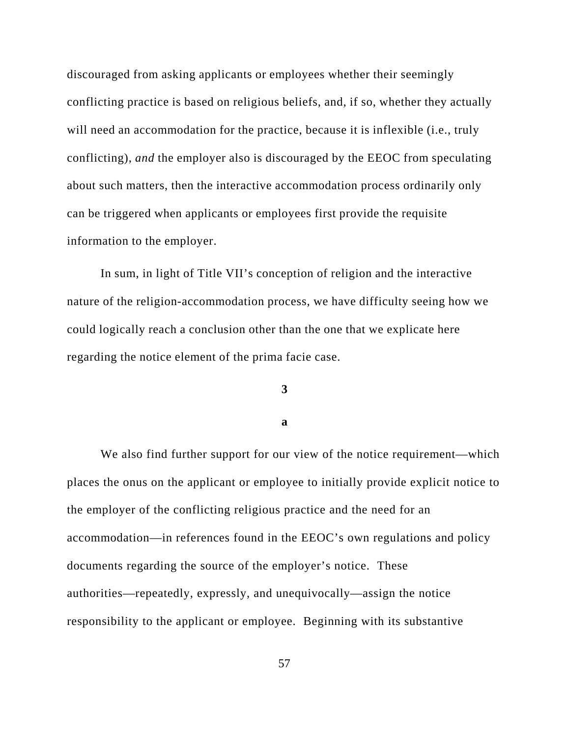discouraged from asking applicants or employees whether their seemingly conflicting practice is based on religious beliefs, and, if so, whether they actually will need an accommodation for the practice, because it is inflexible (i.e., truly conflicting), *and* the employer also is discouraged by the EEOC from speculating about such matters, then the interactive accommodation process ordinarily only can be triggered when applicants or employees first provide the requisite information to the employer.

In sum, in light of Title VII's conception of religion and the interactive nature of the religion-accommodation process, we have difficulty seeing how we could logically reach a conclusion other than the one that we explicate here regarding the notice element of the prima facie case.

## **3**

## **a**

We also find further support for our view of the notice requirement—which places the onus on the applicant or employee to initially provide explicit notice to the employer of the conflicting religious practice and the need for an accommodation—in references found in the EEOC's own regulations and policy documents regarding the source of the employer's notice. These authorities—repeatedly, expressly, and unequivocally—assign the notice responsibility to the applicant or employee. Beginning with its substantive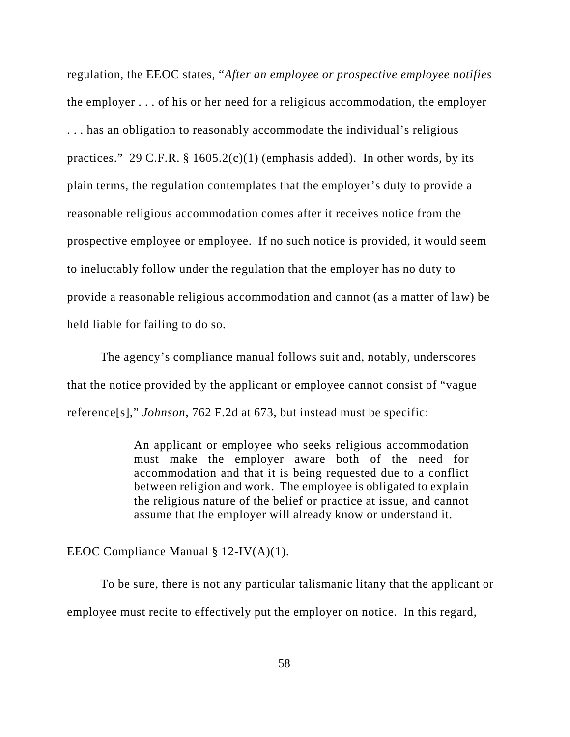regulation, the EEOC states, "*After an employee or prospective employee notifies* the employer . . . of his or her need for a religious accommodation, the employer . . . has an obligation to reasonably accommodate the individual's religious practices." 29 C.F.R.  $\S$  1605.2(c)(1) (emphasis added). In other words, by its plain terms, the regulation contemplates that the employer's duty to provide a reasonable religious accommodation comes after it receives notice from the prospective employee or employee. If no such notice is provided, it would seem to ineluctably follow under the regulation that the employer has no duty to provide a reasonable religious accommodation and cannot (as a matter of law) be held liable for failing to do so.

The agency's compliance manual follows suit and, notably, underscores that the notice provided by the applicant or employee cannot consist of "vague reference[s]," *Johnson*, 762 F.2d at 673, but instead must be specific:

> An applicant or employee who seeks religious accommodation must make the employer aware both of the need for accommodation and that it is being requested due to a conflict between religion and work. The employee is obligated to explain the religious nature of the belief or practice at issue, and cannot assume that the employer will already know or understand it.

EEOC Compliance Manual § 12-IV(A)(1).

To be sure, there is not any particular talismanic litany that the applicant or employee must recite to effectively put the employer on notice. In this regard,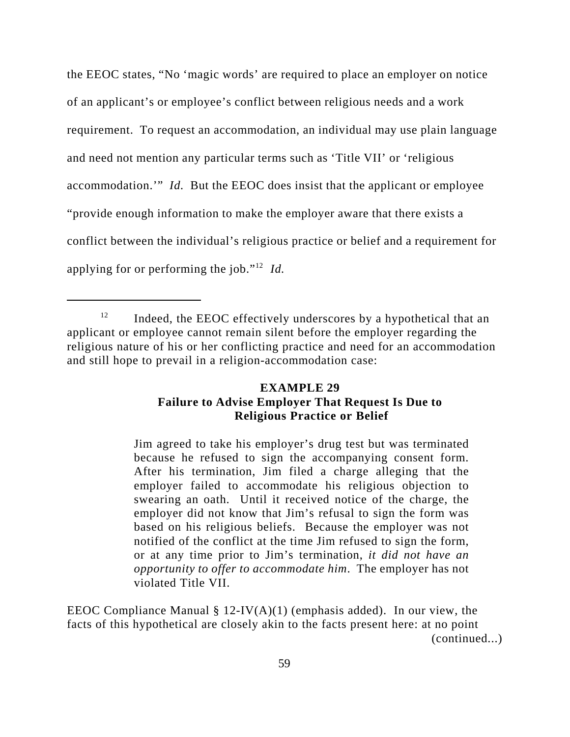the EEOC states, "No 'magic words' are required to place an employer on notice of an applicant's or employee's conflict between religious needs and a work requirement. To request an accommodation, an individual may use plain language and need not mention any particular terms such as 'Title VII' or 'religious accommodation.'" *Id.* But the EEOC does insist that the applicant or employee "provide enough information to make the employer aware that there exists a conflict between the individual's religious practice or belief and a requirement for applying for or performing the job."12 *Id.* 

## **EXAMPLE 29 Failure to Advise Employer That Request Is Due to Religious Practice or Belief**

Jim agreed to take his employer's drug test but was terminated because he refused to sign the accompanying consent form. After his termination, Jim filed a charge alleging that the employer failed to accommodate his religious objection to swearing an oath. Until it received notice of the charge, the employer did not know that Jim's refusal to sign the form was based on his religious beliefs. Because the employer was not notified of the conflict at the time Jim refused to sign the form, or at any time prior to Jim's termination, *it did not have an opportunity to offer to accommodate him*. The employer has not violated Title VII.

EEOC Compliance Manual  $\S 12$ -IV(A)(1) (emphasis added). In our view, the facts of this hypothetical are closely akin to the facts present here: at no point (continued...)

 $12$  Indeed, the EEOC effectively underscores by a hypothetical that an applicant or employee cannot remain silent before the employer regarding the religious nature of his or her conflicting practice and need for an accommodation and still hope to prevail in a religion-accommodation case: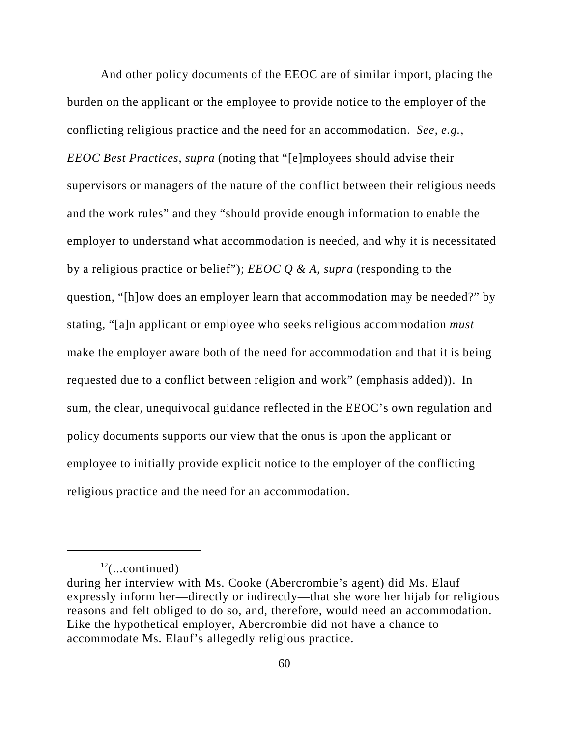And other policy documents of the EEOC are of similar import, placing the burden on the applicant or the employee to provide notice to the employer of the conflicting religious practice and the need for an accommodation. *See, e.g.*, *EEOC Best Practices*, *supra* (noting that "[e]mployees should advise their supervisors or managers of the nature of the conflict between their religious needs and the work rules" and they "should provide enough information to enable the employer to understand what accommodation is needed, and why it is necessitated by a religious practice or belief"); *EEOC Q & A*, *supra* (responding to the question, "[h]ow does an employer learn that accommodation may be needed?" by stating, "[a]n applicant or employee who seeks religious accommodation *must* make the employer aware both of the need for accommodation and that it is being requested due to a conflict between religion and work" (emphasis added)). In sum, the clear, unequivocal guidance reflected in the EEOC's own regulation and policy documents supports our view that the onus is upon the applicant or employee to initially provide explicit notice to the employer of the conflicting religious practice and the need for an accommodation.

 $12$ (...continued)

during her interview with Ms. Cooke (Abercrombie's agent) did Ms. Elauf expressly inform her—directly or indirectly—that she wore her hijab for religious reasons and felt obliged to do so, and, therefore, would need an accommodation. Like the hypothetical employer, Abercrombie did not have a chance to accommodate Ms. Elauf's allegedly religious practice.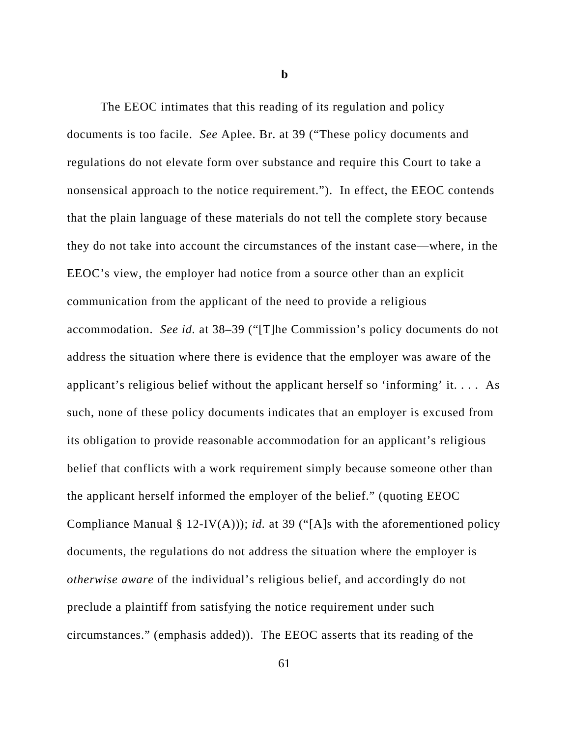**b**

The EEOC intimates that this reading of its regulation and policy documents is too facile. *See* Aplee. Br. at 39 ("These policy documents and regulations do not elevate form over substance and require this Court to take a nonsensical approach to the notice requirement."). In effect, the EEOC contends that the plain language of these materials do not tell the complete story because they do not take into account the circumstances of the instant case—where, in the EEOC's view, the employer had notice from a source other than an explicit communication from the applicant of the need to provide a religious accommodation. *See id.* at 38–39 ("[T]he Commission's policy documents do not address the situation where there is evidence that the employer was aware of the applicant's religious belief without the applicant herself so 'informing' it. . . . As such, none of these policy documents indicates that an employer is excused from its obligation to provide reasonable accommodation for an applicant's religious belief that conflicts with a work requirement simply because someone other than the applicant herself informed the employer of the belief." (quoting EEOC Compliance Manual § 12-IV(A))); *id.* at 39 ("[A]s with the aforementioned policy documents, the regulations do not address the situation where the employer is *otherwise aware* of the individual's religious belief, and accordingly do not preclude a plaintiff from satisfying the notice requirement under such circumstances." (emphasis added)). The EEOC asserts that its reading of the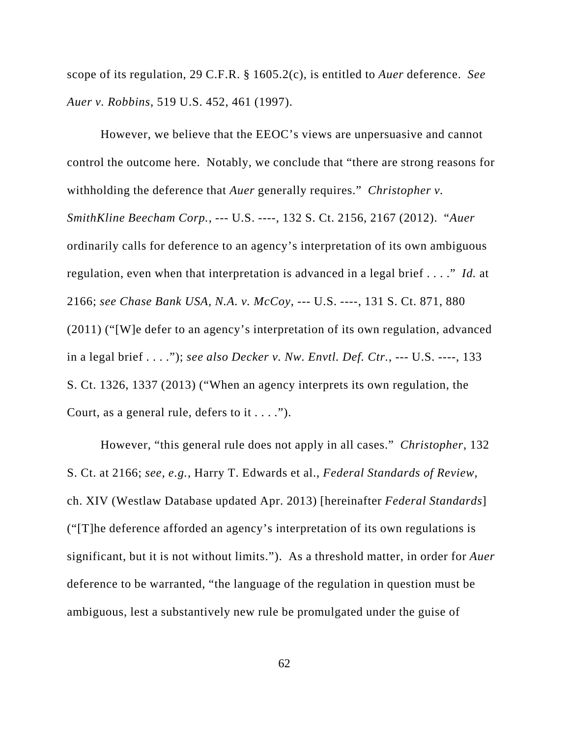scope of its regulation, 29 C.F.R. § 1605.2(c), is entitled to *Auer* deference. *See Auer v. Robbins*, 519 U.S. 452, 461 (1997).

However, we believe that the EEOC's views are unpersuasive and cannot control the outcome here. Notably, we conclude that "there are strong reasons for withholding the deference that *Auer* generally requires." *Christopher v. SmithKline Beecham Corp.*, --- U.S. ----, 132 S. Ct. 2156, 2167 (2012). "*Auer* ordinarily calls for deference to an agency's interpretation of its own ambiguous regulation, even when that interpretation is advanced in a legal brief . . . ." *Id.* at 2166; *see Chase Bank USA, N.A. v. McCoy*, --- U.S. ----, 131 S. Ct. 871, 880 (2011) ("[W]e defer to an agency's interpretation of its own regulation, advanced in a legal brief . . . ."); *see also Decker v. Nw. Envtl. Def. Ctr.*, --- U.S. ----, 133 S. Ct. 1326, 1337 (2013) ("When an agency interprets its own regulation, the Court, as a general rule, defers to it  $\dots$ .").

However, "this general rule does not apply in all cases." *Christopher*, 132 S. Ct. at 2166; *see, e.g.*, Harry T. Edwards et al., *Federal Standards of Review*, ch. XIV (Westlaw Database updated Apr. 2013) [hereinafter *Federal Standards*] ("[T]he deference afforded an agency's interpretation of its own regulations is significant, but it is not without limits."). As a threshold matter, in order for *Auer* deference to be warranted, "the language of the regulation in question must be ambiguous, lest a substantively new rule be promulgated under the guise of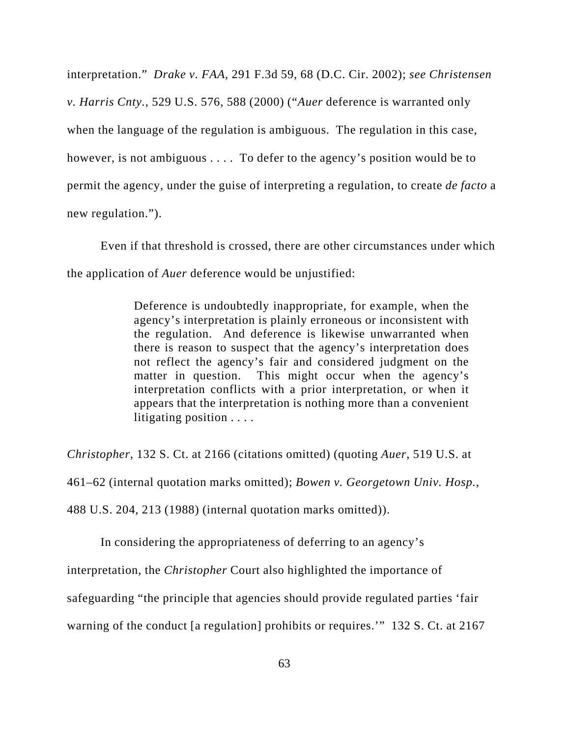interpretation." *Drake v. FAA*, 291 F.3d 59, 68 (D.C. Cir. 2002); *see Christensen v. Harris Cnty.*, 529 U.S. 576, 588 (2000) ("*Auer* deference is warranted only when the language of the regulation is ambiguous. The regulation in this case, however, is not ambiguous . . . . To defer to the agency's position would be to permit the agency, under the guise of interpreting a regulation, to create *de facto* a new regulation.").

Even if that threshold is crossed, there are other circumstances under which the application of *Auer* deference would be unjustified:

> Deference is undoubtedly inappropriate, for example, when the agency's interpretation is plainly erroneous or inconsistent with the regulation. And deference is likewise unwarranted when there is reason to suspect that the agency's interpretation does not reflect the agency's fair and considered judgment on the matter in question. This might occur when the agency's interpretation conflicts with a prior interpretation, or when it appears that the interpretation is nothing more than a convenient litigating position . . . .

*Christopher*, 132 S. Ct. at 2166 (citations omitted) (quoting *Auer*, 519 U.S. at 461–62 (internal quotation marks omitted); *Bowen v. Georgetown Univ. Hosp.*, 488 U.S. 204, 213 (1988) (internal quotation marks omitted)).

In considering the appropriateness of deferring to an agency's

interpretation, the *Christopher* Court also highlighted the importance of

safeguarding "the principle that agencies should provide regulated parties 'fair

warning of the conduct [a regulation] prohibits or requires.'" 132 S. Ct. at 2167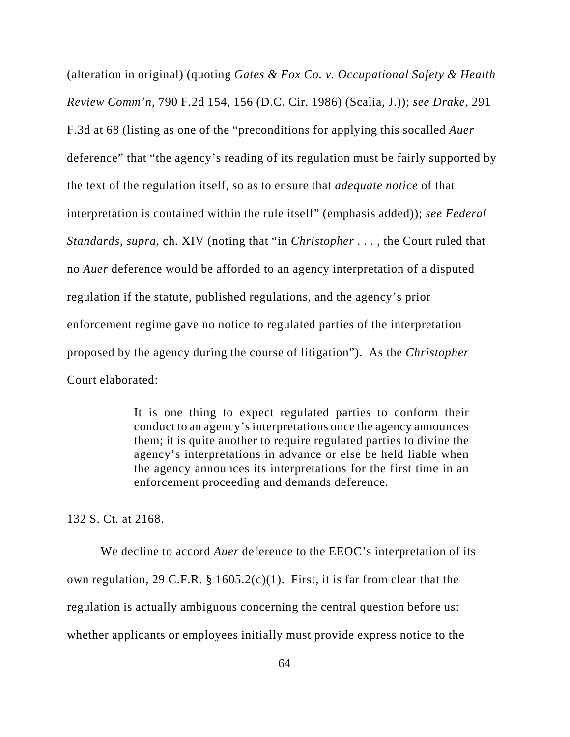(alteration in original) (quoting *Gates & Fox Co. v. Occupational Safety & Health Review Comm'n*, 790 F.2d 154, 156 (D.C. Cir. 1986) (Scalia, J.)); *see Drake*, 291 F.3d at 68 (listing as one of the "preconditions for applying this socalled *Auer* deference" that "the agency's reading of its regulation must be fairly supported by the text of the regulation itself, so as to ensure that *adequate notice* of that interpretation is contained within the rule itself" (emphasis added)); *see Federal Standards*, *supra*, ch. XIV (noting that "in *Christopher* . . . , the Court ruled that no *Auer* deference would be afforded to an agency interpretation of a disputed regulation if the statute, published regulations, and the agency's prior enforcement regime gave no notice to regulated parties of the interpretation proposed by the agency during the course of litigation"). As the *Christopher* Court elaborated:

> It is one thing to expect regulated parties to conform their conduct to an agency's interpretations once the agency announces them; it is quite another to require regulated parties to divine the agency's interpretations in advance or else be held liable when the agency announces its interpretations for the first time in an enforcement proceeding and demands deference.

132 S. Ct. at 2168.

We decline to accord *Auer* deference to the EEOC's interpretation of its own regulation, 29 C.F.R. § 1605.2(c)(1). First, it is far from clear that the regulation is actually ambiguous concerning the central question before us: whether applicants or employees initially must provide express notice to the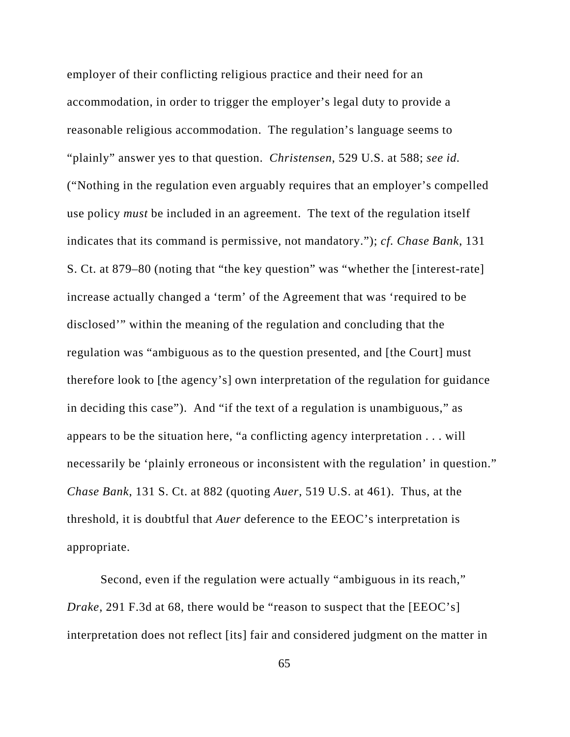employer of their conflicting religious practice and their need for an accommodation, in order to trigger the employer's legal duty to provide a reasonable religious accommodation. The regulation's language seems to "plainly" answer yes to that question. *Christensen*, 529 U.S. at 588; *see id.* ("Nothing in the regulation even arguably requires that an employer's compelled use policy *must* be included in an agreement. The text of the regulation itself indicates that its command is permissive, not mandatory."); *cf. Chase Bank*, 131 S. Ct. at 879–80 (noting that "the key question" was "whether the [interest-rate] increase actually changed a 'term' of the Agreement that was 'required to be disclosed'" within the meaning of the regulation and concluding that the regulation was "ambiguous as to the question presented, and [the Court] must therefore look to [the agency's] own interpretation of the regulation for guidance in deciding this case"). And "if the text of a regulation is unambiguous," as appears to be the situation here, "a conflicting agency interpretation . . . will necessarily be 'plainly erroneous or inconsistent with the regulation' in question." *Chase Bank*, 131 S. Ct. at 882 (quoting *Auer*, 519 U.S. at 461). Thus, at the threshold, it is doubtful that *Auer* deference to the EEOC's interpretation is appropriate.

Second, even if the regulation were actually "ambiguous in its reach," *Drake*, 291 F.3d at 68, there would be "reason to suspect that the [EEOC's] interpretation does not reflect [its] fair and considered judgment on the matter in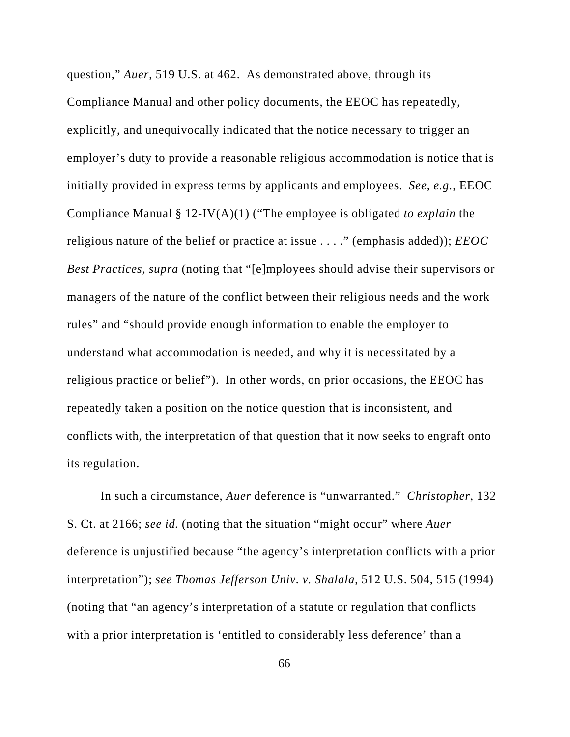question," *Auer*, 519 U.S. at 462. As demonstrated above, through its Compliance Manual and other policy documents, the EEOC has repeatedly, explicitly, and unequivocally indicated that the notice necessary to trigger an employer's duty to provide a reasonable religious accommodation is notice that is initially provided in express terms by applicants and employees. *See, e.g.*, EEOC Compliance Manual § 12-IV(A)(1) ("The employee is obligated *to explain* the religious nature of the belief or practice at issue . . . ." (emphasis added)); *EEOC Best Practices*, *supra* (noting that "[e]mployees should advise their supervisors or managers of the nature of the conflict between their religious needs and the work rules" and "should provide enough information to enable the employer to understand what accommodation is needed, and why it is necessitated by a religious practice or belief"). In other words, on prior occasions, the EEOC has repeatedly taken a position on the notice question that is inconsistent, and conflicts with, the interpretation of that question that it now seeks to engraft onto its regulation.

In such a circumstance, *Auer* deference is "unwarranted." *Christopher*, 132 S. Ct. at 2166; *see id.* (noting that the situation "might occur" where *Auer* deference is unjustified because "the agency's interpretation conflicts with a prior interpretation"); *see Thomas Jefferson Univ. v. Shalala*, 512 U.S. 504, 515 (1994) (noting that "an agency's interpretation of a statute or regulation that conflicts with a prior interpretation is 'entitled to considerably less deference' than a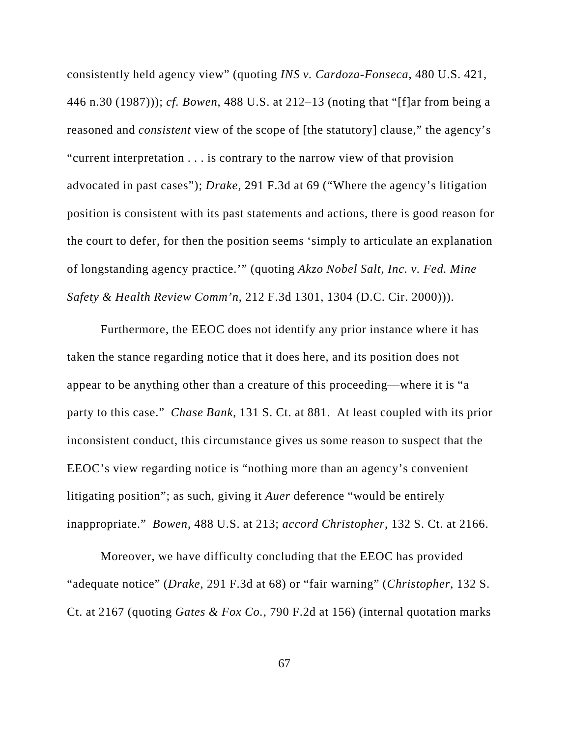consistently held agency view" (quoting *INS v. Cardoza-Fonseca*, 480 U.S. 421, 446 n.30 (1987))); *cf. Bowen*, 488 U.S. at 212–13 (noting that "[f]ar from being a reasoned and *consistent* view of the scope of [the statutory] clause," the agency's "current interpretation . . . is contrary to the narrow view of that provision advocated in past cases"); *Drake*, 291 F.3d at 69 ("Where the agency's litigation position is consistent with its past statements and actions, there is good reason for the court to defer, for then the position seems 'simply to articulate an explanation of longstanding agency practice.'" (quoting *Akzo Nobel Salt, Inc. v. Fed. Mine Safety & Health Review Comm'n*, 212 F.3d 1301, 1304 (D.C. Cir. 2000))).

Furthermore, the EEOC does not identify any prior instance where it has taken the stance regarding notice that it does here, and its position does not appear to be anything other than a creature of this proceeding—where it is "a party to this case." *Chase Bank*, 131 S. Ct. at 881. At least coupled with its prior inconsistent conduct, this circumstance gives us some reason to suspect that the EEOC's view regarding notice is "nothing more than an agency's convenient litigating position"; as such, giving it *Auer* deference "would be entirely inappropriate." *Bowen*, 488 U.S. at 213; *accord Christopher*, 132 S. Ct. at 2166.

Moreover, we have difficulty concluding that the EEOC has provided "adequate notice" (*Drake*, 291 F.3d at 68) or "fair warning" (*Christopher*, 132 S. Ct. at 2167 (quoting *Gates & Fox Co.*, 790 F.2d at 156) (internal quotation marks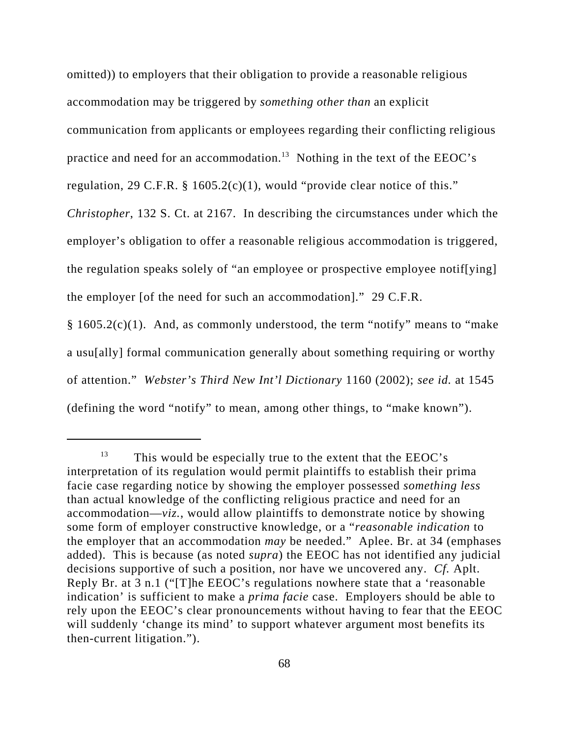omitted)) to employers that their obligation to provide a reasonable religious

accommodation may be triggered by *something other than* an explicit

communication from applicants or employees regarding their conflicting religious

practice and need for an accommodation.<sup>13</sup> Nothing in the text of the EEOC's

regulation, 29 C.F.R. § 1605.2(c)(1), would "provide clear notice of this."

*Christopher*, 132 S. Ct. at 2167. In describing the circumstances under which the employer's obligation to offer a reasonable religious accommodation is triggered, the regulation speaks solely of "an employee or prospective employee notif[ying] the employer [of the need for such an accommodation]." 29 C.F.R.

§ 1605.2(c)(1). And, as commonly understood, the term "notify" means to "make a usu[ally] formal communication generally about something requiring or worthy of attention." *Webster's Third New Int'l Dictionary* 1160 (2002); *see id.* at 1545 (defining the word "notify" to mean, among other things, to "make known").

 $13$  This would be especially true to the extent that the EEOC's interpretation of its regulation would permit plaintiffs to establish their prima facie case regarding notice by showing the employer possessed *something less* than actual knowledge of the conflicting religious practice and need for an accommodation—*viz.*, would allow plaintiffs to demonstrate notice by showing some form of employer constructive knowledge, or a "*reasonable indication* to the employer that an accommodation *may* be needed." Aplee. Br. at 34 (emphases added). This is because (as noted *supra*) the EEOC has not identified any judicial decisions supportive of such a position, nor have we uncovered any. *Cf.* Aplt. Reply Br. at 3 n.1 ("[T]he EEOC's regulations nowhere state that a 'reasonable indication' is sufficient to make a *prima facie* case. Employers should be able to rely upon the EEOC's clear pronouncements without having to fear that the EEOC will suddenly 'change its mind' to support whatever argument most benefits its then-current litigation.").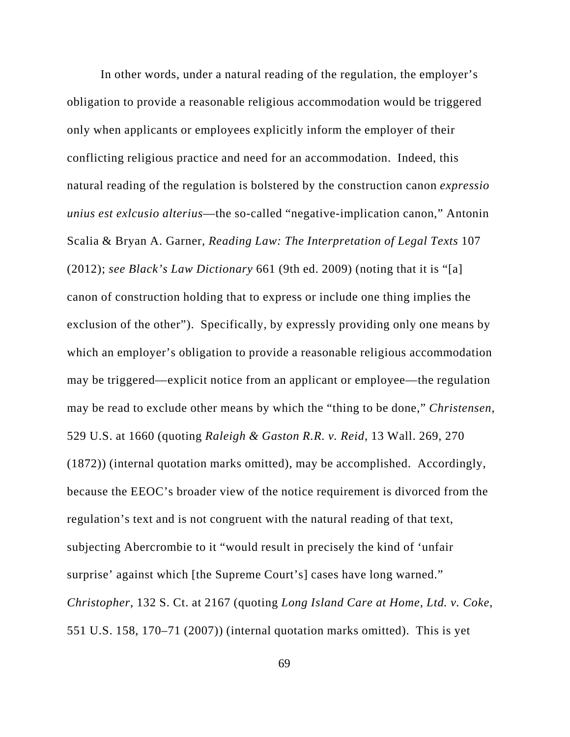In other words, under a natural reading of the regulation, the employer's obligation to provide a reasonable religious accommodation would be triggered only when applicants or employees explicitly inform the employer of their conflicting religious practice and need for an accommodation. Indeed, this natural reading of the regulation is bolstered by the construction canon *expressio unius est exlcusio alterius*—the so-called "negative-implication canon," Antonin Scalia & Bryan A. Garner, *Reading Law: The Interpretation of Legal Texts* 107 (2012); *see Black's Law Dictionary* 661 (9th ed. 2009) (noting that it is "[a] canon of construction holding that to express or include one thing implies the exclusion of the other"). Specifically, by expressly providing only one means by which an employer's obligation to provide a reasonable religious accommodation may be triggered—explicit notice from an applicant or employee—the regulation may be read to exclude other means by which the "thing to be done," *Christensen*, 529 U.S. at 1660 (quoting *Raleigh & Gaston R.R. v. Reid*, 13 Wall. 269, 270 (1872)) (internal quotation marks omitted), may be accomplished. Accordingly, because the EEOC's broader view of the notice requirement is divorced from the regulation's text and is not congruent with the natural reading of that text, subjecting Abercrombie to it "would result in precisely the kind of 'unfair surprise' against which [the Supreme Court's] cases have long warned." *Christopher*, 132 S. Ct. at 2167 (quoting *Long Island Care at Home, Ltd. v. Coke*, 551 U.S. 158, 170–71 (2007)) (internal quotation marks omitted). This is yet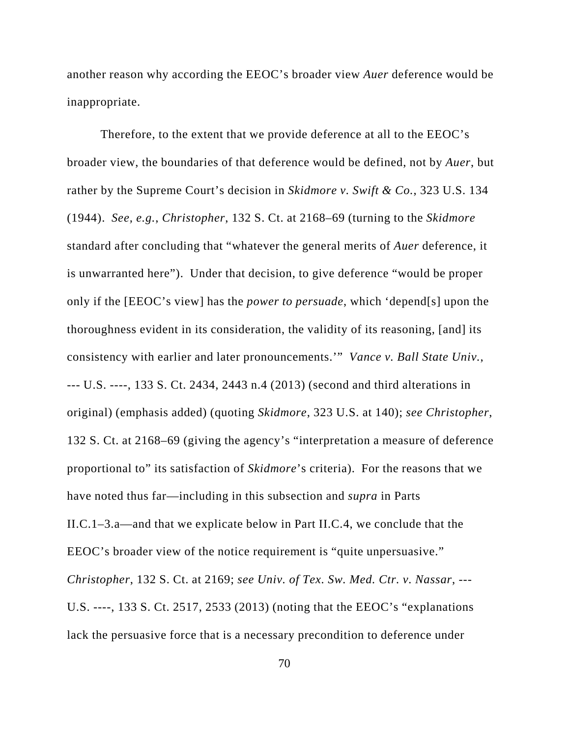another reason why according the EEOC's broader view *Auer* deference would be inappropriate.

Therefore, to the extent that we provide deference at all to the EEOC's broader view, the boundaries of that deference would be defined, not by *Auer*, but rather by the Supreme Court's decision in *Skidmore v. Swift & Co.*, 323 U.S. 134 (1944). *See, e.g.*, *Christopher*, 132 S. Ct. at 2168–69 (turning to the *Skidmore* standard after concluding that "whatever the general merits of *Auer* deference, it is unwarranted here"). Under that decision, to give deference "would be proper only if the [EEOC's view] has the *power to persuade*, which 'depend[s] upon the thoroughness evident in its consideration, the validity of its reasoning, [and] its consistency with earlier and later pronouncements.'" *Vance v. Ball State Univ.*, --- U.S. ----, 133 S. Ct. 2434, 2443 n.4 (2013) (second and third alterations in original) (emphasis added) (quoting *Skidmore*, 323 U.S. at 140); *see Christopher*, 132 S. Ct. at 2168–69 (giving the agency's "interpretation a measure of deference proportional to" its satisfaction of *Skidmore*'s criteria). For the reasons that we have noted thus far—including in this subsection and *supra* in Parts II.C.1–3.a—and that we explicate below in Part II.C.4, we conclude that the EEOC's broader view of the notice requirement is "quite unpersuasive." *Christopher*, 132 S. Ct. at 2169; *see Univ. of Tex. Sw. Med. Ctr. v. Nassar*, --- U.S. ----, 133 S. Ct. 2517, 2533 (2013) (noting that the EEOC's "explanations lack the persuasive force that is a necessary precondition to deference under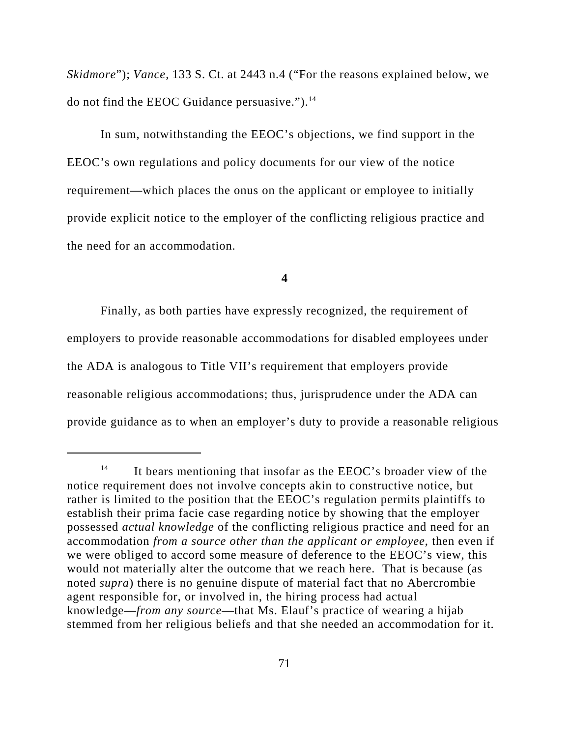*Skidmore*"); *Vance*, 133 S. Ct. at 2443 n.4 ("For the reasons explained below, we do not find the EEOC Guidance persuasive.").<sup>14</sup>

In sum, notwithstanding the EEOC's objections, we find support in the EEOC's own regulations and policy documents for our view of the notice requirement—which places the onus on the applicant or employee to initially provide explicit notice to the employer of the conflicting religious practice and the need for an accommodation.

## **4**

Finally, as both parties have expressly recognized, the requirement of employers to provide reasonable accommodations for disabled employees under the ADA is analogous to Title VII's requirement that employers provide reasonable religious accommodations; thus, jurisprudence under the ADA can provide guidance as to when an employer's duty to provide a reasonable religious

<sup>&</sup>lt;sup>14</sup> It bears mentioning that insofar as the EEOC's broader view of the notice requirement does not involve concepts akin to constructive notice, but rather is limited to the position that the EEOC's regulation permits plaintiffs to establish their prima facie case regarding notice by showing that the employer possessed *actual knowledge* of the conflicting religious practice and need for an accommodation *from a source other than the applicant or employee*, then even if we were obliged to accord some measure of deference to the EEOC's view, this would not materially alter the outcome that we reach here. That is because (as noted *supra*) there is no genuine dispute of material fact that no Abercrombie agent responsible for, or involved in, the hiring process had actual knowledge—*from any source*—that Ms. Elauf's practice of wearing a hijab stemmed from her religious beliefs and that she needed an accommodation for it.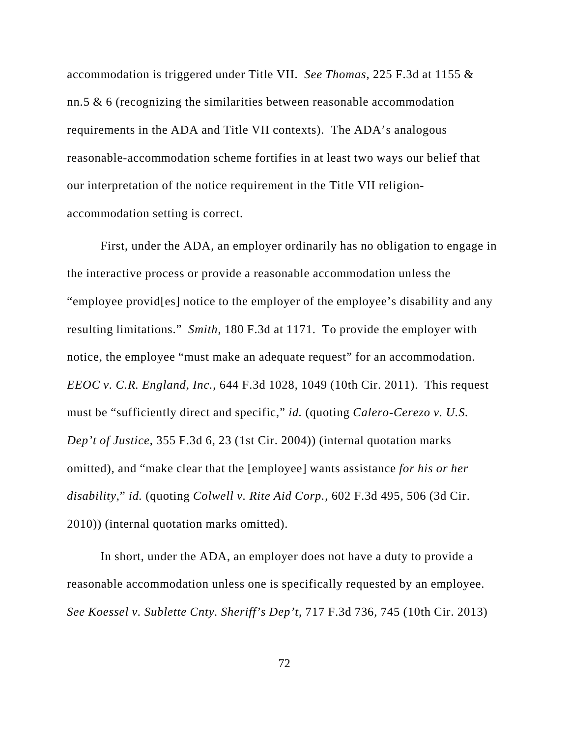accommodation is triggered under Title VII. *See Thomas*, 225 F.3d at 1155 & nn.5 & 6 (recognizing the similarities between reasonable accommodation requirements in the ADA and Title VII contexts). The ADA's analogous reasonable-accommodation scheme fortifies in at least two ways our belief that our interpretation of the notice requirement in the Title VII religionaccommodation setting is correct.

First, under the ADA, an employer ordinarily has no obligation to engage in the interactive process or provide a reasonable accommodation unless the "employee provid[es] notice to the employer of the employee's disability and any resulting limitations." *Smith*, 180 F.3d at 1171. To provide the employer with notice, the employee "must make an adequate request" for an accommodation. *EEOC v. C.R. England, Inc.*, 644 F.3d 1028, 1049 (10th Cir. 2011). This request must be "sufficiently direct and specific," *id.* (quoting *Calero-Cerezo v. U.S. Dep't of Justice*, 355 F.3d 6, 23 (1st Cir. 2004)) (internal quotation marks omitted), and "make clear that the [employee] wants assistance *for his or her disability*," *id.* (quoting *Colwell v. Rite Aid Corp.*, 602 F.3d 495, 506 (3d Cir. 2010)) (internal quotation marks omitted).

In short, under the ADA, an employer does not have a duty to provide a reasonable accommodation unless one is specifically requested by an employee. *See Koessel v. Sublette Cnty. Sheriff's Dep't*, 717 F.3d 736, 745 (10th Cir. 2013)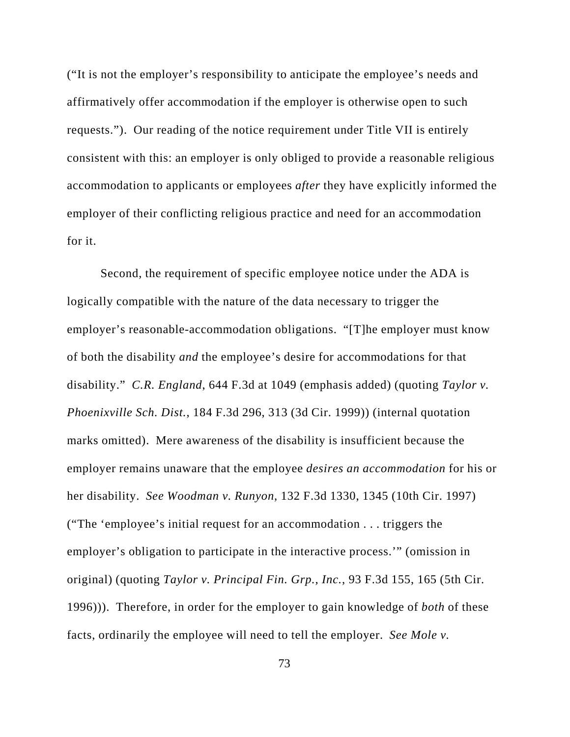("It is not the employer's responsibility to anticipate the employee's needs and affirmatively offer accommodation if the employer is otherwise open to such requests."). Our reading of the notice requirement under Title VII is entirely consistent with this: an employer is only obliged to provide a reasonable religious accommodation to applicants or employees *after* they have explicitly informed the employer of their conflicting religious practice and need for an accommodation for it.

Second, the requirement of specific employee notice under the ADA is logically compatible with the nature of the data necessary to trigger the employer's reasonable-accommodation obligations. "[T]he employer must know of both the disability *and* the employee's desire for accommodations for that disability." *C.R. England*, 644 F.3d at 1049 (emphasis added) (quoting *Taylor v. Phoenixville Sch. Dist.*, 184 F.3d 296, 313 (3d Cir. 1999)) (internal quotation marks omitted). Mere awareness of the disability is insufficient because the employer remains unaware that the employee *desires an accommodation* for his or her disability. *See Woodman v. Runyon*, 132 F.3d 1330, 1345 (10th Cir. 1997) ("The 'employee's initial request for an accommodation . . . triggers the employer's obligation to participate in the interactive process.'" (omission in original) (quoting *Taylor v. Principal Fin. Grp., Inc.*, 93 F.3d 155, 165 (5th Cir. 1996))). Therefore, in order for the employer to gain knowledge of *both* of these facts, ordinarily the employee will need to tell the employer. *See Mole v.*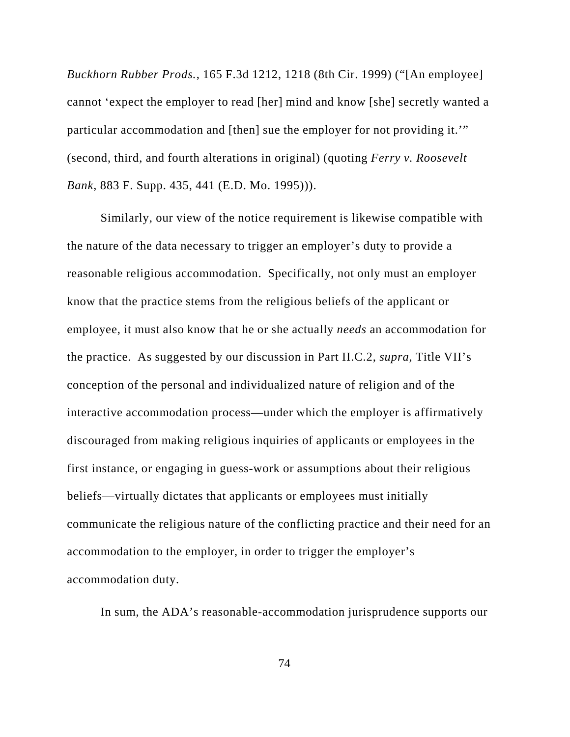*Buckhorn Rubber Prods.*, 165 F.3d 1212, 1218 (8th Cir. 1999) ("[An employee] cannot 'expect the employer to read [her] mind and know [she] secretly wanted a particular accommodation and [then] sue the employer for not providing it.'" (second, third, and fourth alterations in original) (quoting *Ferry v. Roosevelt Bank*, 883 F. Supp. 435, 441 (E.D. Mo. 1995))).

Similarly, our view of the notice requirement is likewise compatible with the nature of the data necessary to trigger an employer's duty to provide a reasonable religious accommodation. Specifically, not only must an employer know that the practice stems from the religious beliefs of the applicant or employee, it must also know that he or she actually *needs* an accommodation for the practice. As suggested by our discussion in Part II.C.2, *supra*, Title VII's conception of the personal and individualized nature of religion and of the interactive accommodation process—under which the employer is affirmatively discouraged from making religious inquiries of applicants or employees in the first instance, or engaging in guess-work or assumptions about their religious beliefs—virtually dictates that applicants or employees must initially communicate the religious nature of the conflicting practice and their need for an accommodation to the employer, in order to trigger the employer's accommodation duty.

In sum, the ADA's reasonable-accommodation jurisprudence supports our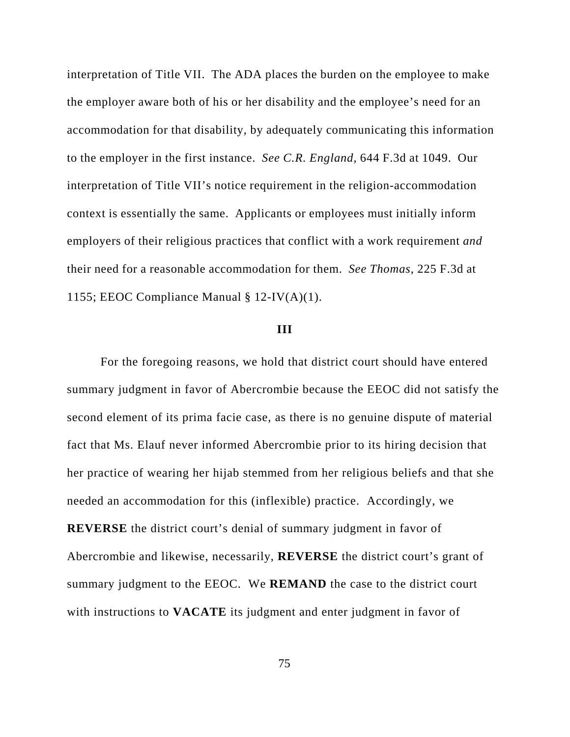interpretation of Title VII. The ADA places the burden on the employee to make the employer aware both of his or her disability and the employee's need for an accommodation for that disability, by adequately communicating this information to the employer in the first instance. *See C.R. England*, 644 F.3d at 1049. Our interpretation of Title VII's notice requirement in the religion-accommodation context is essentially the same. Applicants or employees must initially inform employers of their religious practices that conflict with a work requirement *and* their need for a reasonable accommodation for them. *See Thomas*, 225 F.3d at 1155; EEOC Compliance Manual § 12-IV(A)(1).

#### **III**

For the foregoing reasons, we hold that district court should have entered summary judgment in favor of Abercrombie because the EEOC did not satisfy the second element of its prima facie case, as there is no genuine dispute of material fact that Ms. Elauf never informed Abercrombie prior to its hiring decision that her practice of wearing her hijab stemmed from her religious beliefs and that she needed an accommodation for this (inflexible) practice. Accordingly, we **REVERSE** the district court's denial of summary judgment in favor of Abercrombie and likewise, necessarily, **REVERSE** the district court's grant of summary judgment to the EEOC. We **REMAND** the case to the district court with instructions to **VACATE** its judgment and enter judgment in favor of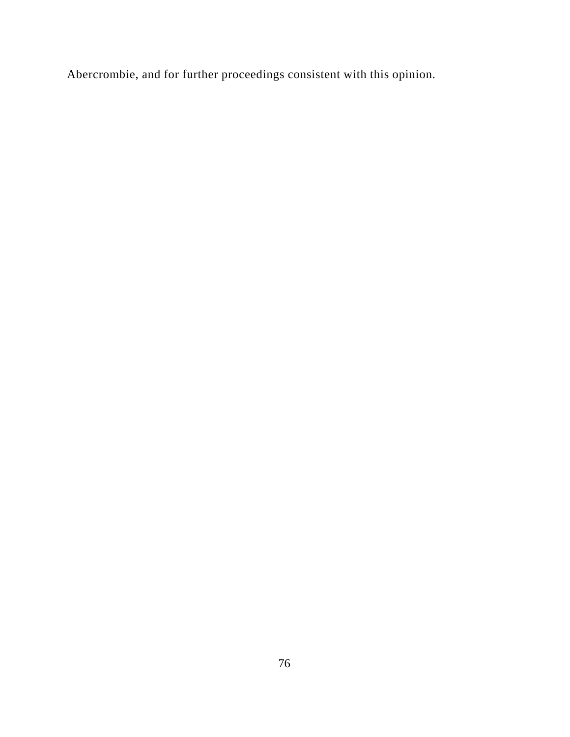Abercrombie, and for further proceedings consistent with this opinion.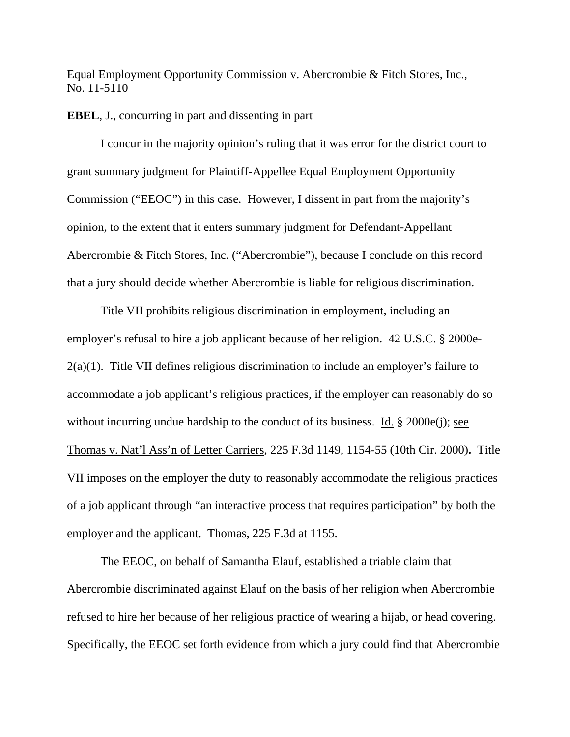Equal Employment Opportunity Commission v. Abercrombie & Fitch Stores, Inc., No. 11-5110

#### **EBEL**, J., concurring in part and dissenting in part

 I concur in the majority opinion's ruling that it was error for the district court to grant summary judgment for Plaintiff-Appellee Equal Employment Opportunity Commission ("EEOC") in this case. However, I dissent in part from the majority's opinion, to the extent that it enters summary judgment for Defendant-Appellant Abercrombie & Fitch Stores, Inc. ("Abercrombie"), because I conclude on this record that a jury should decide whether Abercrombie is liable for religious discrimination.

 Title VII prohibits religious discrimination in employment, including an employer's refusal to hire a job applicant because of her religion. 42 U.S.C. § 2000e-2(a)(1). Title VII defines religious discrimination to include an employer's failure to accommodate a job applicant's religious practices, if the employer can reasonably do so without incurring undue hardship to the conduct of its business. Id. § 2000e(j); see Thomas v. Nat'l Ass'n of Letter Carriers, 225 F.3d 1149, 1154-55 (10th Cir. 2000)**.** Title VII imposes on the employer the duty to reasonably accommodate the religious practices of a job applicant through "an interactive process that requires participation" by both the employer and the applicant. Thomas, 225 F.3d at 1155.

The EEOC, on behalf of Samantha Elauf, established a triable claim that Abercrombie discriminated against Elauf on the basis of her religion when Abercrombie refused to hire her because of her religious practice of wearing a hijab, or head covering. Specifically, the EEOC set forth evidence from which a jury could find that Abercrombie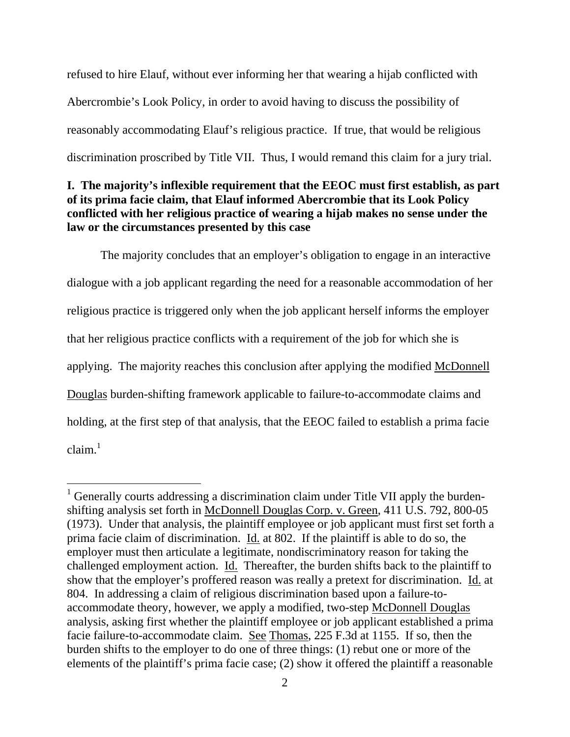refused to hire Elauf, without ever informing her that wearing a hijab conflicted with Abercrombie's Look Policy, in order to avoid having to discuss the possibility of reasonably accommodating Elauf's religious practice. If true, that would be religious discrimination proscribed by Title VII. Thus, I would remand this claim for a jury trial.

## **I. The majority's inflexible requirement that the EEOC must first establish, as part of its prima facie claim, that Elauf informed Abercrombie that its Look Policy conflicted with her religious practice of wearing a hijab makes no sense under the law or the circumstances presented by this case**

 The majority concludes that an employer's obligation to engage in an interactive dialogue with a job applicant regarding the need for a reasonable accommodation of her religious practice is triggered only when the job applicant herself informs the employer that her religious practice conflicts with a requirement of the job for which she is applying. The majority reaches this conclusion after applying the modified McDonnell Douglas burden-shifting framework applicable to failure-to-accommodate claims and holding, at the first step of that analysis, that the EEOC failed to establish a prima facie  $claim.<sup>1</sup>$ 

 $1$  Generally courts addressing a discrimination claim under Title VII apply the burdenshifting analysis set forth in McDonnell Douglas Corp. v. Green, 411 U.S. 792, 800-05 (1973). Under that analysis, the plaintiff employee or job applicant must first set forth a prima facie claim of discrimination. Id. at 802. If the plaintiff is able to do so, the employer must then articulate a legitimate, nondiscriminatory reason for taking the challenged employment action. Id. Thereafter, the burden shifts back to the plaintiff to show that the employer's proffered reason was really a pretext for discrimination. Id. at 804. In addressing a claim of religious discrimination based upon a failure-toaccommodate theory, however, we apply a modified, two-step McDonnell Douglas analysis, asking first whether the plaintiff employee or job applicant established a prima facie failure-to-accommodate claim. See Thomas, 225 F.3d at 1155. If so, then the burden shifts to the employer to do one of three things: (1) rebut one or more of the elements of the plaintiff's prima facie case; (2) show it offered the plaintiff a reasonable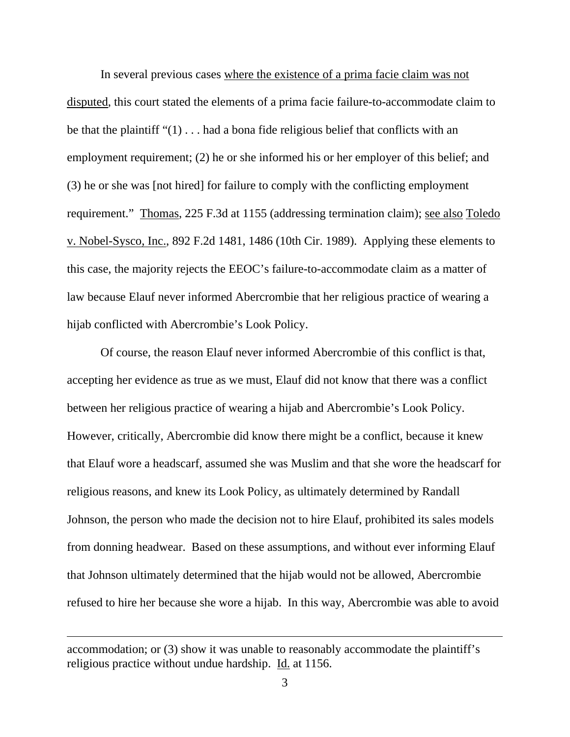In several previous cases where the existence of a prima facie claim was not disputed, this court stated the elements of a prima facie failure-to-accommodate claim to be that the plaintiff " $(1)$ ... had a bona fide religious belief that conflicts with an employment requirement; (2) he or she informed his or her employer of this belief; and (3) he or she was [not hired] for failure to comply with the conflicting employment requirement." Thomas, 225 F.3d at 1155 (addressing termination claim); see also Toledo v. Nobel-Sysco, Inc., 892 F.2d 1481, 1486 (10th Cir. 1989). Applying these elements to this case, the majority rejects the EEOC's failure-to-accommodate claim as a matter of law because Elauf never informed Abercrombie that her religious practice of wearing a hijab conflicted with Abercrombie's Look Policy.

Of course, the reason Elauf never informed Abercrombie of this conflict is that, accepting her evidence as true as we must, Elauf did not know that there was a conflict between her religious practice of wearing a hijab and Abercrombie's Look Policy. However, critically, Abercrombie did know there might be a conflict, because it knew that Elauf wore a headscarf, assumed she was Muslim and that she wore the headscarf for religious reasons, and knew its Look Policy, as ultimately determined by Randall Johnson, the person who made the decision not to hire Elauf, prohibited its sales models from donning headwear. Based on these assumptions, and without ever informing Elauf that Johnson ultimately determined that the hijab would not be allowed, Abercrombie refused to hire her because she wore a hijab. In this way, Abercrombie was able to avoid

accommodation; or (3) show it was unable to reasonably accommodate the plaintiff's religious practice without undue hardship. Id. at 1156.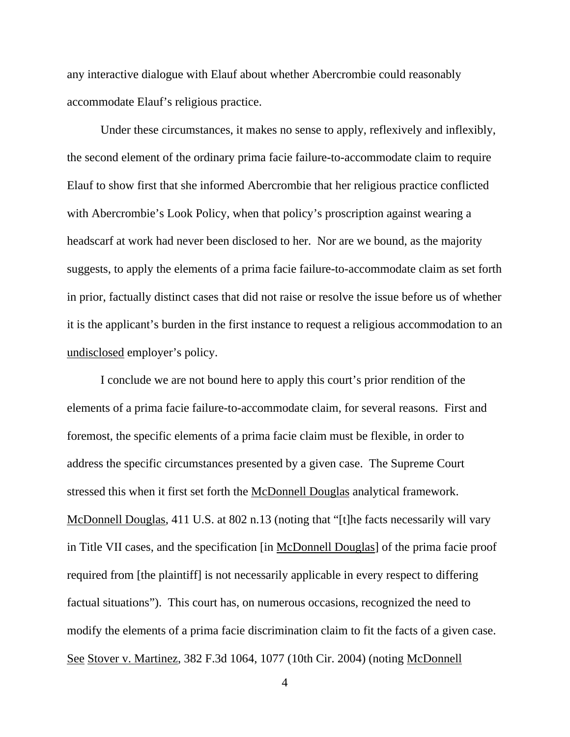any interactive dialogue with Elauf about whether Abercrombie could reasonably accommodate Elauf's religious practice.

Under these circumstances, it makes no sense to apply, reflexively and inflexibly, the second element of the ordinary prima facie failure-to-accommodate claim to require Elauf to show first that she informed Abercrombie that her religious practice conflicted with Abercrombie's Look Policy, when that policy's proscription against wearing a headscarf at work had never been disclosed to her. Nor are we bound, as the majority suggests, to apply the elements of a prima facie failure-to-accommodate claim as set forth in prior, factually distinct cases that did not raise or resolve the issue before us of whether it is the applicant's burden in the first instance to request a religious accommodation to an undisclosed employer's policy.

I conclude we are not bound here to apply this court's prior rendition of the elements of a prima facie failure-to-accommodate claim, for several reasons. First and foremost, the specific elements of a prima facie claim must be flexible, in order to address the specific circumstances presented by a given case. The Supreme Court stressed this when it first set forth the McDonnell Douglas analytical framework. McDonnell Douglas, 411 U.S. at 802 n.13 (noting that "[t]he facts necessarily will vary in Title VII cases, and the specification [in McDonnell Douglas] of the prima facie proof required from [the plaintiff] is not necessarily applicable in every respect to differing factual situations"). This court has, on numerous occasions, recognized the need to modify the elements of a prima facie discrimination claim to fit the facts of a given case. See Stover v. Martinez, 382 F.3d 1064, 1077 (10th Cir. 2004) (noting McDonnell

4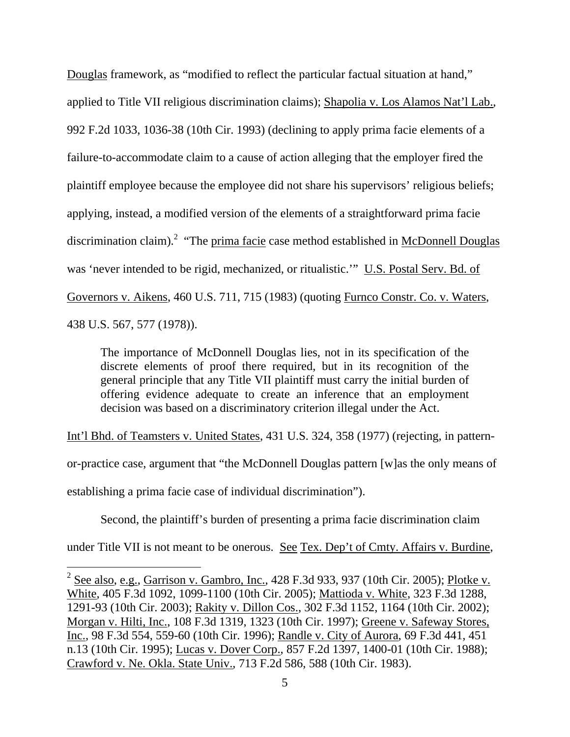Douglas framework, as "modified to reflect the particular factual situation at hand," applied to Title VII religious discrimination claims); Shapolia v. Los Alamos Nat'l Lab., 992 F.2d 1033, 1036-38 (10th Cir. 1993) (declining to apply prima facie elements of a failure-to-accommodate claim to a cause of action alleging that the employer fired the plaintiff employee because the employee did not share his supervisors' religious beliefs; applying, instead, a modified version of the elements of a straightforward prima facie discrimination claim).<sup>2</sup> "The prima facie case method established in McDonnell Douglas was 'never intended to be rigid, mechanized, or ritualistic.'" U.S. Postal Serv. Bd. of Governors v. Aikens, 460 U.S. 711, 715 (1983) (quoting Furnco Constr. Co. v. Waters, 438 U.S. 567, 577 (1978)).

The importance of McDonnell Douglas lies, not in its specification of the discrete elements of proof there required, but in its recognition of the general principle that any Title VII plaintiff must carry the initial burden of offering evidence adequate to create an inference that an employment decision was based on a discriminatory criterion illegal under the Act.

Int'l Bhd. of Teamsters v. United States, 431 U.S. 324, 358 (1977) (rejecting, in pattern-

or-practice case, argument that "the McDonnell Douglas pattern [w]as the only means of

establishing a prima facie case of individual discrimination").

 $\overline{a}$ 

Second, the plaintiff's burden of presenting a prima facie discrimination claim

under Title VII is not meant to be onerous. See Tex. Dep't of Cmty. Affairs v. Burdine,

 $2^{2}$  See also, e.g., Garrison v. Gambro, Inc., 428 F.3d 933, 937 (10th Cir. 2005); Plotke v. White, 405 F.3d 1092, 1099-1100 (10th Cir. 2005); Mattioda v. White, 323 F.3d 1288, 1291-93 (10th Cir. 2003); Rakity v. Dillon Cos., 302 F.3d 1152, 1164 (10th Cir. 2002); Morgan v. Hilti, Inc., 108 F.3d 1319, 1323 (10th Cir. 1997); Greene v. Safeway Stores, Inc., 98 F.3d 554, 559-60 (10th Cir. 1996); Randle v. City of Aurora, 69 F.3d 441, 451 n.13 (10th Cir. 1995); Lucas v. Dover Corp., 857 F.2d 1397, 1400-01 (10th Cir. 1988); Crawford v. Ne. Okla. State Univ., 713 F.2d 586, 588 (10th Cir. 1983).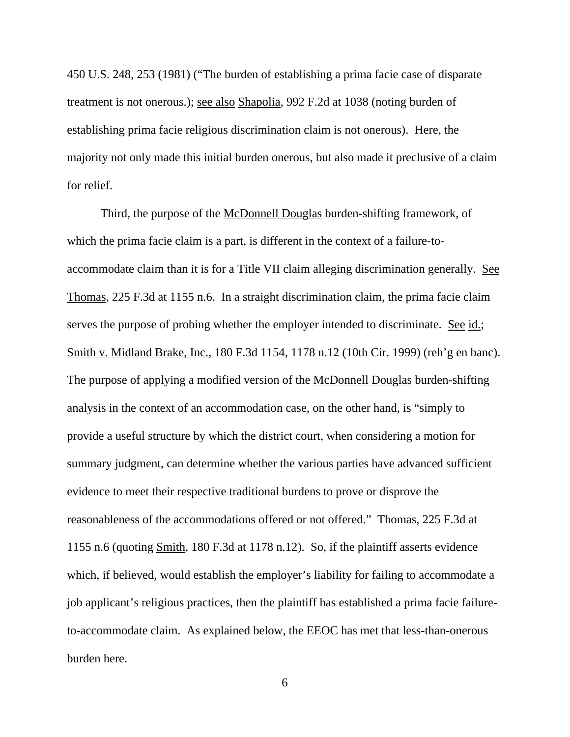450 U.S. 248, 253 (1981) ("The burden of establishing a prima facie case of disparate treatment is not onerous.); see also Shapolia, 992 F.2d at 1038 (noting burden of establishing prima facie religious discrimination claim is not onerous). Here, the majority not only made this initial burden onerous, but also made it preclusive of a claim for relief.

 Third, the purpose of the McDonnell Douglas burden-shifting framework, of which the prima facie claim is a part, is different in the context of a failure-toaccommodate claim than it is for a Title VII claim alleging discrimination generally. See Thomas, 225 F.3d at 1155 n.6. In a straight discrimination claim, the prima facie claim serves the purpose of probing whether the employer intended to discriminate. See id.; Smith v. Midland Brake, Inc., 180 F.3d 1154, 1178 n.12 (10th Cir. 1999) (reh'g en banc). The purpose of applying a modified version of the McDonnell Douglas burden-shifting analysis in the context of an accommodation case, on the other hand, is "simply to provide a useful structure by which the district court, when considering a motion for summary judgment, can determine whether the various parties have advanced sufficient evidence to meet their respective traditional burdens to prove or disprove the reasonableness of the accommodations offered or not offered." Thomas, 225 F.3d at 1155 n.6 (quoting Smith, 180 F.3d at 1178 n.12). So, if the plaintiff asserts evidence which, if believed, would establish the employer's liability for failing to accommodate a job applicant's religious practices, then the plaintiff has established a prima facie failureto-accommodate claim. As explained below, the EEOC has met that less-than-onerous burden here.

6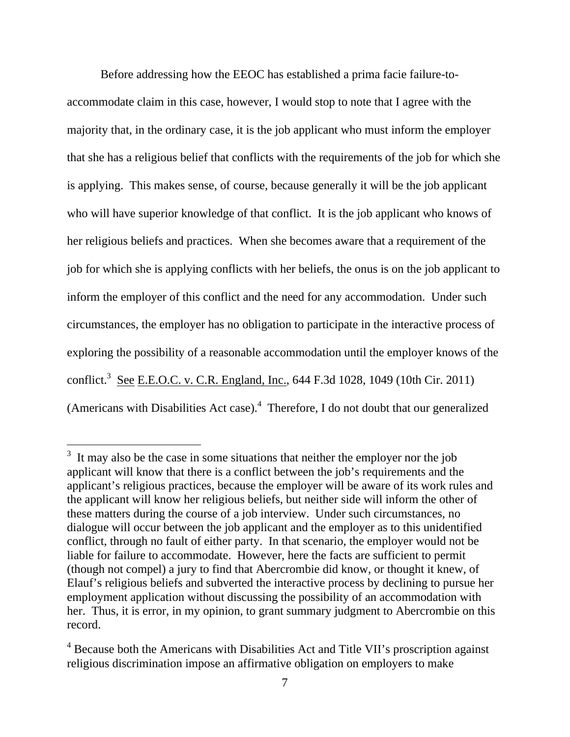Before addressing how the EEOC has established a prima facie failure-toaccommodate claim in this case, however, I would stop to note that I agree with the majority that, in the ordinary case, it is the job applicant who must inform the employer that she has a religious belief that conflicts with the requirements of the job for which she is applying. This makes sense, of course, because generally it will be the job applicant who will have superior knowledge of that conflict. It is the job applicant who knows of her religious beliefs and practices. When she becomes aware that a requirement of the job for which she is applying conflicts with her beliefs, the onus is on the job applicant to inform the employer of this conflict and the need for any accommodation. Under such circumstances, the employer has no obligation to participate in the interactive process of exploring the possibility of a reasonable accommodation until the employer knows of the conflict.<sup>3</sup> See E.E.O.C. v. C.R. England, Inc., 644 F.3d 1028, 1049 (10th Cir. 2011) (Americans with Disabilities Act case). $4$  Therefore, I do not doubt that our generalized

 $3<sup>3</sup>$  It may also be the case in some situations that neither the employer nor the job applicant will know that there is a conflict between the job's requirements and the applicant's religious practices, because the employer will be aware of its work rules and the applicant will know her religious beliefs, but neither side will inform the other of these matters during the course of a job interview. Under such circumstances, no dialogue will occur between the job applicant and the employer as to this unidentified conflict, through no fault of either party. In that scenario, the employer would not be liable for failure to accommodate. However, here the facts are sufficient to permit (though not compel) a jury to find that Abercrombie did know, or thought it knew, of Elauf's religious beliefs and subverted the interactive process by declining to pursue her employment application without discussing the possibility of an accommodation with her. Thus, it is error, in my opinion, to grant summary judgment to Abercrombie on this record.

<sup>&</sup>lt;sup>4</sup> Because both the Americans with Disabilities Act and Title VII's proscription against religious discrimination impose an affirmative obligation on employers to make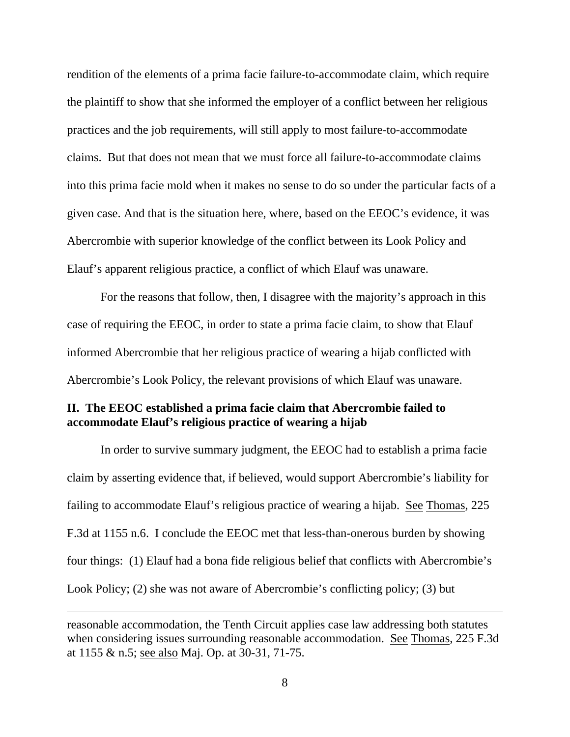rendition of the elements of a prima facie failure-to-accommodate claim, which require the plaintiff to show that she informed the employer of a conflict between her religious practices and the job requirements, will still apply to most failure-to-accommodate claims. But that does not mean that we must force all failure-to-accommodate claims into this prima facie mold when it makes no sense to do so under the particular facts of a given case. And that is the situation here, where, based on the EEOC's evidence, it was Abercrombie with superior knowledge of the conflict between its Look Policy and Elauf's apparent religious practice, a conflict of which Elauf was unaware.

 For the reasons that follow, then, I disagree with the majority's approach in this case of requiring the EEOC, in order to state a prima facie claim, to show that Elauf informed Abercrombie that her religious practice of wearing a hijab conflicted with Abercrombie's Look Policy, the relevant provisions of which Elauf was unaware.

### **II. The EEOC established a prima facie claim that Abercrombie failed to accommodate Elauf's religious practice of wearing a hijab**

 In order to survive summary judgment, the EEOC had to establish a prima facie claim by asserting evidence that, if believed, would support Abercrombie's liability for failing to accommodate Elauf's religious practice of wearing a hijab. See Thomas, 225 F.3d at 1155 n.6. I conclude the EEOC met that less-than-onerous burden by showing four things: (1) Elauf had a bona fide religious belief that conflicts with Abercrombie's Look Policy; (2) she was not aware of Abercrombie's conflicting policy; (3) but

reasonable accommodation, the Tenth Circuit applies case law addressing both statutes when considering issues surrounding reasonable accommodation. See Thomas, 225 F.3d at 1155 & n.5; see also Maj. Op. at 30-31, 71-75.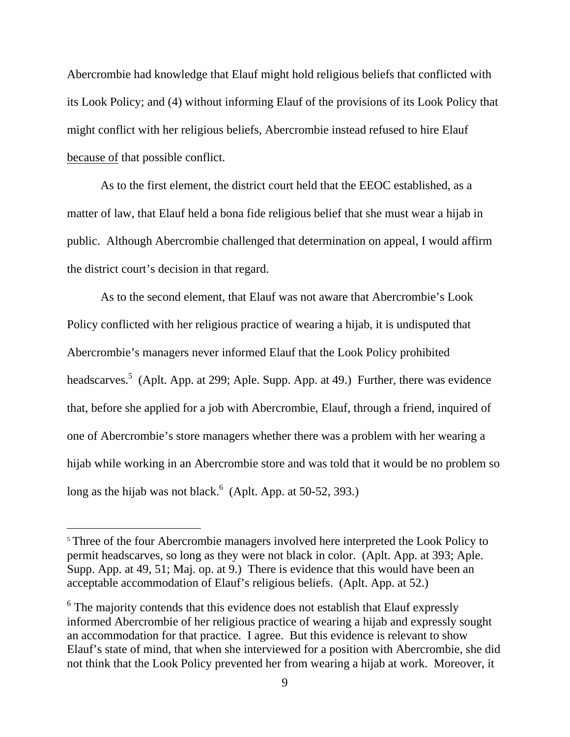Abercrombie had knowledge that Elauf might hold religious beliefs that conflicted with its Look Policy; and (4) without informing Elauf of the provisions of its Look Policy that might conflict with her religious beliefs, Abercrombie instead refused to hire Elauf because of that possible conflict.

 As to the first element, the district court held that the EEOC established, as a matter of law, that Elauf held a bona fide religious belief that she must wear a hijab in public. Although Abercrombie challenged that determination on appeal, I would affirm the district court's decision in that regard.

As to the second element, that Elauf was not aware that Abercrombie's Look Policy conflicted with her religious practice of wearing a hijab, it is undisputed that Abercrombie's managers never informed Elauf that the Look Policy prohibited headscarves.<sup>5</sup> (Aplt. App. at 299; Aple. Supp. App. at 49.) Further, there was evidence that, before she applied for a job with Abercrombie, Elauf, through a friend, inquired of one of Abercrombie's store managers whether there was a problem with her wearing a hijab while working in an Abercrombie store and was told that it would be no problem so long as the hijab was not black. $6$  (Aplt. App. at 50-52, 393.)

<sup>&</sup>lt;sup>5</sup> Three of the four Abercrombie managers involved here interpreted the Look Policy to permit headscarves, so long as they were not black in color. (Aplt. App. at 393; Aple. Supp. App. at 49, 51; Maj. op. at 9.) There is evidence that this would have been an acceptable accommodation of Elauf's religious beliefs. (Aplt. App. at 52.)

 $6$  The majority contends that this evidence does not establish that Elauf expressly informed Abercrombie of her religious practice of wearing a hijab and expressly sought an accommodation for that practice. I agree. But this evidence is relevant to show Elauf's state of mind, that when she interviewed for a position with Abercrombie, she did not think that the Look Policy prevented her from wearing a hijab at work. Moreover, it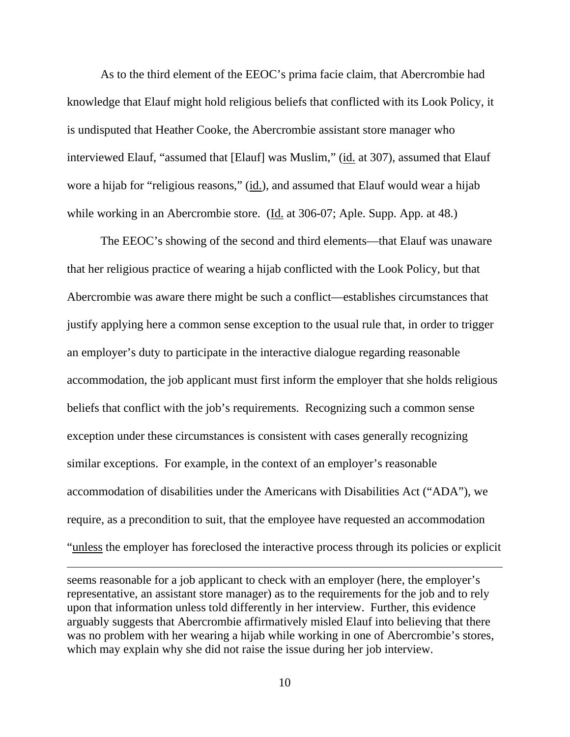As to the third element of the EEOC's prima facie claim, that Abercrombie had knowledge that Elauf might hold religious beliefs that conflicted with its Look Policy, it is undisputed that Heather Cooke, the Abercrombie assistant store manager who interviewed Elauf, "assumed that [Elauf] was Muslim," (id. at 307), assumed that Elauf wore a hijab for "religious reasons," (id.), and assumed that Elauf would wear a hijab while working in an Abercrombie store. (Id. at 306-07; Aple. Supp. App. at 48.)

 The EEOC's showing of the second and third elements—that Elauf was unaware that her religious practice of wearing a hijab conflicted with the Look Policy, but that Abercrombie was aware there might be such a conflict—establishes circumstances that justify applying here a common sense exception to the usual rule that, in order to trigger an employer's duty to participate in the interactive dialogue regarding reasonable accommodation, the job applicant must first inform the employer that she holds religious beliefs that conflict with the job's requirements. Recognizing such a common sense exception under these circumstances is consistent with cases generally recognizing similar exceptions. For example, in the context of an employer's reasonable accommodation of disabilities under the Americans with Disabilities Act ("ADA"), we require, as a precondition to suit, that the employee have requested an accommodation "unless the employer has foreclosed the interactive process through its policies or explicit

seems reasonable for a job applicant to check with an employer (here, the employer's representative, an assistant store manager) as to the requirements for the job and to rely upon that information unless told differently in her interview. Further, this evidence arguably suggests that Abercrombie affirmatively misled Elauf into believing that there was no problem with her wearing a hijab while working in one of Abercrombie's stores, which may explain why she did not raise the issue during her job interview.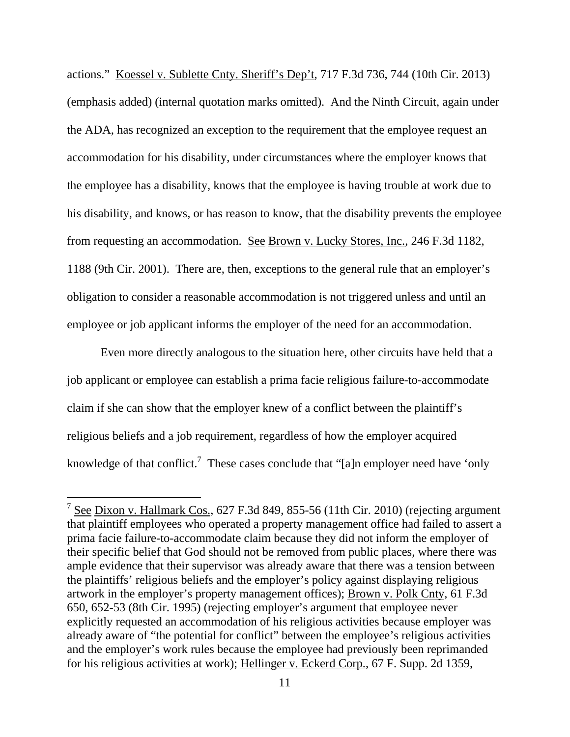actions." Koessel v. Sublette Cnty. Sheriff's Dep't, 717 F.3d 736, 744 (10th Cir. 2013) (emphasis added) (internal quotation marks omitted). And the Ninth Circuit, again under the ADA, has recognized an exception to the requirement that the employee request an accommodation for his disability, under circumstances where the employer knows that the employee has a disability, knows that the employee is having trouble at work due to his disability, and knows, or has reason to know, that the disability prevents the employee from requesting an accommodation. See Brown v. Lucky Stores, Inc., 246 F.3d 1182, 1188 (9th Cir. 2001). There are, then, exceptions to the general rule that an employer's obligation to consider a reasonable accommodation is not triggered unless and until an employee or job applicant informs the employer of the need for an accommodation.

 Even more directly analogous to the situation here, other circuits have held that a job applicant or employee can establish a prima facie religious failure-to-accommodate claim if she can show that the employer knew of a conflict between the plaintiff's religious beliefs and a job requirement, regardless of how the employer acquired knowledge of that conflict.<sup>7</sup> These cases conclude that "[a]n employer need have 'only

 $7$  See Dixon v. Hallmark Cos., 627 F.3d 849, 855-56 (11th Cir. 2010) (rejecting argument that plaintiff employees who operated a property management office had failed to assert a prima facie failure-to-accommodate claim because they did not inform the employer of their specific belief that God should not be removed from public places, where there was ample evidence that their supervisor was already aware that there was a tension between the plaintiffs' religious beliefs and the employer's policy against displaying religious artwork in the employer's property management offices); Brown v. Polk Cnty, 61 F.3d 650, 652-53 (8th Cir. 1995) (rejecting employer's argument that employee never explicitly requested an accommodation of his religious activities because employer was already aware of "the potential for conflict" between the employee's religious activities and the employer's work rules because the employee had previously been reprimanded for his religious activities at work); Hellinger v. Eckerd Corp., 67 F. Supp. 2d 1359,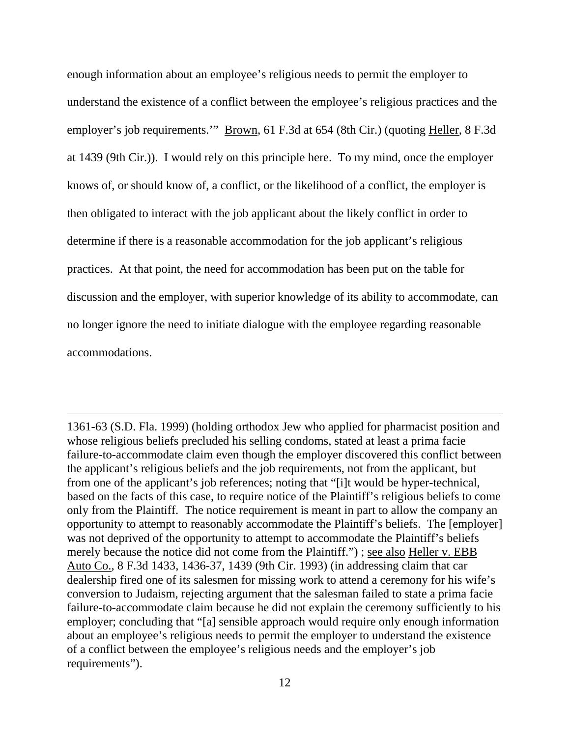enough information about an employee's religious needs to permit the employer to understand the existence of a conflict between the employee's religious practices and the employer's job requirements.'" Brown, 61 F.3d at 654 (8th Cir.) (quoting Heller, 8 F.3d at 1439 (9th Cir.)). I would rely on this principle here. To my mind, once the employer knows of, or should know of, a conflict, or the likelihood of a conflict, the employer is then obligated to interact with the job applicant about the likely conflict in order to determine if there is a reasonable accommodation for the job applicant's religious practices. At that point, the need for accommodation has been put on the table for discussion and the employer, with superior knowledge of its ability to accommodate, can no longer ignore the need to initiate dialogue with the employee regarding reasonable accommodations.

1361-63 (S.D. Fla. 1999) (holding orthodox Jew who applied for pharmacist position and whose religious beliefs precluded his selling condoms, stated at least a prima facie failure-to-accommodate claim even though the employer discovered this conflict between the applicant's religious beliefs and the job requirements, not from the applicant, but from one of the applicant's job references; noting that "[i]t would be hyper-technical, based on the facts of this case, to require notice of the Plaintiff's religious beliefs to come only from the Plaintiff. The notice requirement is meant in part to allow the company an opportunity to attempt to reasonably accommodate the Plaintiff's beliefs. The [employer] was not deprived of the opportunity to attempt to accommodate the Plaintiff's beliefs merely because the notice did not come from the Plaintiff.") ; see also Heller v. EBB Auto Co., 8 F.3d 1433, 1436-37, 1439 (9th Cir. 1993) (in addressing claim that car dealership fired one of its salesmen for missing work to attend a ceremony for his wife's conversion to Judaism, rejecting argument that the salesman failed to state a prima facie failure-to-accommodate claim because he did not explain the ceremony sufficiently to his employer; concluding that "[a] sensible approach would require only enough information about an employee's religious needs to permit the employer to understand the existence of a conflict between the employee's religious needs and the employer's job requirements").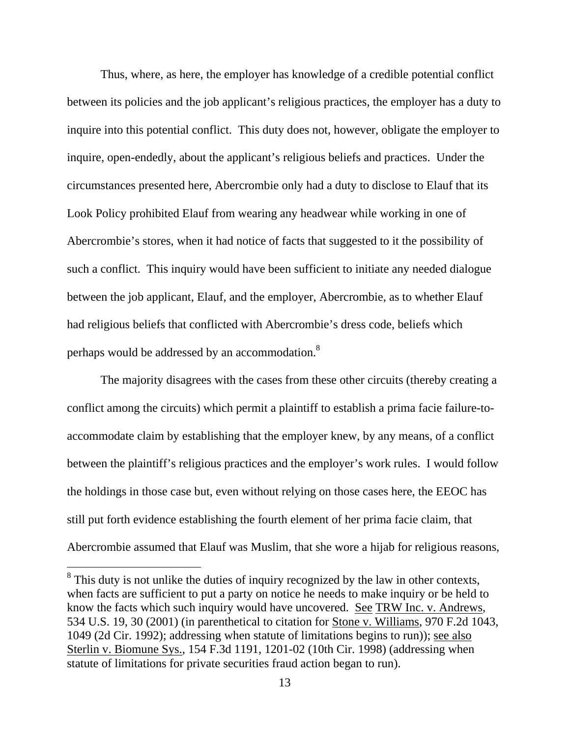Thus, where, as here, the employer has knowledge of a credible potential conflict between its policies and the job applicant's religious practices, the employer has a duty to inquire into this potential conflict. This duty does not, however, obligate the employer to inquire, open-endedly, about the applicant's religious beliefs and practices. Under the circumstances presented here, Abercrombie only had a duty to disclose to Elauf that its Look Policy prohibited Elauf from wearing any headwear while working in one of Abercrombie's stores, when it had notice of facts that suggested to it the possibility of such a conflict. This inquiry would have been sufficient to initiate any needed dialogue between the job applicant, Elauf, and the employer, Abercrombie, as to whether Elauf had religious beliefs that conflicted with Abercrombie's dress code, beliefs which perhaps would be addressed by an accommodation.<sup>8</sup>

 The majority disagrees with the cases from these other circuits (thereby creating a conflict among the circuits) which permit a plaintiff to establish a prima facie failure-toaccommodate claim by establishing that the employer knew, by any means, of a conflict between the plaintiff's religious practices and the employer's work rules. I would follow the holdings in those case but, even without relying on those cases here, the EEOC has still put forth evidence establishing the fourth element of her prima facie claim, that Abercrombie assumed that Elauf was Muslim, that she wore a hijab for religious reasons,

 $8$  This duty is not unlike the duties of inquiry recognized by the law in other contexts, when facts are sufficient to put a party on notice he needs to make inquiry or be held to know the facts which such inquiry would have uncovered. See TRW Inc. v. Andrews, 534 U.S. 19, 30 (2001) (in parenthetical to citation for Stone v. Williams, 970 F.2d 1043, 1049 (2d Cir. 1992); addressing when statute of limitations begins to run)); see also Sterlin v. Biomune Sys., 154 F.3d 1191, 1201-02 (10th Cir. 1998) (addressing when statute of limitations for private securities fraud action began to run).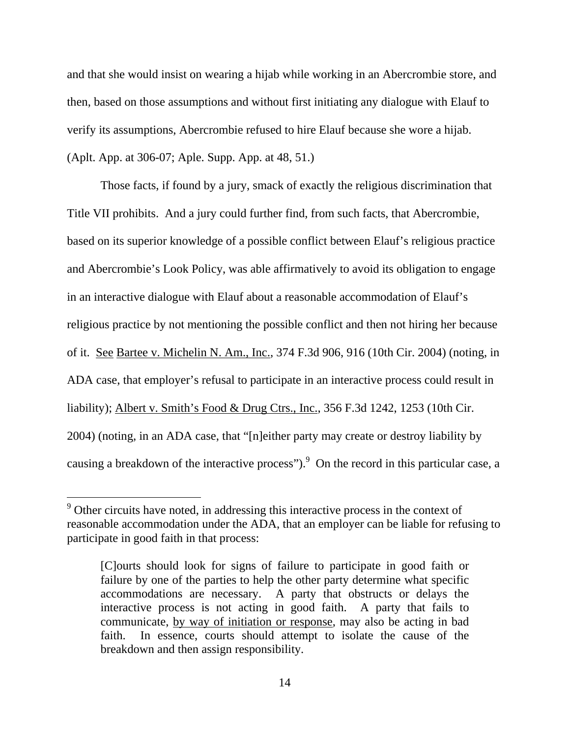and that she would insist on wearing a hijab while working in an Abercrombie store, and then, based on those assumptions and without first initiating any dialogue with Elauf to verify its assumptions, Abercrombie refused to hire Elauf because she wore a hijab. (Aplt. App. at 306-07; Aple. Supp. App. at 48, 51.)

Those facts, if found by a jury, smack of exactly the religious discrimination that Title VII prohibits. And a jury could further find, from such facts, that Abercrombie, based on its superior knowledge of a possible conflict between Elauf's religious practice and Abercrombie's Look Policy, was able affirmatively to avoid its obligation to engage in an interactive dialogue with Elauf about a reasonable accommodation of Elauf's religious practice by not mentioning the possible conflict and then not hiring her because of it. See Bartee v. Michelin N. Am., Inc., 374 F.3d 906, 916 (10th Cir. 2004) (noting, in ADA case, that employer's refusal to participate in an interactive process could result in liability); Albert v. Smith's Food & Drug Ctrs., Inc., 356 F.3d 1242, 1253 (10th Cir. 2004) (noting, in an ADA case, that "[n]either party may create or destroy liability by causing a breakdown of the interactive process"). <sup>9</sup> On the record in this particular case, a

<sup>&</sup>lt;sup>9</sup> Other circuits have noted, in addressing this interactive process in the context of reasonable accommodation under the ADA, that an employer can be liable for refusing to participate in good faith in that process:

<sup>[</sup>C]ourts should look for signs of failure to participate in good faith or failure by one of the parties to help the other party determine what specific accommodations are necessary. A party that obstructs or delays the interactive process is not acting in good faith. A party that fails to communicate, by way of initiation or response, may also be acting in bad faith. In essence, courts should attempt to isolate the cause of the breakdown and then assign responsibility.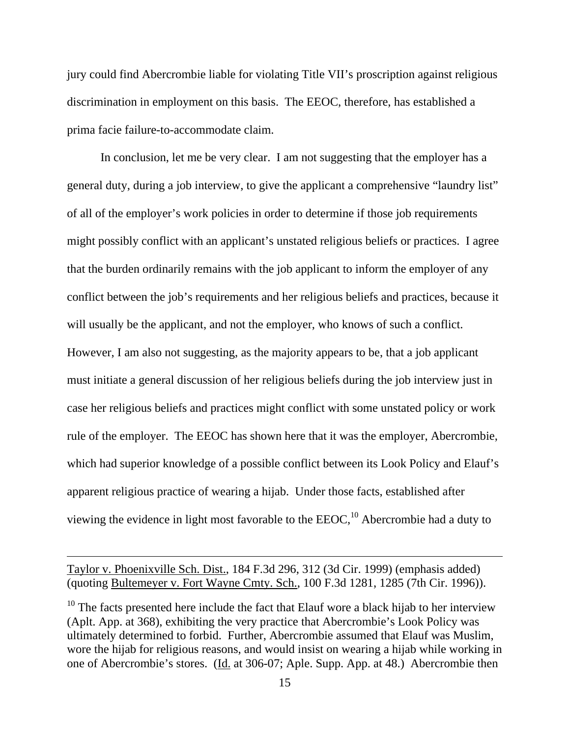jury could find Abercrombie liable for violating Title VII's proscription against religious discrimination in employment on this basis. The EEOC, therefore, has established a prima facie failure-to-accommodate claim.

 In conclusion, let me be very clear. I am not suggesting that the employer has a general duty, during a job interview, to give the applicant a comprehensive "laundry list" of all of the employer's work policies in order to determine if those job requirements might possibly conflict with an applicant's unstated religious beliefs or practices. I agree that the burden ordinarily remains with the job applicant to inform the employer of any conflict between the job's requirements and her religious beliefs and practices, because it will usually be the applicant, and not the employer, who knows of such a conflict. However, I am also not suggesting, as the majority appears to be, that a job applicant must initiate a general discussion of her religious beliefs during the job interview just in case her religious beliefs and practices might conflict with some unstated policy or work rule of the employer. The EEOC has shown here that it was the employer, Abercrombie, which had superior knowledge of a possible conflict between its Look Policy and Elauf's apparent religious practice of wearing a hijab. Under those facts, established after viewing the evidence in light most favorable to the  $EEOC<sub>10</sub><sup>10</sup>$  Abercrombie had a duty to

Taylor v. Phoenixville Sch. Dist., 184 F.3d 296, 312 (3d Cir. 1999) (emphasis added) (quoting Bultemeyer v. Fort Wayne Cmty. Sch., 100 F.3d 1281, 1285 (7th Cir. 1996)).

 $10$  The facts presented here include the fact that Elauf wore a black hijab to her interview (Aplt. App. at 368), exhibiting the very practice that Abercrombie's Look Policy was ultimately determined to forbid. Further, Abercrombie assumed that Elauf was Muslim, wore the hijab for religious reasons, and would insist on wearing a hijab while working in one of Abercrombie's stores. (Id. at 306-07; Aple. Supp. App. at 48.) Abercrombie then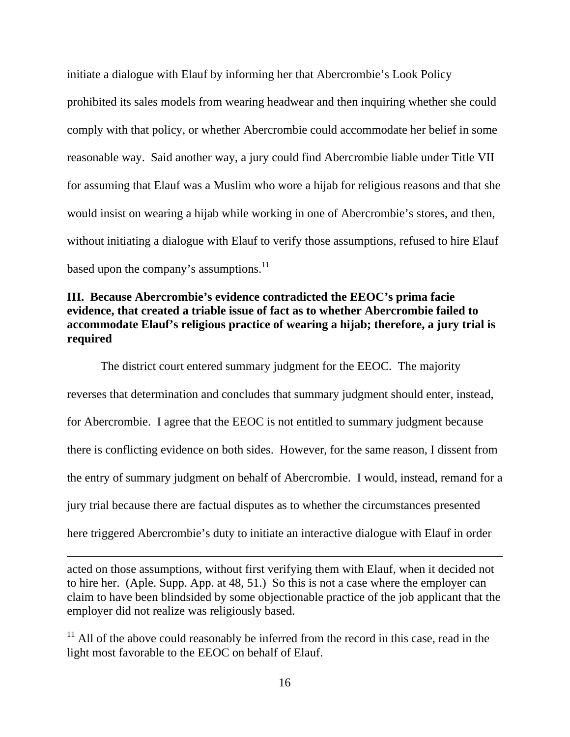initiate a dialogue with Elauf by informing her that Abercrombie's Look Policy prohibited its sales models from wearing headwear and then inquiring whether she could comply with that policy, or whether Abercrombie could accommodate her belief in some reasonable way. Said another way, a jury could find Abercrombie liable under Title VII for assuming that Elauf was a Muslim who wore a hijab for religious reasons and that she would insist on wearing a hijab while working in one of Abercrombie's stores, and then, without initiating a dialogue with Elauf to verify those assumptions, refused to hire Elauf based upon the company's assumptions.<sup>11</sup>

# **III. Because Abercrombie's evidence contradicted the EEOC's prima facie evidence, that created a triable issue of fact as to whether Abercrombie failed to accommodate Elauf's religious practice of wearing a hijab; therefore, a jury trial is required**

 The district court entered summary judgment for the EEOC. The majority reverses that determination and concludes that summary judgment should enter, instead, for Abercrombie. I agree that the EEOC is not entitled to summary judgment because there is conflicting evidence on both sides. However, for the same reason, I dissent from the entry of summary judgment on behalf of Abercrombie. I would, instead, remand for a jury trial because there are factual disputes as to whether the circumstances presented here triggered Abercrombie's duty to initiate an interactive dialogue with Elauf in order

acted on those assumptions, without first verifying them with Elauf, when it decided not to hire her. (Aple. Supp. App. at 48, 51.) So this is not a case where the employer can claim to have been blindsided by some objectionable practice of the job applicant that the employer did not realize was religiously based.

 $11$  All of the above could reasonably be inferred from the record in this case, read in the light most favorable to the EEOC on behalf of Elauf.